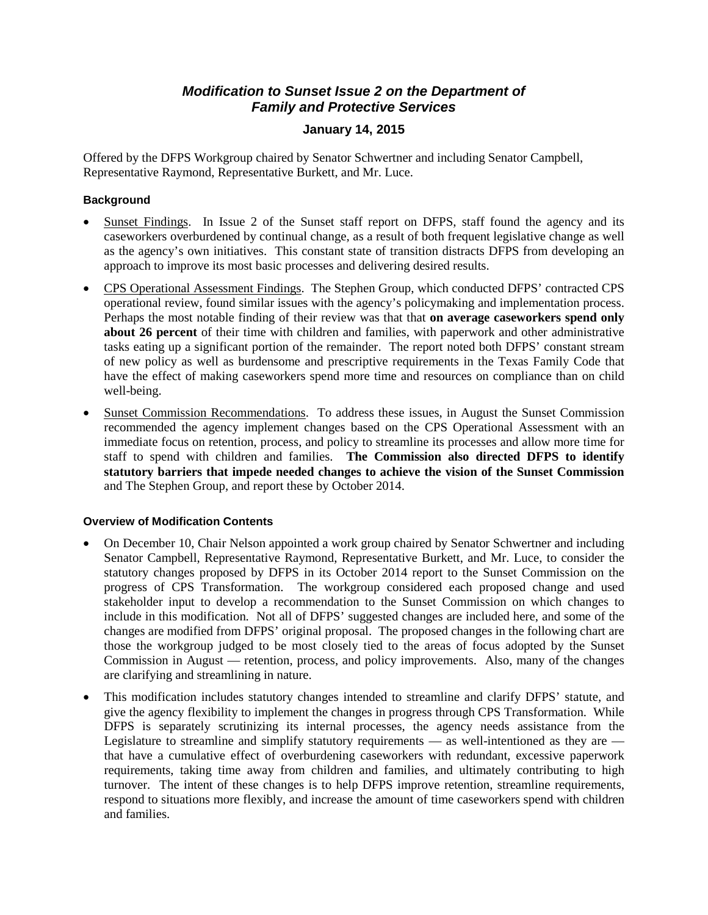## *Modification to Sunset Issue 2 on the Department of Family and Protective Services*

### **January 14, 2015**

 Representative Raymond, Representative Burkett, and Mr. Luce. Offered by the DFPS Workgroup chaired by Senator Schwertner and including Senator Campbell,

#### **Background**

- Sunset Findings. In Issue 2 of the Sunset staff report on DFPS, staff found the agency and its caseworkers overburdened by continual change, as a result of both frequent legislative change as well as the agency's own initiatives. This constant state of transition distracts DFPS from developing an approach to improve its most basic processes and delivering desired results.
- • CPS Operational Assessment Findings. The Stephen Group, which conducted DFPS' contracted CPS operational review, found similar issues with the agency's policymaking and implementation process. Perhaps the most notable finding of their review was that that **on average caseworkers spend only about 26 percent** of their time with children and families, with paperwork and other administrative tasks eating up a significant portion of the remainder. The report noted both DFPS' constant stream of new policy as well as burdensome and prescriptive requirements in the Texas Family Code that have the effect of making caseworkers spend more time and resources on compliance than on child well-being.
- Sunset Commission Recommendations. To address these issues, in August the Sunset Commission recommended the agency implement changes based on the CPS Operational Assessment with an immediate focus on retention, process, and policy to streamline its processes and allow more time for staff to spend with children and families. **The Commission also directed DFPS to identify statutory barriers that impede needed changes to achieve the vision of the Sunset Commission**  and The Stephen Group, and report these by October 2014.

#### **Overview of Modification Contents**

- On December 10, Chair Nelson appointed a work group chaired by Senator Schwertner and including Senator Campbell, Representative Raymond, Representative Burkett, and Mr. Luce, to consider the statutory changes proposed by DFPS in its October 2014 report to the Sunset Commission on the progress of CPS Transformation. The workgroup considered each proposed change and used stakeholder input to develop a recommendation to the Sunset Commission on which changes to include in this modification. Not all of DFPS' suggested changes are included here, and some of the changes are modified from DFPS' original proposal. The proposed changes in the following chart are those the workgroup judged to be most closely tied to the areas of focus adopted by the Sunset Commission in August — retention, process, and policy improvements. Also, many of the changes are clarifying and streamlining in nature.
- This modification includes statutory changes intended to streamline and clarify DFPS' statute, and give the agency flexibility to implement the changes in progress through CPS Transformation. While DFPS is separately scrutinizing its internal processes, the agency needs assistance from the Legislature to streamline and simplify statutory requirements — as well-intentioned as they are that have a cumulative effect of overburdening caseworkers with redundant, excessive paperwork requirements, taking time away from children and families, and ultimately contributing to high turnover. The intent of these changes is to help DFPS improve retention, streamline requirements, respond to situations more flexibly, and increase the amount of time caseworkers spend with children and families.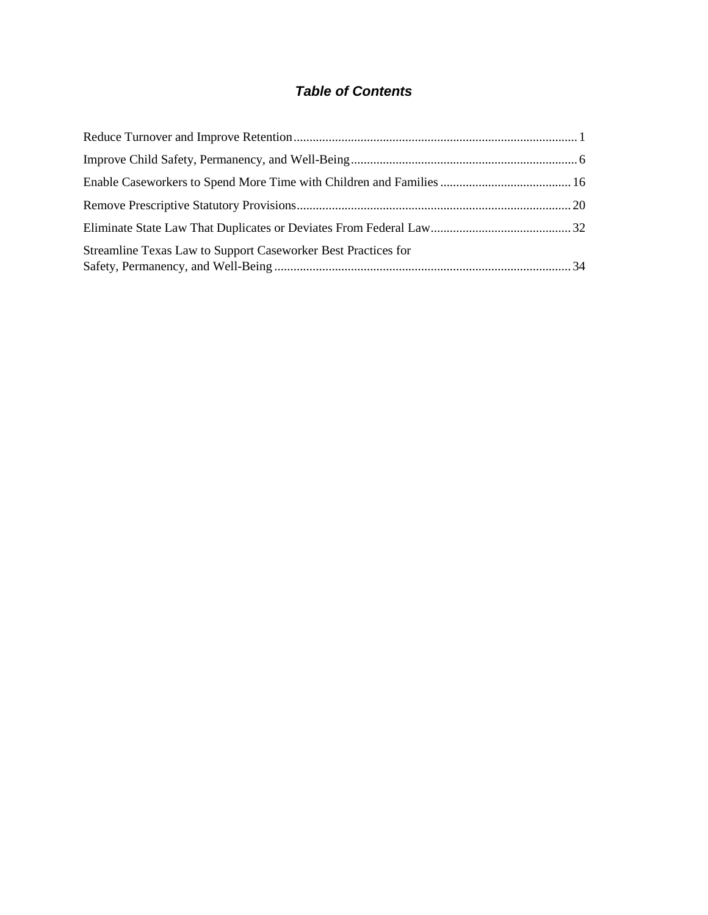# *Table of Contents*

| Streamline Texas Law to Support Caseworker Best Practices for |  |
|---------------------------------------------------------------|--|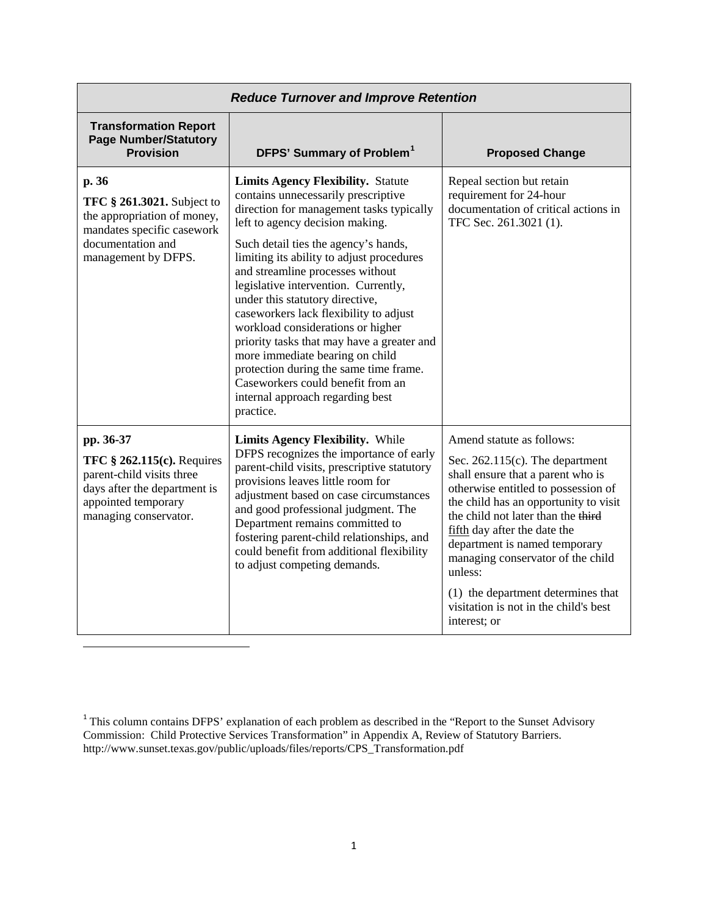|                                                                                                                                                        | <b>Reduce Turnover and Improve Retention</b>                                                                                                                                                                                                                                                                                                                                                                                                                                                                                                                                                                                                                        |                                                                                                                                                                                                                                                                                                                                                                                                                                            |
|--------------------------------------------------------------------------------------------------------------------------------------------------------|---------------------------------------------------------------------------------------------------------------------------------------------------------------------------------------------------------------------------------------------------------------------------------------------------------------------------------------------------------------------------------------------------------------------------------------------------------------------------------------------------------------------------------------------------------------------------------------------------------------------------------------------------------------------|--------------------------------------------------------------------------------------------------------------------------------------------------------------------------------------------------------------------------------------------------------------------------------------------------------------------------------------------------------------------------------------------------------------------------------------------|
| <b>Transformation Report</b><br><b>Page Number/Statutory</b><br><b>Provision</b>                                                                       | DFPS' Summary of Problem <sup>1</sup>                                                                                                                                                                                                                                                                                                                                                                                                                                                                                                                                                                                                                               | <b>Proposed Change</b>                                                                                                                                                                                                                                                                                                                                                                                                                     |
| p. 36<br><b>TFC § 261.3021.</b> Subject to<br>the appropriation of money,<br>mandates specific casework<br>documentation and<br>management by DFPS.    | <b>Limits Agency Flexibility.</b> Statute<br>contains unnecessarily prescriptive<br>direction for management tasks typically<br>left to agency decision making.<br>Such detail ties the agency's hands,<br>limiting its ability to adjust procedures<br>and streamline processes without<br>legislative intervention. Currently,<br>under this statutory directive,<br>caseworkers lack flexibility to adjust<br>workload considerations or higher<br>priority tasks that may have a greater and<br>more immediate bearing on child<br>protection during the same time frame.<br>Caseworkers could benefit from an<br>internal approach regarding best<br>practice. | Repeal section but retain<br>requirement for 24-hour<br>documentation of critical actions in<br>TFC Sec. 261.3021 (1).                                                                                                                                                                                                                                                                                                                     |
| pp. 36-37<br>TFC $§$ 262.115(c). Requires<br>parent-child visits three<br>days after the department is<br>appointed temporary<br>managing conservator. | <b>Limits Agency Flexibility.</b> While<br>DFPS recognizes the importance of early<br>parent-child visits, prescriptive statutory<br>provisions leaves little room for<br>adjustment based on case circumstances<br>and good professional judgment. The<br>Department remains committed to<br>fostering parent-child relationships, and<br>could benefit from additional flexibility<br>to adjust competing demands.                                                                                                                                                                                                                                                | Amend statute as follows:<br>Sec. $262.115(c)$ . The department<br>shall ensure that a parent who is<br>otherwise entitled to possession of<br>the child has an opportunity to visit<br>the child not later than the third<br>fifth day after the date the<br>department is named temporary<br>managing conservator of the child<br>unless:<br>(1) the department determines that<br>visitation is not in the child's best<br>interest; or |

**.** 

<span id="page-4-0"></span> $1$ <sup>1</sup> This column contains DFPS' explanation of each problem as described in the "Report to the Sunset Advisory Commission: Child Protective Services Transformation" in Appendix A, Review of Statutory Barriers. http://www.sunset.texas.gov/public/uploads/files/reports/CPS\_Transformation.pdf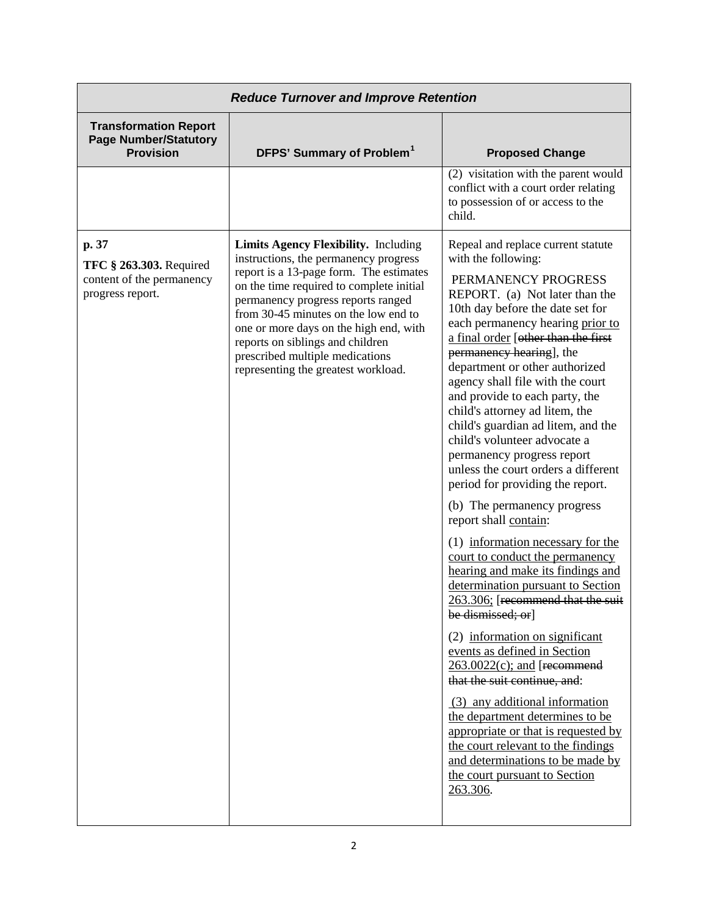|                                                                                          | <b>Reduce Turnover and Improve Retention</b>                                                                                                                                                                                                                                                                                                                                                                      |                                                                                                                                                                                                                                                                                                                                                                                                                                                                                                                                                                                                                                                                                                                                                                                                                                                                                                                                                                                                                                                                                                                                                                                                                                    |
|------------------------------------------------------------------------------------------|-------------------------------------------------------------------------------------------------------------------------------------------------------------------------------------------------------------------------------------------------------------------------------------------------------------------------------------------------------------------------------------------------------------------|------------------------------------------------------------------------------------------------------------------------------------------------------------------------------------------------------------------------------------------------------------------------------------------------------------------------------------------------------------------------------------------------------------------------------------------------------------------------------------------------------------------------------------------------------------------------------------------------------------------------------------------------------------------------------------------------------------------------------------------------------------------------------------------------------------------------------------------------------------------------------------------------------------------------------------------------------------------------------------------------------------------------------------------------------------------------------------------------------------------------------------------------------------------------------------------------------------------------------------|
| <b>Transformation Report</b><br><b>Page Number/Statutory</b><br><b>Provision</b>         | DFPS' Summary of Problem <sup>1</sup>                                                                                                                                                                                                                                                                                                                                                                             | <b>Proposed Change</b>                                                                                                                                                                                                                                                                                                                                                                                                                                                                                                                                                                                                                                                                                                                                                                                                                                                                                                                                                                                                                                                                                                                                                                                                             |
|                                                                                          |                                                                                                                                                                                                                                                                                                                                                                                                                   | (2) visitation with the parent would<br>conflict with a court order relating<br>to possession of or access to the<br>child.                                                                                                                                                                                                                                                                                                                                                                                                                                                                                                                                                                                                                                                                                                                                                                                                                                                                                                                                                                                                                                                                                                        |
| p. 37<br><b>TFC § 263.303. Required</b><br>content of the permanency<br>progress report. | <b>Limits Agency Flexibility.</b> Including<br>instructions, the permanency progress<br>report is a 13-page form. The estimates<br>on the time required to complete initial<br>permanency progress reports ranged<br>from 30-45 minutes on the low end to<br>one or more days on the high end, with<br>reports on siblings and children<br>prescribed multiple medications<br>representing the greatest workload. | Repeal and replace current statute<br>with the following:<br>PERMANENCY PROGRESS<br>REPORT. (a) Not later than the<br>10th day before the date set for<br>each permanency hearing prior to<br>a final order [other than the first<br>permanency hearing], the<br>department or other authorized<br>agency shall file with the court<br>and provide to each party, the<br>child's attorney ad litem, the<br>child's guardian ad litem, and the<br>child's volunteer advocate a<br>permanency progress report<br>unless the court orders a different<br>period for providing the report.<br>(b) The permanency progress<br>report shall contain:<br>(1) information necessary for the<br>court to conduct the permanency<br>hearing and make its findings and<br>determination pursuant to Section<br>263.306; [recommend that the suit<br>be dismissed; or]<br>(2) information on significant<br>events as defined in Section<br>$263.0022(c)$ ; and [recommend]<br>that the suit continue, and:<br>(3) any additional information<br>the department determines to be<br>appropriate or that is requested by<br>the court relevant to the findings<br>and determinations to be made by<br>the court pursuant to Section<br>263.306. |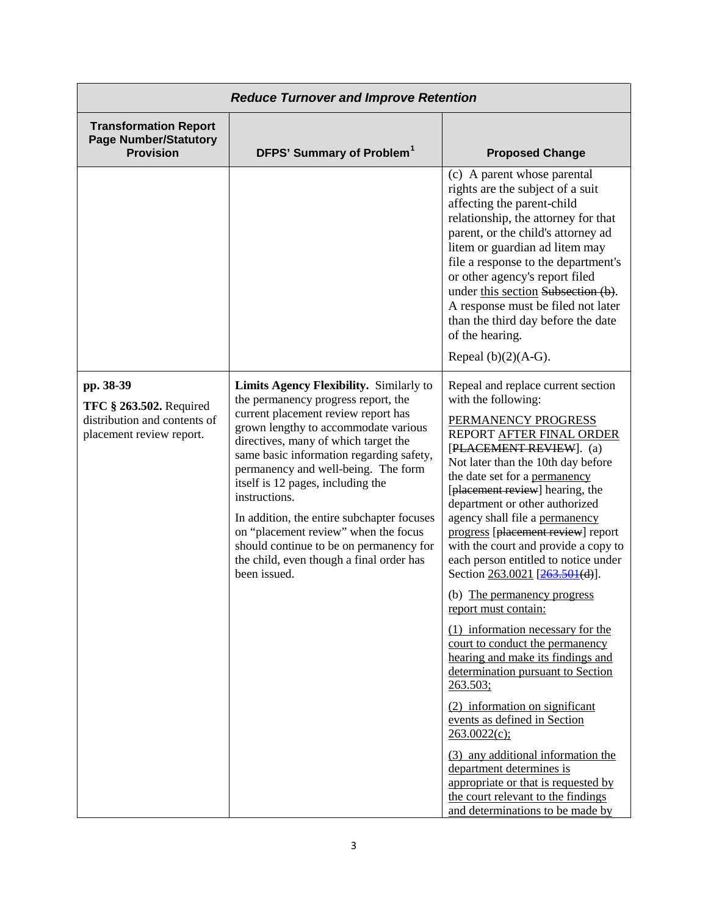|                                                                                                         | <b>Reduce Turnover and Improve Retention</b>                                                                                                                                                                                                                                                                                                                                                                                                                                                                                                |                                                                                                                                                                                                                                                                                                                                                                                                                                                                                                                                                                                                                                                                                                                                                                                                                                                                                                                                     |
|---------------------------------------------------------------------------------------------------------|---------------------------------------------------------------------------------------------------------------------------------------------------------------------------------------------------------------------------------------------------------------------------------------------------------------------------------------------------------------------------------------------------------------------------------------------------------------------------------------------------------------------------------------------|-------------------------------------------------------------------------------------------------------------------------------------------------------------------------------------------------------------------------------------------------------------------------------------------------------------------------------------------------------------------------------------------------------------------------------------------------------------------------------------------------------------------------------------------------------------------------------------------------------------------------------------------------------------------------------------------------------------------------------------------------------------------------------------------------------------------------------------------------------------------------------------------------------------------------------------|
| <b>Transformation Report</b><br><b>Page Number/Statutory</b><br><b>Provision</b>                        | DFPS' Summary of Problem <sup>1</sup>                                                                                                                                                                                                                                                                                                                                                                                                                                                                                                       | <b>Proposed Change</b>                                                                                                                                                                                                                                                                                                                                                                                                                                                                                                                                                                                                                                                                                                                                                                                                                                                                                                              |
|                                                                                                         |                                                                                                                                                                                                                                                                                                                                                                                                                                                                                                                                             | (c) A parent whose parental<br>rights are the subject of a suit<br>affecting the parent-child<br>relationship, the attorney for that<br>parent, or the child's attorney ad<br>litem or guardian ad litem may<br>file a response to the department's<br>or other agency's report filed<br>under this section Subsection (b).<br>A response must be filed not later<br>than the third day before the date<br>of the hearing.<br>Repeal $(b)(2)(A-G)$ .                                                                                                                                                                                                                                                                                                                                                                                                                                                                                |
| pp. 38-39<br><b>TFC § 263.502. Required</b><br>distribution and contents of<br>placement review report. | Limits Agency Flexibility. Similarly to<br>the permanency progress report, the<br>current placement review report has<br>grown lengthy to accommodate various<br>directives, many of which target the<br>same basic information regarding safety,<br>permanency and well-being. The form<br>itself is 12 pages, including the<br>instructions.<br>In addition, the entire subchapter focuses<br>on "placement review" when the focus<br>should continue to be on permanency for<br>the child, even though a final order has<br>been issued. | Repeal and replace current section<br>with the following:<br>PERMANENCY PROGRESS<br>REPORT AFTER FINAL ORDER<br>[PLACEMENT REVIEW]. (a)<br>Not later than the 10th day before<br>the date set for a permanency<br>[placement review] hearing, the<br>department or other authorized<br>agency shall file a permanency<br>progress [placement review] report<br>with the court and provide a copy to<br>each person entitled to notice under<br>Section 263.0021 [263.501(d)].<br>(b) The permanency progress<br>report must contain:<br>(1) information necessary for the<br>court to conduct the permanency<br>hearing and make its findings and<br>determination pursuant to Section<br>263.503;<br>(2) information on significant<br>events as defined in Section<br>263.0022(c);<br>(3) any additional information the<br>department determines is<br>appropriate or that is requested by<br>the court relevant to the findings |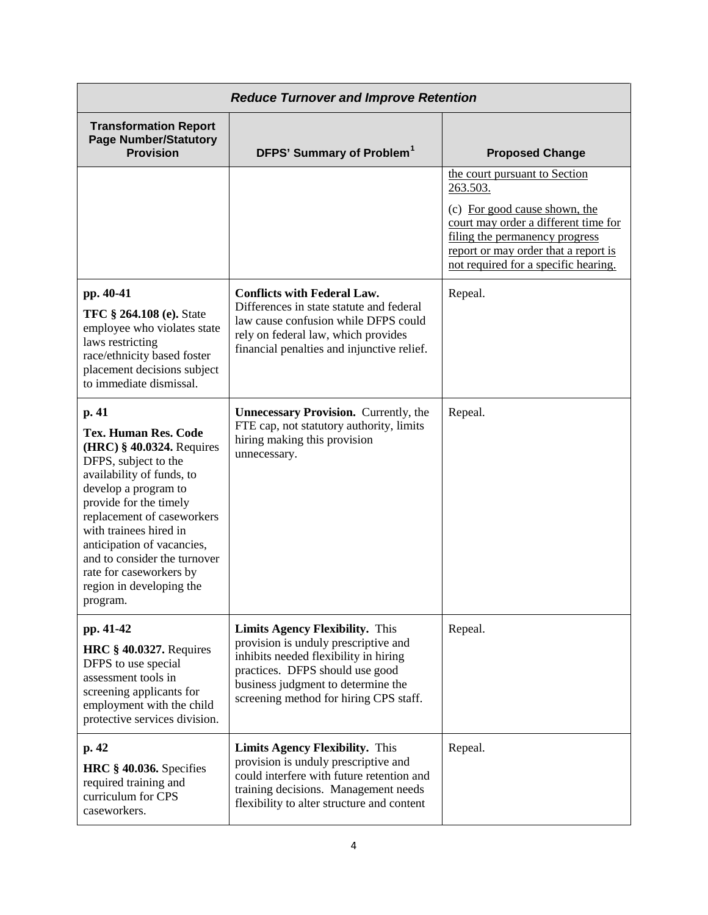|                                                                                                                                                                                                                                                                                                                                                                     | <b>Reduce Turnover and Improve Retention</b>                                                                                                                                                                                               |                                                                                                                                                                                                                                      |
|---------------------------------------------------------------------------------------------------------------------------------------------------------------------------------------------------------------------------------------------------------------------------------------------------------------------------------------------------------------------|--------------------------------------------------------------------------------------------------------------------------------------------------------------------------------------------------------------------------------------------|--------------------------------------------------------------------------------------------------------------------------------------------------------------------------------------------------------------------------------------|
| <b>Transformation Report</b><br><b>Page Number/Statutory</b><br><b>Provision</b>                                                                                                                                                                                                                                                                                    | DFPS' Summary of Problem <sup>1</sup>                                                                                                                                                                                                      | <b>Proposed Change</b>                                                                                                                                                                                                               |
|                                                                                                                                                                                                                                                                                                                                                                     |                                                                                                                                                                                                                                            | the court pursuant to Section<br>263.503.<br>(c) For good cause shown, the<br>court may order a different time for<br>filing the permanency progress<br>report or may order that a report is<br>not required for a specific hearing. |
| pp. 40-41<br><b>TFC § 264.108 (e). State</b><br>employee who violates state<br>laws restricting<br>race/ethnicity based foster<br>placement decisions subject<br>to immediate dismissal.                                                                                                                                                                            | <b>Conflicts with Federal Law.</b><br>Differences in state statute and federal<br>law cause confusion while DFPS could<br>rely on federal law, which provides<br>financial penalties and injunctive relief.                                | Repeal.                                                                                                                                                                                                                              |
| p. 41<br><b>Tex. Human Res. Code</b><br>$(HRC)$ § 40.0324. Requires<br>DFPS, subject to the<br>availability of funds, to<br>develop a program to<br>provide for the timely<br>replacement of caseworkers<br>with trainees hired in<br>anticipation of vacancies,<br>and to consider the turnover<br>rate for caseworkers by<br>region in developing the<br>program. | <b>Unnecessary Provision.</b> Currently, the<br>FTE cap, not statutory authority, limits<br>hiring making this provision<br>unnecessary.                                                                                                   | Repeal.                                                                                                                                                                                                                              |
| pp. 41-42<br>HRC $§$ 40.0327. Requires<br>DFPS to use special<br>assessment tools in<br>screening applicants for<br>employment with the child<br>protective services division.                                                                                                                                                                                      | <b>Limits Agency Flexibility.</b> This<br>provision is unduly prescriptive and<br>inhibits needed flexibility in hiring<br>practices. DFPS should use good<br>business judgment to determine the<br>screening method for hiring CPS staff. | Repeal.                                                                                                                                                                                                                              |
| p. 42<br>HRC § 40.036. Specifies<br>required training and<br>curriculum for CPS<br>caseworkers.                                                                                                                                                                                                                                                                     | <b>Limits Agency Flexibility.</b> This<br>provision is unduly prescriptive and<br>could interfere with future retention and<br>training decisions. Management needs<br>flexibility to alter structure and content                          | Repeal.                                                                                                                                                                                                                              |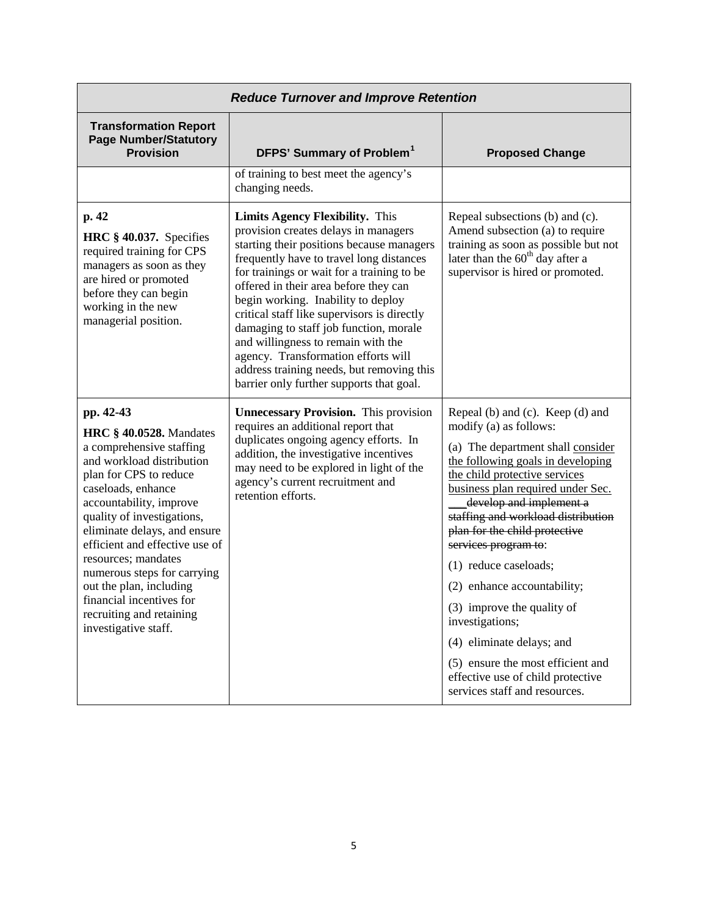|                                                                                                                                                                                                                                                                                                                                                                                                                                                  | <b>Reduce Turnover and Improve Retention</b>                                                                                                                                                                                                                                                                                                                                                                                                                                                                                                                        |                                                                                                                                                                                                                                                                                                                                                                                                                                                                                                                                                                                       |
|--------------------------------------------------------------------------------------------------------------------------------------------------------------------------------------------------------------------------------------------------------------------------------------------------------------------------------------------------------------------------------------------------------------------------------------------------|---------------------------------------------------------------------------------------------------------------------------------------------------------------------------------------------------------------------------------------------------------------------------------------------------------------------------------------------------------------------------------------------------------------------------------------------------------------------------------------------------------------------------------------------------------------------|---------------------------------------------------------------------------------------------------------------------------------------------------------------------------------------------------------------------------------------------------------------------------------------------------------------------------------------------------------------------------------------------------------------------------------------------------------------------------------------------------------------------------------------------------------------------------------------|
| <b>Transformation Report</b><br><b>Page Number/Statutory</b><br><b>Provision</b>                                                                                                                                                                                                                                                                                                                                                                 | DFPS' Summary of Problem <sup>1</sup>                                                                                                                                                                                                                                                                                                                                                                                                                                                                                                                               | <b>Proposed Change</b>                                                                                                                                                                                                                                                                                                                                                                                                                                                                                                                                                                |
|                                                                                                                                                                                                                                                                                                                                                                                                                                                  | of training to best meet the agency's<br>changing needs.                                                                                                                                                                                                                                                                                                                                                                                                                                                                                                            |                                                                                                                                                                                                                                                                                                                                                                                                                                                                                                                                                                                       |
| p. 42<br>HRC $§$ 40.037. Specifies<br>required training for CPS<br>managers as soon as they<br>are hired or promoted<br>before they can begin<br>working in the new<br>managerial position.                                                                                                                                                                                                                                                      | <b>Limits Agency Flexibility.</b> This<br>provision creates delays in managers<br>starting their positions because managers<br>frequently have to travel long distances<br>for trainings or wait for a training to be<br>offered in their area before they can<br>begin working. Inability to deploy<br>critical staff like supervisors is directly<br>damaging to staff job function, morale<br>and willingness to remain with the<br>agency. Transformation efforts will<br>address training needs, but removing this<br>barrier only further supports that goal. | Repeal subsections (b) and (c).<br>Amend subsection (a) to require<br>training as soon as possible but not<br>later than the $60th$ day after a<br>supervisor is hired or promoted.                                                                                                                                                                                                                                                                                                                                                                                                   |
| pp. 42-43<br><b>HRC</b> § 40.0528. Mandates<br>a comprehensive staffing<br>and workload distribution<br>plan for CPS to reduce<br>caseloads, enhance<br>accountability, improve<br>quality of investigations,<br>eliminate delays, and ensure<br>efficient and effective use of<br>resources; mandates<br>numerous steps for carrying<br>out the plan, including<br>financial incentives for<br>recruiting and retaining<br>investigative staff. | <b>Unnecessary Provision.</b> This provision<br>requires an additional report that<br>duplicates ongoing agency efforts. In<br>addition, the investigative incentives<br>may need to be explored in light of the<br>agency's current recruitment and<br>retention efforts.                                                                                                                                                                                                                                                                                          | Repeal (b) and (c). Keep (d) and<br>modify (a) as follows:<br>(a) The department shall consider<br>the following goals in developing<br>the child protective services<br>business plan required under Sec.<br>develop and implement a<br>staffing and workload distribution<br>plan for the child protective<br>services program to:<br>(1) reduce caseloads;<br>(2) enhance accountability;<br>(3) improve the quality of<br>investigations;<br>(4) eliminate delays; and<br>(5) ensure the most efficient and<br>effective use of child protective<br>services staff and resources. |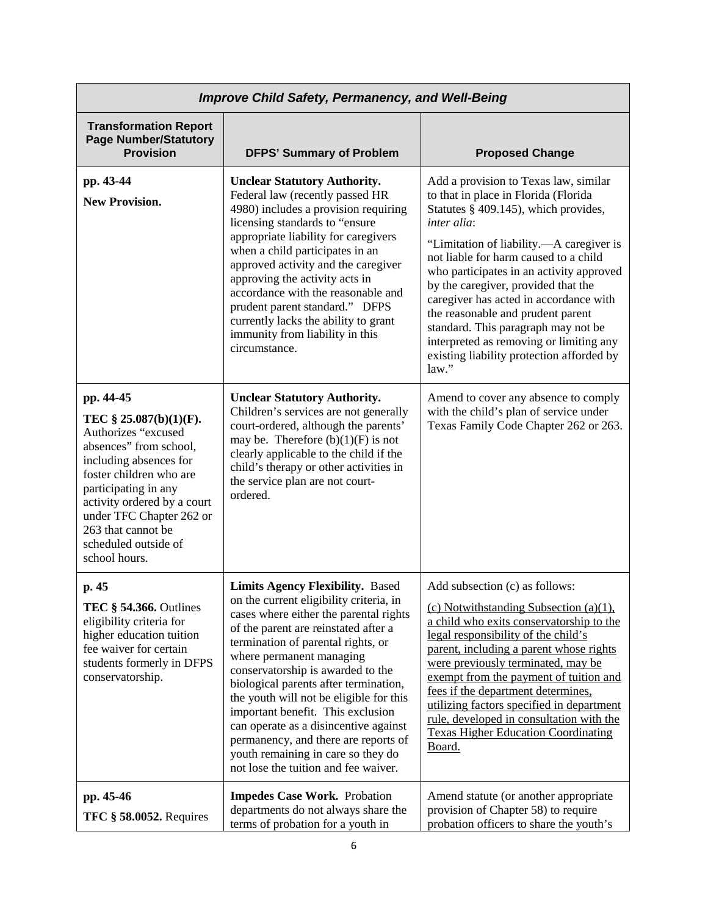|                                                                                                                                                                                                                                                                                                | <b>Improve Child Safety, Permanency, and Well-Being</b>                                                                                                                                                                                                                                                                                                                                                                                                                                                                                                             |                                                                                                                                                                                                                                                                                                                                                                                                                                                                                                                                     |
|------------------------------------------------------------------------------------------------------------------------------------------------------------------------------------------------------------------------------------------------------------------------------------------------|---------------------------------------------------------------------------------------------------------------------------------------------------------------------------------------------------------------------------------------------------------------------------------------------------------------------------------------------------------------------------------------------------------------------------------------------------------------------------------------------------------------------------------------------------------------------|-------------------------------------------------------------------------------------------------------------------------------------------------------------------------------------------------------------------------------------------------------------------------------------------------------------------------------------------------------------------------------------------------------------------------------------------------------------------------------------------------------------------------------------|
| <b>Transformation Report</b><br><b>Page Number/Statutory</b><br><b>Provision</b>                                                                                                                                                                                                               | <b>DFPS' Summary of Problem</b>                                                                                                                                                                                                                                                                                                                                                                                                                                                                                                                                     | <b>Proposed Change</b>                                                                                                                                                                                                                                                                                                                                                                                                                                                                                                              |
| pp. 43-44<br><b>New Provision.</b>                                                                                                                                                                                                                                                             | <b>Unclear Statutory Authority.</b><br>Federal law (recently passed HR<br>4980) includes a provision requiring<br>licensing standards to "ensure<br>appropriate liability for caregivers<br>when a child participates in an<br>approved activity and the caregiver<br>approving the activity acts in<br>accordance with the reasonable and<br>prudent parent standard." DFPS<br>currently lacks the ability to grant<br>immunity from liability in this<br>circumstance.                                                                                            | Add a provision to Texas law, similar<br>to that in place in Florida (Florida<br>Statutes § 409.145), which provides,<br>inter alia:<br>"Limitation of liability.—A caregiver is<br>not liable for harm caused to a child<br>who participates in an activity approved<br>by the caregiver, provided that the<br>caregiver has acted in accordance with<br>the reasonable and prudent parent<br>standard. This paragraph may not be<br>interpreted as removing or limiting any<br>existing liability protection afforded by<br>law." |
| pp. 44-45<br>TEC $\S$ 25.087(b)(1)(F).<br>Authorizes "excused<br>absences" from school,<br>including absences for<br>foster children who are<br>participating in any<br>activity ordered by a court<br>under TFC Chapter 262 or<br>263 that cannot be<br>scheduled outside of<br>school hours. | <b>Unclear Statutory Authority.</b><br>Children's services are not generally<br>court-ordered, although the parents'<br>may be. Therefore $(b)(1)(F)$ is not<br>clearly applicable to the child if the<br>child's therapy or other activities in<br>the service plan are not court-<br>ordered.                                                                                                                                                                                                                                                                     | Amend to cover any absence to comply<br>with the child's plan of service under<br>Texas Family Code Chapter 262 or 263.                                                                                                                                                                                                                                                                                                                                                                                                             |
| p. 45<br>TEC § 54.366. Outlines<br>eligibility criteria for<br>higher education tuition<br>fee waiver for certain<br>students formerly in DFPS<br>conservatorship.                                                                                                                             | <b>Limits Agency Flexibility. Based</b><br>on the current eligibility criteria, in<br>cases where either the parental rights<br>of the parent are reinstated after a<br>termination of parental rights, or<br>where permanent managing<br>conservatorship is awarded to the<br>biological parents after termination,<br>the youth will not be eligible for this<br>important benefit. This exclusion<br>can operate as a disincentive against<br>permanency, and there are reports of<br>youth remaining in care so they do<br>not lose the tuition and fee waiver. | Add subsection (c) as follows:<br>(c) Notwithstanding Subsection (a)(1),<br>a child who exits conservatorship to the<br>legal responsibility of the child's<br>parent, including a parent whose rights<br>were previously terminated, may be<br>exempt from the payment of tuition and<br>fees if the department determines,<br>utilizing factors specified in department<br>rule, developed in consultation with the<br><b>Texas Higher Education Coordinating</b><br>Board.                                                       |
| pp. 45-46<br><b>TFC § 58.0052.</b> Requires                                                                                                                                                                                                                                                    | <b>Impedes Case Work.</b> Probation<br>departments do not always share the<br>terms of probation for a youth in                                                                                                                                                                                                                                                                                                                                                                                                                                                     | Amend statute (or another appropriate<br>provision of Chapter 58) to require<br>probation officers to share the youth's                                                                                                                                                                                                                                                                                                                                                                                                             |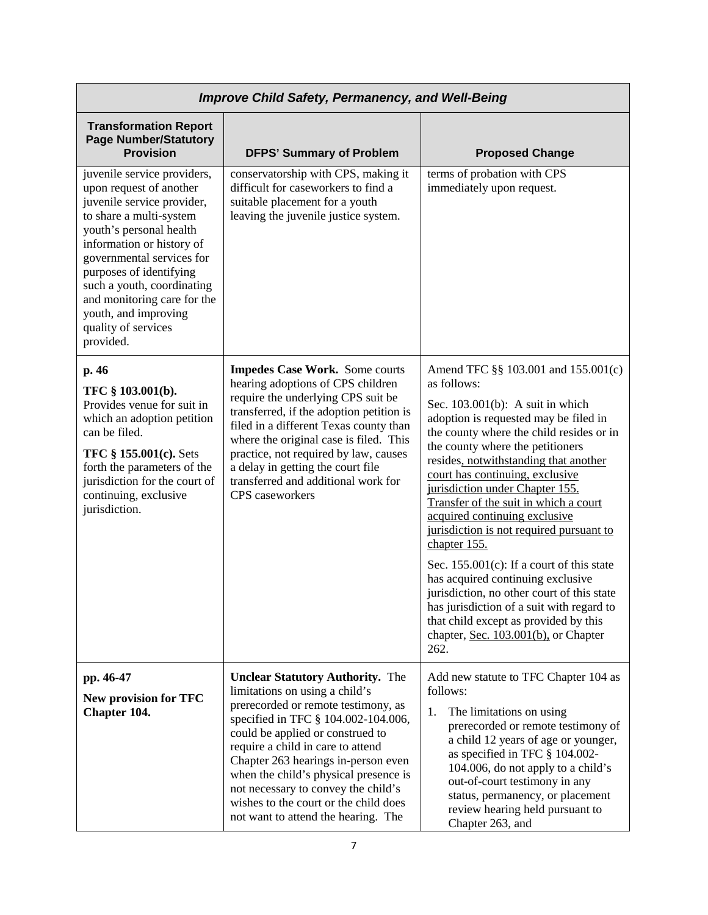|                                                                                                                                                                                                                                                                                                                                                          | <b>Improve Child Safety, Permanency, and Well-Being</b>                                                                                                                                                                                                                                                                                                                                                                                 |                                                                                                                                                                                                                                                                                                                                                                                                                                                                                                                                                                                                                                                                                                                                                  |
|----------------------------------------------------------------------------------------------------------------------------------------------------------------------------------------------------------------------------------------------------------------------------------------------------------------------------------------------------------|-----------------------------------------------------------------------------------------------------------------------------------------------------------------------------------------------------------------------------------------------------------------------------------------------------------------------------------------------------------------------------------------------------------------------------------------|--------------------------------------------------------------------------------------------------------------------------------------------------------------------------------------------------------------------------------------------------------------------------------------------------------------------------------------------------------------------------------------------------------------------------------------------------------------------------------------------------------------------------------------------------------------------------------------------------------------------------------------------------------------------------------------------------------------------------------------------------|
| <b>Transformation Report</b><br><b>Page Number/Statutory</b><br><b>Provision</b>                                                                                                                                                                                                                                                                         | <b>DFPS' Summary of Problem</b>                                                                                                                                                                                                                                                                                                                                                                                                         | <b>Proposed Change</b>                                                                                                                                                                                                                                                                                                                                                                                                                                                                                                                                                                                                                                                                                                                           |
| juvenile service providers,<br>upon request of another<br>juvenile service provider,<br>to share a multi-system<br>youth's personal health<br>information or history of<br>governmental services for<br>purposes of identifying<br>such a youth, coordinating<br>and monitoring care for the<br>youth, and improving<br>quality of services<br>provided. | conservatorship with CPS, making it<br>difficult for caseworkers to find a<br>suitable placement for a youth<br>leaving the juvenile justice system.                                                                                                                                                                                                                                                                                    | terms of probation with CPS<br>immediately upon request.                                                                                                                                                                                                                                                                                                                                                                                                                                                                                                                                                                                                                                                                                         |
| p. 46<br>TFC § 103.001(b).<br>Provides venue for suit in<br>which an adoption petition<br>can be filed.<br>TFC § 155.001(c). Sets<br>forth the parameters of the<br>jurisdiction for the court of<br>continuing, exclusive<br>jurisdiction.                                                                                                              | <b>Impedes Case Work.</b> Some courts<br>hearing adoptions of CPS children<br>require the underlying CPS suit be<br>transferred, if the adoption petition is<br>filed in a different Texas county than<br>where the original case is filed. This<br>practice, not required by law, causes<br>a delay in getting the court file<br>transferred and additional work for<br>CPS caseworkers                                                | Amend TFC §§ 103.001 and 155.001(c)<br>as follows:<br>Sec. $103.001(b)$ : A suit in which<br>adoption is requested may be filed in<br>the county where the child resides or in<br>the county where the petitioners<br>resides, notwithstanding that another<br>court has continuing, exclusive<br>jurisdiction under Chapter 155.<br>Transfer of the suit in which a court<br>acquired continuing exclusive<br>jurisdiction is not required pursuant to<br>chapter 155.<br>Sec. $155.001(c)$ : If a court of this state<br>has acquired continuing exclusive<br>jurisdiction, no other court of this state<br>has jurisdiction of a suit with regard to<br>that child except as provided by this<br>chapter, Sec. 103.001(b), or Chapter<br>262. |
| pp. 46-47<br><b>New provision for TFC</b><br>Chapter 104.                                                                                                                                                                                                                                                                                                | <b>Unclear Statutory Authority.</b> The<br>limitations on using a child's<br>prerecorded or remote testimony, as<br>specified in TFC § 104.002-104.006,<br>could be applied or construed to<br>require a child in care to attend<br>Chapter 263 hearings in-person even<br>when the child's physical presence is<br>not necessary to convey the child's<br>wishes to the court or the child does<br>not want to attend the hearing. The | Add new statute to TFC Chapter 104 as<br>follows:<br>1.<br>The limitations on using<br>prerecorded or remote testimony of<br>a child 12 years of age or younger,<br>as specified in TFC § 104.002-<br>104.006, do not apply to a child's<br>out-of-court testimony in any<br>status, permanency, or placement<br>review hearing held pursuant to<br>Chapter 263, and                                                                                                                                                                                                                                                                                                                                                                             |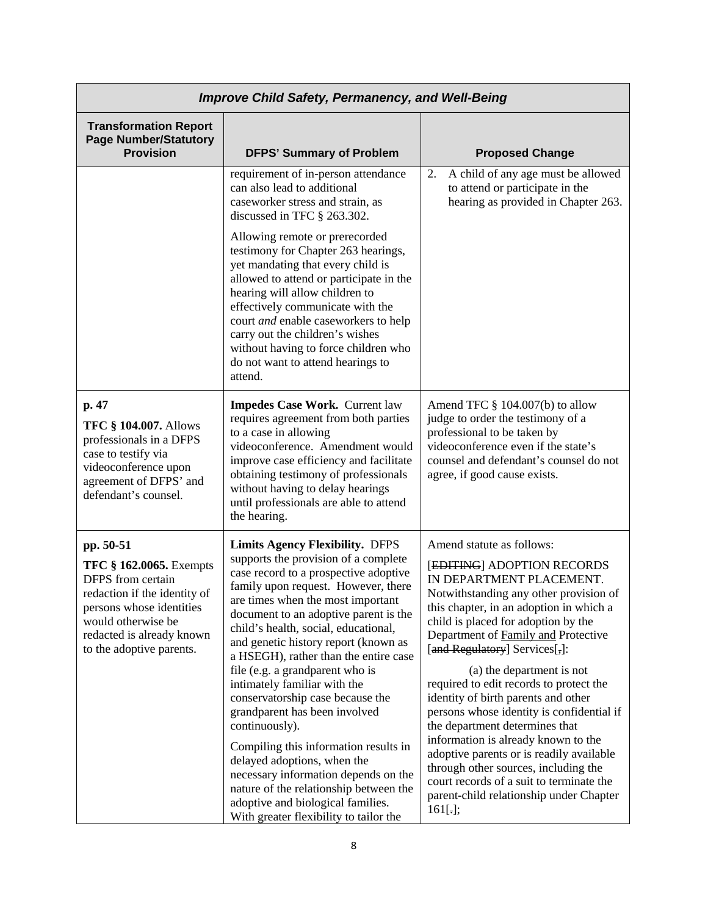|                                                                                                                                                                                                             | <b>Improve Child Safety, Permanency, and Well-Being</b>                                                                                                                                                                                                                                                                                                                                                                                                                                                                                                                                                                                                                                                                                                                  |                                                                                                                                                                                                                                                                                                                                                                                                                                                                                                                                                                                                                                                                                                                              |
|-------------------------------------------------------------------------------------------------------------------------------------------------------------------------------------------------------------|--------------------------------------------------------------------------------------------------------------------------------------------------------------------------------------------------------------------------------------------------------------------------------------------------------------------------------------------------------------------------------------------------------------------------------------------------------------------------------------------------------------------------------------------------------------------------------------------------------------------------------------------------------------------------------------------------------------------------------------------------------------------------|------------------------------------------------------------------------------------------------------------------------------------------------------------------------------------------------------------------------------------------------------------------------------------------------------------------------------------------------------------------------------------------------------------------------------------------------------------------------------------------------------------------------------------------------------------------------------------------------------------------------------------------------------------------------------------------------------------------------------|
| <b>Transformation Report</b><br><b>Page Number/Statutory</b><br><b>Provision</b>                                                                                                                            | <b>DFPS' Summary of Problem</b>                                                                                                                                                                                                                                                                                                                                                                                                                                                                                                                                                                                                                                                                                                                                          | <b>Proposed Change</b>                                                                                                                                                                                                                                                                                                                                                                                                                                                                                                                                                                                                                                                                                                       |
|                                                                                                                                                                                                             | requirement of in-person attendance<br>can also lead to additional<br>caseworker stress and strain, as<br>discussed in TFC § 263.302.                                                                                                                                                                                                                                                                                                                                                                                                                                                                                                                                                                                                                                    | A child of any age must be allowed<br>2.<br>to attend or participate in the<br>hearing as provided in Chapter 263.                                                                                                                                                                                                                                                                                                                                                                                                                                                                                                                                                                                                           |
|                                                                                                                                                                                                             | Allowing remote or prerecorded<br>testimony for Chapter 263 hearings,<br>yet mandating that every child is<br>allowed to attend or participate in the<br>hearing will allow children to<br>effectively communicate with the<br>court and enable caseworkers to help<br>carry out the children's wishes<br>without having to force children who<br>do not want to attend hearings to<br>attend.                                                                                                                                                                                                                                                                                                                                                                           |                                                                                                                                                                                                                                                                                                                                                                                                                                                                                                                                                                                                                                                                                                                              |
| p. 47<br><b>TFC § 104.007. Allows</b><br>professionals in a DFPS<br>case to testify via<br>videoconference upon<br>agreement of DFPS' and<br>defendant's counsel.                                           | Impedes Case Work. Current law<br>requires agreement from both parties<br>to a case in allowing<br>videoconference. Amendment would<br>improve case efficiency and facilitate<br>obtaining testimony of professionals<br>without having to delay hearings<br>until professionals are able to attend<br>the hearing.                                                                                                                                                                                                                                                                                                                                                                                                                                                      | Amend TFC § 104.007(b) to allow<br>judge to order the testimony of a<br>professional to be taken by<br>videoconference even if the state's<br>counsel and defendant's counsel do not<br>agree, if good cause exists.                                                                                                                                                                                                                                                                                                                                                                                                                                                                                                         |
| pp. 50-51<br><b>TFC § 162.0065.</b> Exempts<br>DFPS from certain<br>redaction if the identity of<br>persons whose identities<br>would otherwise be<br>redacted is already known<br>to the adoptive parents. | <b>Limits Agency Flexibility. DFPS</b><br>supports the provision of a complete<br>case record to a prospective adoptive<br>family upon request. However, there<br>are times when the most important<br>document to an adoptive parent is the<br>child's health, social, educational,<br>and genetic history report (known as<br>a HSEGH), rather than the entire case<br>file (e.g. a grandparent who is<br>intimately familiar with the<br>conservatorship case because the<br>grandparent has been involved<br>continuously).<br>Compiling this information results in<br>delayed adoptions, when the<br>necessary information depends on the<br>nature of the relationship between the<br>adoptive and biological families.<br>With greater flexibility to tailor the | Amend statute as follows:<br>[EDITING] ADOPTION RECORDS<br>IN DEPARTMENT PLACEMENT.<br>Notwithstanding any other provision of<br>this chapter, in an adoption in which a<br>child is placed for adoption by the<br>Department of <b>Family and Protective</b><br>[and Regulatory] Services[,]:<br>(a) the department is not<br>required to edit records to protect the<br>identity of birth parents and other<br>persons whose identity is confidential if<br>the department determines that<br>information is already known to the<br>adoptive parents or is readily available<br>through other sources, including the<br>court records of a suit to terminate the<br>parent-child relationship under Chapter<br>$161[.]$ ; |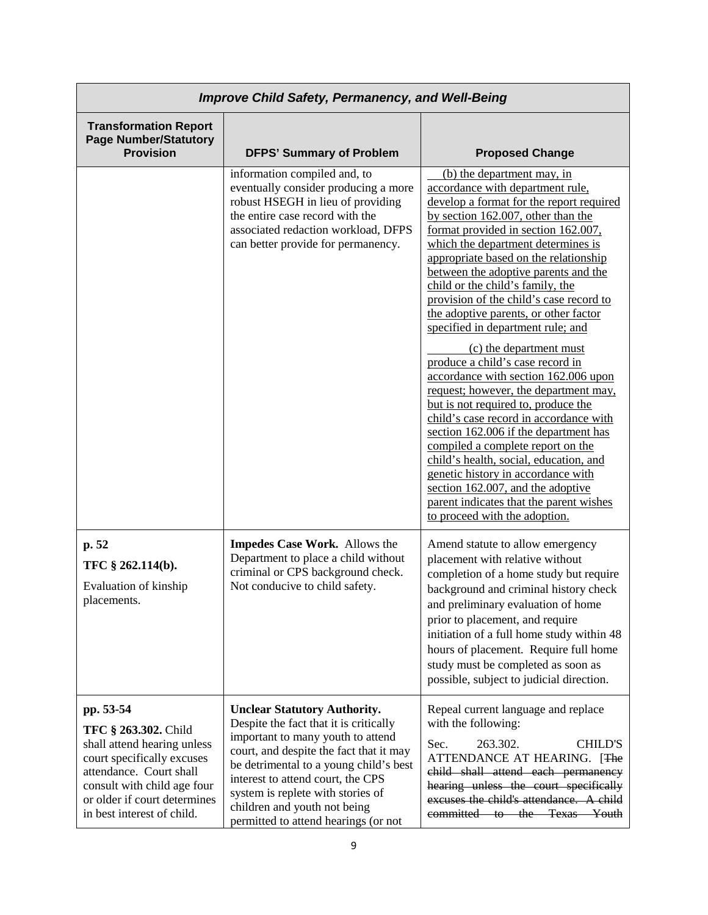|                                                                                                                                                                                                                        | <b>Improve Child Safety, Permanency, and Well-Being</b>                                                                                                                                                                                                                                                                                                   |                                                                                                                                                                                                                                                                                                                                                                                                                                                                                                                                                                                                                                                                                                                                                                                                                                                                                                                                                                                                |
|------------------------------------------------------------------------------------------------------------------------------------------------------------------------------------------------------------------------|-----------------------------------------------------------------------------------------------------------------------------------------------------------------------------------------------------------------------------------------------------------------------------------------------------------------------------------------------------------|------------------------------------------------------------------------------------------------------------------------------------------------------------------------------------------------------------------------------------------------------------------------------------------------------------------------------------------------------------------------------------------------------------------------------------------------------------------------------------------------------------------------------------------------------------------------------------------------------------------------------------------------------------------------------------------------------------------------------------------------------------------------------------------------------------------------------------------------------------------------------------------------------------------------------------------------------------------------------------------------|
| <b>Transformation Report</b><br><b>Page Number/Statutory</b><br><b>Provision</b>                                                                                                                                       | <b>DFPS' Summary of Problem</b>                                                                                                                                                                                                                                                                                                                           | <b>Proposed Change</b>                                                                                                                                                                                                                                                                                                                                                                                                                                                                                                                                                                                                                                                                                                                                                                                                                                                                                                                                                                         |
|                                                                                                                                                                                                                        | information compiled and, to<br>eventually consider producing a more<br>robust HSEGH in lieu of providing<br>the entire case record with the<br>associated redaction workload, DFPS<br>can better provide for permanency.                                                                                                                                 | (b) the department may, in<br>accordance with department rule,<br>develop a format for the report required<br>by section $162.007$ , other than the<br>format provided in section 162.007,<br>which the department determines is<br>appropriate based on the relationship<br>between the adoptive parents and the<br>child or the child's family, the<br>provision of the child's case record to<br>the adoptive parents, or other factor<br>specified in department rule; and<br>(c) the department must<br>produce a child's case record in<br>accordance with section 162.006 upon<br>request; however, the department may,<br>but is not required to, produce the<br>child's case record in accordance with<br>section 162.006 if the department has<br>compiled a complete report on the<br>child's health, social, education, and<br>genetic history in accordance with<br>section 162.007, and the adoptive<br>parent indicates that the parent wishes<br>to proceed with the adoption. |
| p. 52<br>TFC § 262.114(b).<br>Evaluation of kinship<br>placements.                                                                                                                                                     | Impedes Case Work. Allows the<br>Department to place a child without<br>criminal or CPS background check.<br>Not conducive to child safety.                                                                                                                                                                                                               | Amend statute to allow emergency<br>placement with relative without<br>completion of a home study but require<br>background and criminal history check<br>and preliminary evaluation of home<br>prior to placement, and require<br>initiation of a full home study within 48<br>hours of placement. Require full home<br>study must be completed as soon as<br>possible, subject to judicial direction.                                                                                                                                                                                                                                                                                                                                                                                                                                                                                                                                                                                        |
| pp. 53-54<br>TFC § 263.302. Child<br>shall attend hearing unless<br>court specifically excuses<br>attendance. Court shall<br>consult with child age four<br>or older if court determines<br>in best interest of child. | <b>Unclear Statutory Authority.</b><br>Despite the fact that it is critically<br>important to many youth to attend<br>court, and despite the fact that it may<br>be detrimental to a young child's best<br>interest to attend court, the CPS<br>system is replete with stories of<br>children and youth not being<br>permitted to attend hearings (or not | Repeal current language and replace<br>with the following:<br>263.302.<br><b>CHILD'S</b><br>Sec.<br>ATTENDANCE AT HEARING. [The<br>child shall attend each permanency<br>hearing unless the court specifically<br>excuses the child's attendance. A child<br>committed to the Texas Youth                                                                                                                                                                                                                                                                                                                                                                                                                                                                                                                                                                                                                                                                                                      |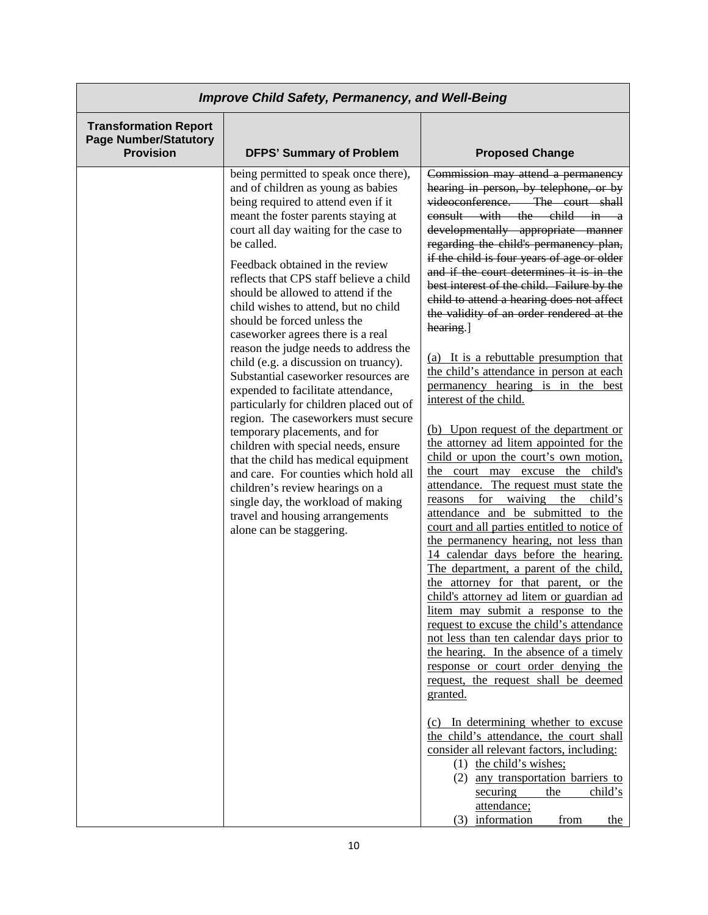|                                                                                  | <b>Improve Child Safety, Permanency, and Well-Being</b>                                                                                                                                                                                                                                                                                                                                                                                                                                                                                                                                                                                                                                                                                                                                                                                                                                                                                                                                             |                                                                                                                                                                                                                                                                                                                                                                                                                                                                                                                                                                                                                                                                                                                                                                                                                                                                                                                                                                                                                                                                                                                                                                                                                                                                                                                                                                                                                                                                                                                                                                                                                                                                                                                                                               |
|----------------------------------------------------------------------------------|-----------------------------------------------------------------------------------------------------------------------------------------------------------------------------------------------------------------------------------------------------------------------------------------------------------------------------------------------------------------------------------------------------------------------------------------------------------------------------------------------------------------------------------------------------------------------------------------------------------------------------------------------------------------------------------------------------------------------------------------------------------------------------------------------------------------------------------------------------------------------------------------------------------------------------------------------------------------------------------------------------|---------------------------------------------------------------------------------------------------------------------------------------------------------------------------------------------------------------------------------------------------------------------------------------------------------------------------------------------------------------------------------------------------------------------------------------------------------------------------------------------------------------------------------------------------------------------------------------------------------------------------------------------------------------------------------------------------------------------------------------------------------------------------------------------------------------------------------------------------------------------------------------------------------------------------------------------------------------------------------------------------------------------------------------------------------------------------------------------------------------------------------------------------------------------------------------------------------------------------------------------------------------------------------------------------------------------------------------------------------------------------------------------------------------------------------------------------------------------------------------------------------------------------------------------------------------------------------------------------------------------------------------------------------------------------------------------------------------------------------------------------------------|
| <b>Transformation Report</b><br><b>Page Number/Statutory</b><br><b>Provision</b> | <b>DFPS' Summary of Problem</b>                                                                                                                                                                                                                                                                                                                                                                                                                                                                                                                                                                                                                                                                                                                                                                                                                                                                                                                                                                     | <b>Proposed Change</b>                                                                                                                                                                                                                                                                                                                                                                                                                                                                                                                                                                                                                                                                                                                                                                                                                                                                                                                                                                                                                                                                                                                                                                                                                                                                                                                                                                                                                                                                                                                                                                                                                                                                                                                                        |
|                                                                                  | being permitted to speak once there),<br>and of children as young as babies<br>being required to attend even if it<br>meant the foster parents staying at<br>court all day waiting for the case to<br>be called.<br>Feedback obtained in the review<br>reflects that CPS staff believe a child<br>should be allowed to attend if the<br>child wishes to attend, but no child<br>should be forced unless the<br>caseworker agrees there is a real<br>reason the judge needs to address the<br>child (e.g. a discussion on truancy).<br>Substantial caseworker resources are<br>expended to facilitate attendance,<br>particularly for children placed out of<br>region. The caseworkers must secure<br>temporary placements, and for<br>children with special needs, ensure<br>that the child has medical equipment<br>and care. For counties which hold all<br>children's review hearings on a<br>single day, the workload of making<br>travel and housing arrangements<br>alone can be staggering. | Commission may attend a permanency<br>hearing in person, by telephone, or by<br>videoconference. The court shall<br>consult with the child in a<br>developmentally appropriate manner<br>regarding the child's permanency plan,<br>if the child is four years of age or older<br>and if the court determines it is in the<br>best interest of the child. Failure by the<br>child to attend a hearing does not affect<br>the validity of an order rendered at the<br>hearing.]<br>(a) It is a rebuttable presumption that<br>the child's attendance in person at each<br>permanency hearing is in the best<br>interest of the child.<br>(b) Upon request of the department or<br>the attorney ad litem appointed for the<br>child or upon the court's own motion,<br>the court may excuse the child's<br>attendance. The request must state the<br>for<br>waiving<br>the<br>child's<br>reasons<br>attendance and be submitted to the<br>court and all parties entitled to notice of<br>the permanency hearing, not less than<br>14 calendar days before the hearing.<br>The department, a parent of the child,<br>the attorney for that parent, or the<br>child's attorney ad litem or guardian ad<br>litem may submit a response to the<br>request to excuse the child's attendance<br>not less than ten calendar days prior to<br>the hearing. In the absence of a timely<br>response or court order denying the<br>request, the request shall be deemed<br>granted.<br>(c) In determining whether to excuse<br>the child's attendance, the court shall<br>consider all relevant factors, including:<br>$(1)$ the child's wishes;<br>any transportation barriers to<br>(2)<br>securing<br>child's<br>the<br>attendance;<br>information<br>from<br>the<br>(3) |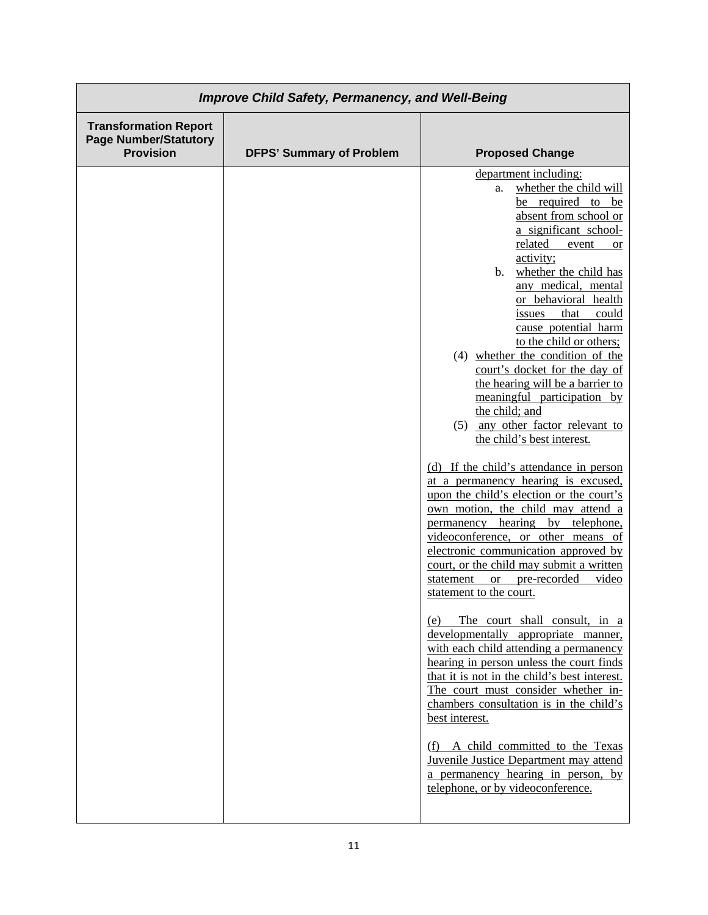| <b>Transformation Report</b><br><b>Page Number/Statutory</b><br><b>Provision</b><br><b>DFPS' Summary of Problem</b><br><b>Proposed Change</b><br>department including:<br>whether the child will<br>a.<br>be required to be<br>absent from school or<br>a significant school-<br>related<br>event<br>or<br>activity;<br>whether the child has<br>b.<br>any medical, mental<br>or behavioral health<br>that<br>could<br>issues<br>cause potential harm<br>to the child or others;<br>(4) whether the condition of the<br>court's docket for the day of<br>the hearing will be a barrier to<br>meaningful participation by<br>the child; and<br>(5) any other factor relevant to<br>the child's best interest.<br>(d) If the child's attendance in person<br>at a permanency hearing is excused,<br>upon the child's election or the court's<br>own motion, the child may attend a<br>permanency hearing<br>by<br>telephone,<br>videoconference, or other means of<br>electronic communication approved by<br>court, or the child may submit a written<br>or pre-recorded<br>video<br>statement<br>statement to the court. |
|--------------------------------------------------------------------------------------------------------------------------------------------------------------------------------------------------------------------------------------------------------------------------------------------------------------------------------------------------------------------------------------------------------------------------------------------------------------------------------------------------------------------------------------------------------------------------------------------------------------------------------------------------------------------------------------------------------------------------------------------------------------------------------------------------------------------------------------------------------------------------------------------------------------------------------------------------------------------------------------------------------------------------------------------------------------------------------------------------------------------------|
|                                                                                                                                                                                                                                                                                                                                                                                                                                                                                                                                                                                                                                                                                                                                                                                                                                                                                                                                                                                                                                                                                                                          |
| The court shall consult, in a<br>(e)<br>developmentally appropriate manner,<br>with each child attending a permanency<br>hearing in person unless the court finds<br>that it is not in the child's best interest.<br>The court must consider whether in-<br>chambers consultation is in the child's<br>best interest.<br>(f) A child committed to the Texas<br><b>Juvenile Justice Department may attend</b><br>a permanency hearing in person, by<br>telephone, or by videoconference.                                                                                                                                                                                                                                                                                                                                                                                                                                                                                                                                                                                                                                  |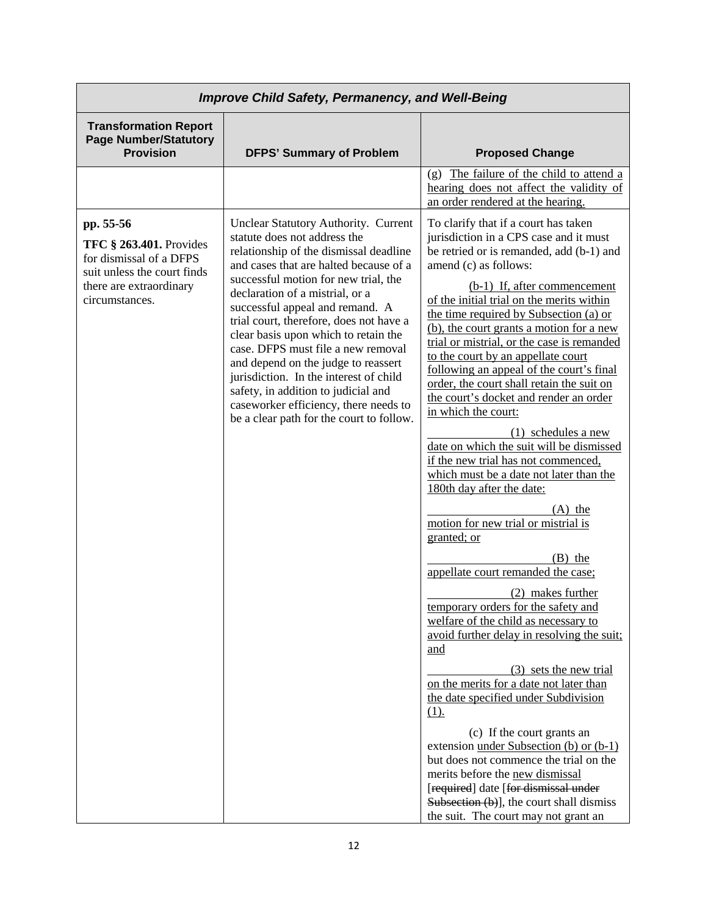| <b>Improve Child Safety, Permanency, and Well-Being</b>                                                                                     |                                                                                                                                                                                                                                                                                                                                                                                                                                                                                                                                                                                                              |                                                                                                                                                                                                                                                                                                                                                                                                                                                                                                                                                                                                                                                                                                                                                                                                                                                                                                                                                                                                                                                                                                                                                                                                                                                                                                                                                                                                                                                 |
|---------------------------------------------------------------------------------------------------------------------------------------------|--------------------------------------------------------------------------------------------------------------------------------------------------------------------------------------------------------------------------------------------------------------------------------------------------------------------------------------------------------------------------------------------------------------------------------------------------------------------------------------------------------------------------------------------------------------------------------------------------------------|-------------------------------------------------------------------------------------------------------------------------------------------------------------------------------------------------------------------------------------------------------------------------------------------------------------------------------------------------------------------------------------------------------------------------------------------------------------------------------------------------------------------------------------------------------------------------------------------------------------------------------------------------------------------------------------------------------------------------------------------------------------------------------------------------------------------------------------------------------------------------------------------------------------------------------------------------------------------------------------------------------------------------------------------------------------------------------------------------------------------------------------------------------------------------------------------------------------------------------------------------------------------------------------------------------------------------------------------------------------------------------------------------------------------------------------------------|
| <b>Transformation Report</b><br><b>Page Number/Statutory</b><br><b>Provision</b>                                                            | <b>DFPS' Summary of Problem</b>                                                                                                                                                                                                                                                                                                                                                                                                                                                                                                                                                                              | <b>Proposed Change</b>                                                                                                                                                                                                                                                                                                                                                                                                                                                                                                                                                                                                                                                                                                                                                                                                                                                                                                                                                                                                                                                                                                                                                                                                                                                                                                                                                                                                                          |
|                                                                                                                                             |                                                                                                                                                                                                                                                                                                                                                                                                                                                                                                                                                                                                              | (g) The failure of the child to attend a<br>hearing does not affect the validity of<br>an order rendered at the hearing.                                                                                                                                                                                                                                                                                                                                                                                                                                                                                                                                                                                                                                                                                                                                                                                                                                                                                                                                                                                                                                                                                                                                                                                                                                                                                                                        |
| pp. 55-56<br>TFC § 263.401. Provides<br>for dismissal of a DFPS<br>suit unless the court finds<br>there are extraordinary<br>circumstances. | Unclear Statutory Authority. Current<br>statute does not address the<br>relationship of the dismissal deadline<br>and cases that are halted because of a<br>successful motion for new trial, the<br>declaration of a mistrial, or a<br>successful appeal and remand. A<br>trial court, therefore, does not have a<br>clear basis upon which to retain the<br>case. DFPS must file a new removal<br>and depend on the judge to reassert<br>jurisdiction. In the interest of child<br>safety, in addition to judicial and<br>caseworker efficiency, there needs to<br>be a clear path for the court to follow. | To clarify that if a court has taken<br>jurisdiction in a CPS case and it must<br>be retried or is remanded, add (b-1) and<br>amend (c) as follows:<br>(b-1) If, after commencement<br>of the initial trial on the merits within<br>the time required by Subsection (a) or<br>(b), the court grants a motion for a new<br>trial or mistrial, or the case is remanded<br>to the court by an appellate court<br>following an appeal of the court's final<br>order, the court shall retain the suit on<br>the court's docket and render an order<br>in which the court:<br>(1) schedules a new<br>date on which the suit will be dismissed<br>if the new trial has not commenced,<br>which must be a date not later than the<br>180th day after the date:<br>$(A)$ the<br>motion for new trial or mistrial is<br>granted; or<br>$(B)$ the<br>appellate court remanded the case;<br>(2) makes further<br>temporary orders for the safety and<br>welfare of the child as necessary to<br>avoid further delay in resolving the suit;<br>and<br>(3) sets the new trial<br>on the merits for a date not later than<br>the date specified under Subdivision<br>$(1)$ .<br>(c) If the court grants an<br>extension under Subsection (b) or (b-1)<br>but does not commence the trial on the<br>merits before the new dismissal<br>[required] date [for dismissal under<br>Subsection (b)], the court shall dismiss<br>the suit. The court may not grant an |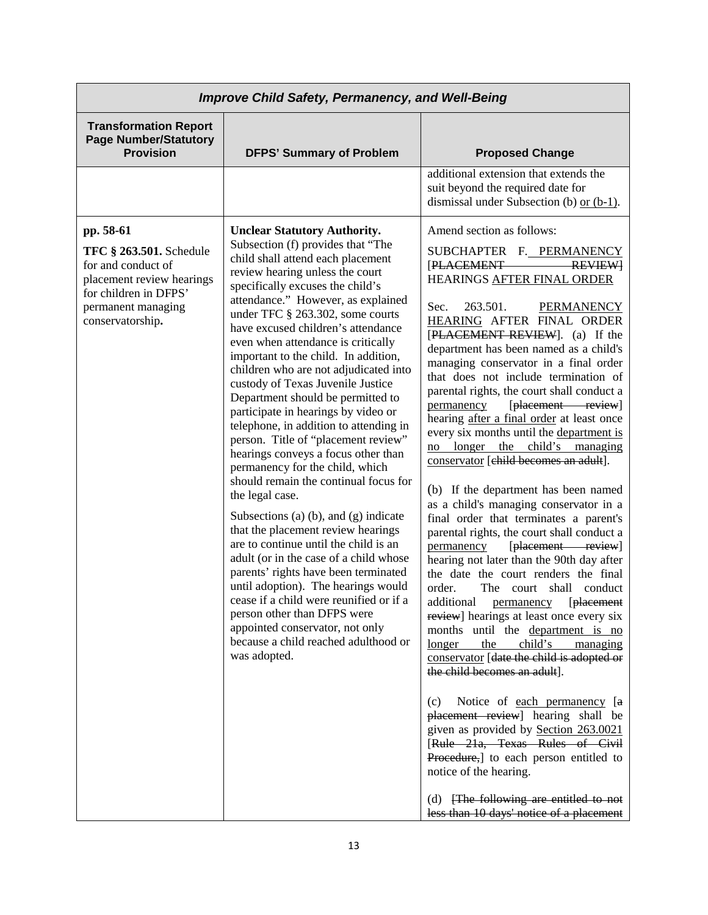| <b>Improve Child Safety, Permanency, and Well-Being</b>                                                                                                           |                                                                                                                                                                                                                                                                                                                                                                                                                                                                                                                                                                                                                                                                                                                                                                                                                                                                                                                                                                                                                                                                                                                                                                                                |                                                                                                                                                                                                                                                                                                                                                                                                                                                                                                                                                                                                                                                                                                                                                                                                                                                                                                                                                                                                                                                                                                                                                                                                                                                                                                                                                                                                                                              |
|-------------------------------------------------------------------------------------------------------------------------------------------------------------------|------------------------------------------------------------------------------------------------------------------------------------------------------------------------------------------------------------------------------------------------------------------------------------------------------------------------------------------------------------------------------------------------------------------------------------------------------------------------------------------------------------------------------------------------------------------------------------------------------------------------------------------------------------------------------------------------------------------------------------------------------------------------------------------------------------------------------------------------------------------------------------------------------------------------------------------------------------------------------------------------------------------------------------------------------------------------------------------------------------------------------------------------------------------------------------------------|----------------------------------------------------------------------------------------------------------------------------------------------------------------------------------------------------------------------------------------------------------------------------------------------------------------------------------------------------------------------------------------------------------------------------------------------------------------------------------------------------------------------------------------------------------------------------------------------------------------------------------------------------------------------------------------------------------------------------------------------------------------------------------------------------------------------------------------------------------------------------------------------------------------------------------------------------------------------------------------------------------------------------------------------------------------------------------------------------------------------------------------------------------------------------------------------------------------------------------------------------------------------------------------------------------------------------------------------------------------------------------------------------------------------------------------------|
| <b>Transformation Report</b><br><b>Page Number/Statutory</b><br><b>Provision</b>                                                                                  | <b>DFPS' Summary of Problem</b>                                                                                                                                                                                                                                                                                                                                                                                                                                                                                                                                                                                                                                                                                                                                                                                                                                                                                                                                                                                                                                                                                                                                                                | <b>Proposed Change</b>                                                                                                                                                                                                                                                                                                                                                                                                                                                                                                                                                                                                                                                                                                                                                                                                                                                                                                                                                                                                                                                                                                                                                                                                                                                                                                                                                                                                                       |
|                                                                                                                                                                   |                                                                                                                                                                                                                                                                                                                                                                                                                                                                                                                                                                                                                                                                                                                                                                                                                                                                                                                                                                                                                                                                                                                                                                                                | additional extension that extends the<br>suit beyond the required date for<br>dismissal under Subsection (b) or $(b-1)$ .                                                                                                                                                                                                                                                                                                                                                                                                                                                                                                                                                                                                                                                                                                                                                                                                                                                                                                                                                                                                                                                                                                                                                                                                                                                                                                                    |
| pp. 58-61<br><b>TFC § 263.501.</b> Schedule<br>for and conduct of<br>placement review hearings<br>for children in DFPS'<br>permanent managing<br>conservatorship. | <b>Unclear Statutory Authority.</b><br>Subsection (f) provides that "The<br>child shall attend each placement<br>review hearing unless the court<br>specifically excuses the child's<br>attendance." However, as explained<br>under TFC § 263.302, some courts<br>have excused children's attendance<br>even when attendance is critically<br>important to the child. In addition,<br>children who are not adjudicated into<br>custody of Texas Juvenile Justice<br>Department should be permitted to<br>participate in hearings by video or<br>telephone, in addition to attending in<br>person. Title of "placement review"<br>hearings conveys a focus other than<br>permanency for the child, which<br>should remain the continual focus for<br>the legal case.<br>Subsections (a) $(b)$ , and $(g)$ indicate<br>that the placement review hearings<br>are to continue until the child is an<br>adult (or in the case of a child whose<br>parents' rights have been terminated<br>until adoption). The hearings would<br>cease if a child were reunified or if a<br>person other than DFPS were<br>appointed conservator, not only<br>because a child reached adulthood or<br>was adopted. | Amend section as follows:<br>SUBCHAPTER F. PERMANENCY<br><b>PLACEMENT</b><br><b>REVIEW</b><br>HEARINGS AFTER FINAL ORDER<br>263.501.<br>Sec.<br><b>PERMANENCY</b><br><b>HEARING AFTER FINAL ORDER</b><br>[PLACEMENT REVIEW]. (a) If the<br>department has been named as a child's<br>managing conservator in a final order<br>that does not include termination of<br>parental rights, the court shall conduct a<br>[placement review]<br>permanency<br>hearing after a final order at least once<br>every six months until the department is<br>child's managing<br>no longer<br>the<br>conservator [child becomes an adult].<br>(b) If the department has been named<br>as a child's managing conservator in a<br>final order that terminates a parent's<br>parental rights, the court shall conduct a<br>[placement review]<br>permanency<br>hearing not later than the 90th day after<br>the date the court renders the final<br>order.<br>The court shall conduct<br>additional permanency [placement<br>review] hearings at least once every six<br>months until the department is no<br>the<br>child's<br>longer<br>managing<br>conservator [date the child is adopted or<br>the child becomes an adult].<br>Notice of each permanency [a<br>(c)<br>placement review] hearing shall be<br>given as provided by Section 263.0021<br>[Rule 21a, Texas Rules of Civil<br>Procedure, to each person entitled to<br>notice of the hearing. |
|                                                                                                                                                                   |                                                                                                                                                                                                                                                                                                                                                                                                                                                                                                                                                                                                                                                                                                                                                                                                                                                                                                                                                                                                                                                                                                                                                                                                | (d) [The following are entitled to not<br>less than 10 days' notice of a placement                                                                                                                                                                                                                                                                                                                                                                                                                                                                                                                                                                                                                                                                                                                                                                                                                                                                                                                                                                                                                                                                                                                                                                                                                                                                                                                                                           |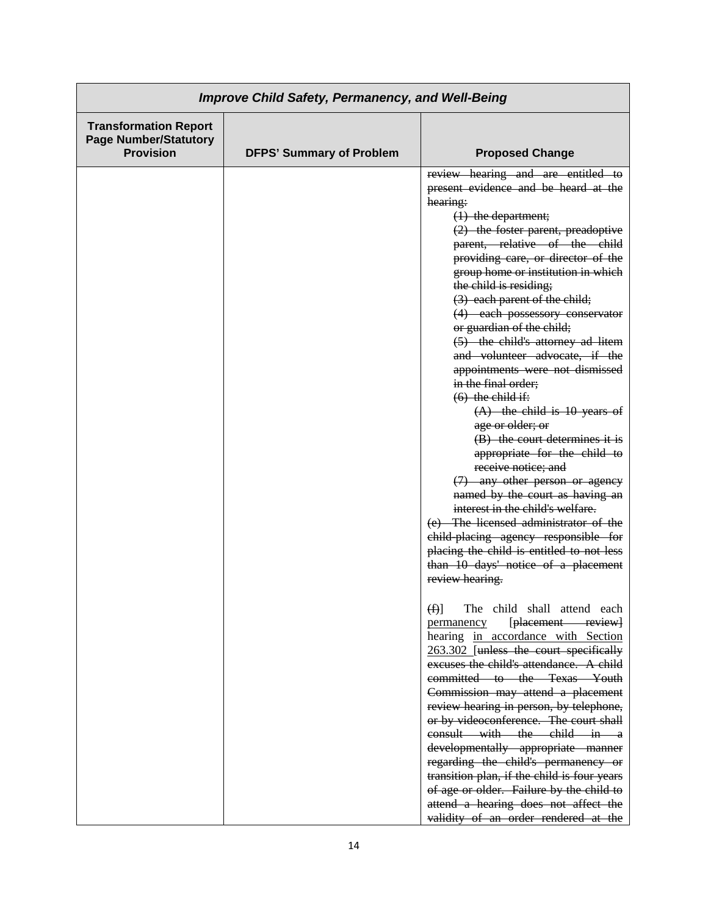| <b>Improve Child Safety, Permanency, and Well-Being</b>                          |                                 |                                                                                                                                                                                                                                                                                                                                                                                                                                                                                                                                                                                                                                                                                                                                                                                                                                                                                                                                                                                                         |
|----------------------------------------------------------------------------------|---------------------------------|---------------------------------------------------------------------------------------------------------------------------------------------------------------------------------------------------------------------------------------------------------------------------------------------------------------------------------------------------------------------------------------------------------------------------------------------------------------------------------------------------------------------------------------------------------------------------------------------------------------------------------------------------------------------------------------------------------------------------------------------------------------------------------------------------------------------------------------------------------------------------------------------------------------------------------------------------------------------------------------------------------|
| <b>Transformation Report</b><br><b>Page Number/Statutory</b><br><b>Provision</b> | <b>DFPS' Summary of Problem</b> | <b>Proposed Change</b>                                                                                                                                                                                                                                                                                                                                                                                                                                                                                                                                                                                                                                                                                                                                                                                                                                                                                                                                                                                  |
|                                                                                  |                                 | review hearing and are entitled to<br>present evidence and be heard at the<br>hearing:<br>$(1)$ the department;<br>$(2)$ the foster parent, preadoptive<br>parent, relative of the child<br>providing care, or director of the<br>group home or institution in which<br>the child is residing;<br>(3) each parent of the child;<br>(4) each possessory conservator<br>or guardian of the child;<br>(5) the child's attorney ad litem<br>and volunteer advocate, if the<br>appointments were not dismissed<br>in the final order;<br>$(6)$ the child if:<br>$(A)$ the child is 10 years of<br>age or older; or<br>(B) the court determines it is<br>appropriate for the child to<br>receive notice; and<br>(7) any other person or agency<br>named by the court as having an<br>interest in the child's welfare.<br>(e) The licensed administrator of the<br>child-placing agency responsible for<br>placing the child is entitled to not less<br>than 10 days' notice of a placement<br>review hearing. |
|                                                                                  |                                 | (f)<br>The child shall attend each<br>[placement review]<br>permanency<br>hearing in accordance with Section<br>263.302 [unless the court specifically<br>excuses the child's attendance. A child<br>committed to the Texas Youth<br>Commission may attend a placement<br>review hearing in person, by telephone,<br>or by videoconference. The court shall<br>consult with the child in a<br>developmentally appropriate manner<br>regarding the child's permanency or<br>transition plan, if the child is four years<br>of age or older. Failure by the child to<br>attend a hearing does not affect the<br>validity of an order rendered at the                                                                                                                                                                                                                                                                                                                                                      |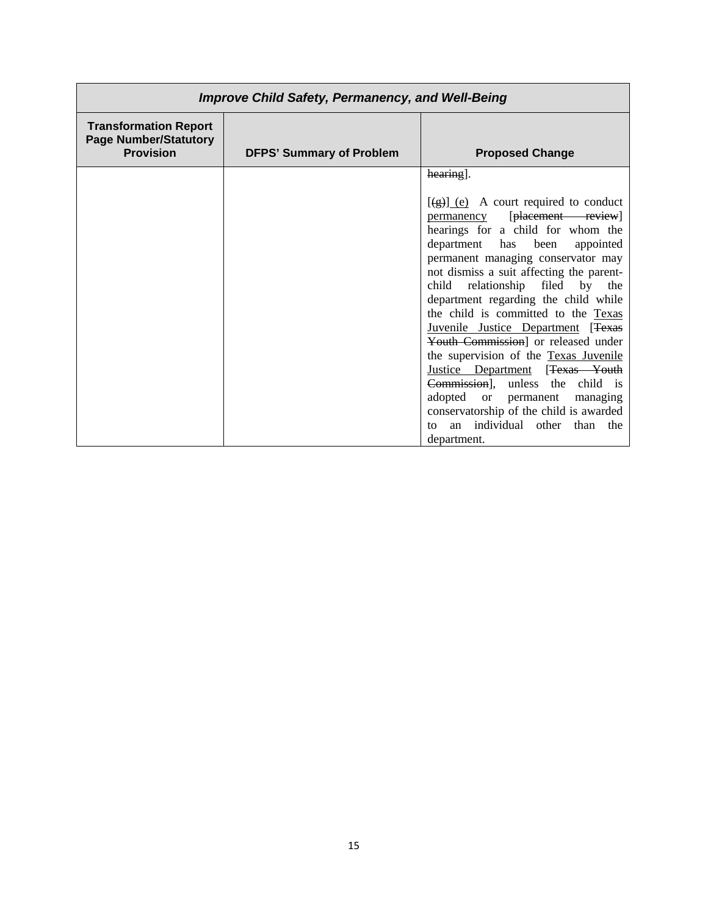| <b>Improve Child Safety, Permanency, and Well-Being</b>                          |                                 |                                                                                                                                                                                                                                                                                                                                                                                                                                                                                                                                                                                                                                                                                                                                                                |
|----------------------------------------------------------------------------------|---------------------------------|----------------------------------------------------------------------------------------------------------------------------------------------------------------------------------------------------------------------------------------------------------------------------------------------------------------------------------------------------------------------------------------------------------------------------------------------------------------------------------------------------------------------------------------------------------------------------------------------------------------------------------------------------------------------------------------------------------------------------------------------------------------|
| <b>Transformation Report</b><br><b>Page Number/Statutory</b><br><b>Provision</b> | <b>DFPS' Summary of Problem</b> | <b>Proposed Change</b>                                                                                                                                                                                                                                                                                                                                                                                                                                                                                                                                                                                                                                                                                                                                         |
|                                                                                  |                                 | hearing.<br>$\overline{(\frac{1}{2}) \cdot (\frac{1}{2})}$ A court required to conduct<br>[placement review]<br><u>permanency</u><br>hearings for a child for whom the<br>department has<br>been<br>appointed<br>permanent managing conservator may<br>not dismiss a suit affecting the parent-<br>child relationship filed by the<br>department regarding the child while<br>the child is committed to the Texas<br>Juvenile Justice Department [Texas<br>Youth Commission] or released under<br>the supervision of the Texas Juvenile<br>Justice Department [Texas Youth<br>Commission], unless the child is<br>adopted<br>or permanent<br>managing<br>conservatorship of the child is awarded<br>individual other<br>than<br>the<br>tΩ<br>an<br>department. |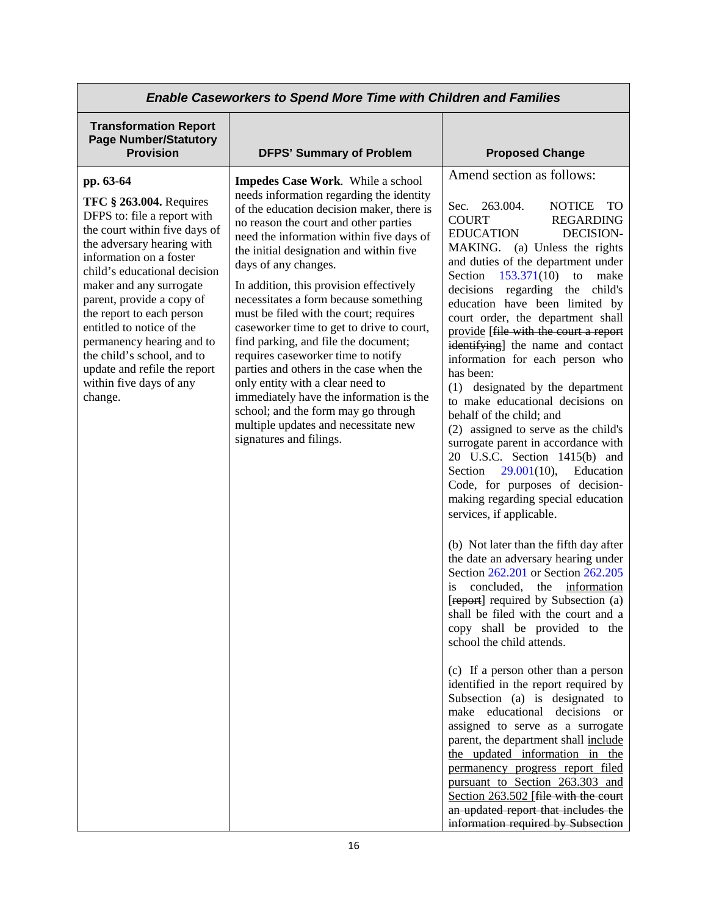| <b>Enable Caseworkers to Spend More Time with Children and Families</b>                                                                                                                                                                         |                                                                                                                                                                                                                                                                                                                                                                                                                                                                                           |                                                                                                                                                                                                                                                                                                                                                                                                                                                                                                                                                                                                                                                                                                         |
|-------------------------------------------------------------------------------------------------------------------------------------------------------------------------------------------------------------------------------------------------|-------------------------------------------------------------------------------------------------------------------------------------------------------------------------------------------------------------------------------------------------------------------------------------------------------------------------------------------------------------------------------------------------------------------------------------------------------------------------------------------|---------------------------------------------------------------------------------------------------------------------------------------------------------------------------------------------------------------------------------------------------------------------------------------------------------------------------------------------------------------------------------------------------------------------------------------------------------------------------------------------------------------------------------------------------------------------------------------------------------------------------------------------------------------------------------------------------------|
| <b>Transformation Report</b><br><b>Page Number/Statutory</b><br><b>Provision</b>                                                                                                                                                                | <b>DFPS' Summary of Problem</b>                                                                                                                                                                                                                                                                                                                                                                                                                                                           | <b>Proposed Change</b>                                                                                                                                                                                                                                                                                                                                                                                                                                                                                                                                                                                                                                                                                  |
| pp. 63-64                                                                                                                                                                                                                                       | Impedes Case Work. While a school                                                                                                                                                                                                                                                                                                                                                                                                                                                         | Amend section as follows:                                                                                                                                                                                                                                                                                                                                                                                                                                                                                                                                                                                                                                                                               |
| <b>TFC § 263.004.</b> Requires<br>DFPS to: file a report with<br>the court within five days of<br>the adversary hearing with<br>information on a foster<br>child's educational decision                                                         | needs information regarding the identity<br>of the education decision maker, there is<br>no reason the court and other parties<br>need the information within five days of<br>the initial designation and within five<br>days of any changes.                                                                                                                                                                                                                                             | 263.004.<br>Sec.<br><b>NOTICE</b><br><b>TO</b><br><b>COURT</b><br><b>REGARDING</b><br><b>DECISION-</b><br>EDUCATION<br>MAKING. (a) Unless the rights<br>and duties of the department under<br>153.371(10)<br>make<br>Section<br>to                                                                                                                                                                                                                                                                                                                                                                                                                                                                      |
| maker and any surrogate<br>parent, provide a copy of<br>the report to each person<br>entitled to notice of the<br>permanency hearing and to<br>the child's school, and to<br>update and refile the report<br>within five days of any<br>change. | In addition, this provision effectively<br>necessitates a form because something<br>must be filed with the court; requires<br>caseworker time to get to drive to court,<br>find parking, and file the document;<br>requires caseworker time to notify<br>parties and others in the case when the<br>only entity with a clear need to<br>immediately have the information is the<br>school; and the form may go through<br>multiple updates and necessitate new<br>signatures and filings. | decisions regarding the<br>child's<br>education have been limited by<br>court order, the department shall<br>provide [file with the court a report<br>identifying] the name and contact<br>information for each person who<br>has been:<br>(1) designated by the department<br>to make educational decisions on<br>behalf of the child; and<br>(2) assigned to serve as the child's<br>surrogate parent in accordance with<br>20 U.S.C. Section 1415(b) and<br>Section $29.001(10)$ ,<br>Education<br>Code, for purposes of decision-<br>making regarding special education<br>services, if applicable.                                                                                                 |
|                                                                                                                                                                                                                                                 |                                                                                                                                                                                                                                                                                                                                                                                                                                                                                           | (b) Not later than the fifth day after<br>the date an adversary hearing under<br>Section 262.201 or Section 262.205<br>concluded,<br>information<br>the<br>is<br>[report] required by Subsection (a)<br>shall be filed with the court and a<br>copy shall be provided to the<br>school the child attends.<br>(c) If a person other than a person<br>identified in the report required by<br>Subsection (a) is designated to<br>make educational decisions<br><sub>or</sub><br>assigned to serve as a surrogate<br>parent, the department shall include<br>the updated information in the<br>permanency progress report filed<br>pursuant to Section 263.303 and<br>Section 263.502 [file with the court |
|                                                                                                                                                                                                                                                 |                                                                                                                                                                                                                                                                                                                                                                                                                                                                                           | an updated report that includes the<br>information required by Subsection                                                                                                                                                                                                                                                                                                                                                                                                                                                                                                                                                                                                                               |

I

Г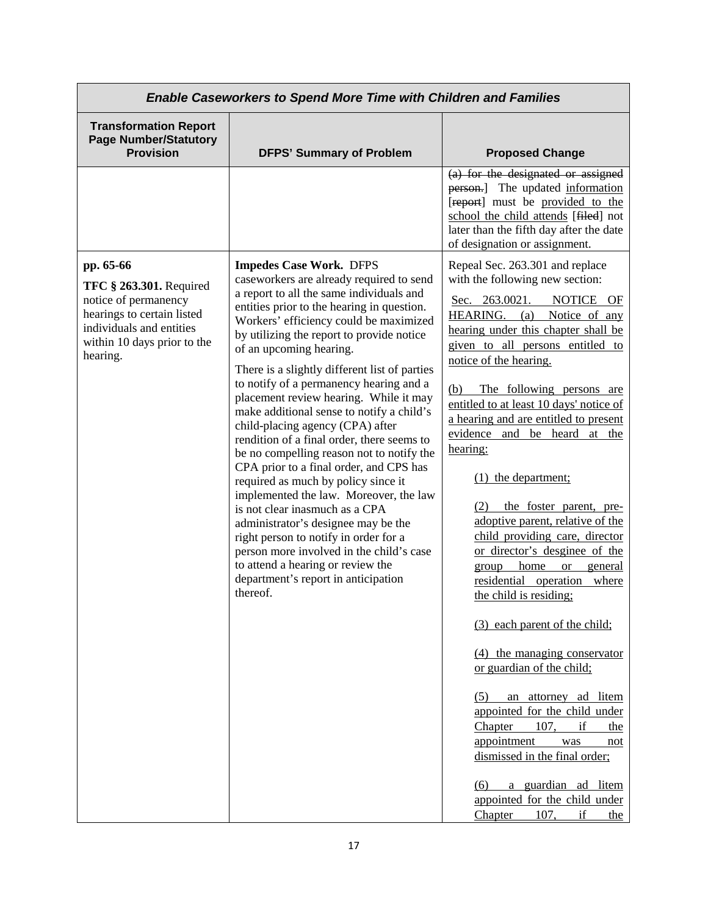| <b>Enable Caseworkers to Spend More Time with Children and Families</b>                                                                                           |                                                                                                                                                                                                                                                                                                                                                                                                                                                                                                                                                                                                                                                                                                                                                                                                                                                                                                                                                                                            |                                                                                                                                                                                                                                                                                                                                                                                                                                                                                                                                                                                                                                                                                                                                                                                                                                                                                                                                                                                                                                      |
|-------------------------------------------------------------------------------------------------------------------------------------------------------------------|--------------------------------------------------------------------------------------------------------------------------------------------------------------------------------------------------------------------------------------------------------------------------------------------------------------------------------------------------------------------------------------------------------------------------------------------------------------------------------------------------------------------------------------------------------------------------------------------------------------------------------------------------------------------------------------------------------------------------------------------------------------------------------------------------------------------------------------------------------------------------------------------------------------------------------------------------------------------------------------------|--------------------------------------------------------------------------------------------------------------------------------------------------------------------------------------------------------------------------------------------------------------------------------------------------------------------------------------------------------------------------------------------------------------------------------------------------------------------------------------------------------------------------------------------------------------------------------------------------------------------------------------------------------------------------------------------------------------------------------------------------------------------------------------------------------------------------------------------------------------------------------------------------------------------------------------------------------------------------------------------------------------------------------------|
| <b>Transformation Report</b><br><b>Page Number/Statutory</b><br><b>Provision</b>                                                                                  | <b>DFPS' Summary of Problem</b>                                                                                                                                                                                                                                                                                                                                                                                                                                                                                                                                                                                                                                                                                                                                                                                                                                                                                                                                                            | <b>Proposed Change</b>                                                                                                                                                                                                                                                                                                                                                                                                                                                                                                                                                                                                                                                                                                                                                                                                                                                                                                                                                                                                               |
|                                                                                                                                                                   |                                                                                                                                                                                                                                                                                                                                                                                                                                                                                                                                                                                                                                                                                                                                                                                                                                                                                                                                                                                            | (a) for the designated or assigned<br>person.] The updated information<br>[report] must be provided to the<br>school the child attends [filed] not<br>later than the fifth day after the date<br>of designation or assignment.                                                                                                                                                                                                                                                                                                                                                                                                                                                                                                                                                                                                                                                                                                                                                                                                       |
| pp. 65-66<br>TFC § 263.301. Required<br>notice of permanency<br>hearings to certain listed<br>individuals and entities<br>within 10 days prior to the<br>hearing. | <b>Impedes Case Work. DFPS</b><br>caseworkers are already required to send<br>a report to all the same individuals and<br>entities prior to the hearing in question.<br>Workers' efficiency could be maximized<br>by utilizing the report to provide notice<br>of an upcoming hearing.<br>There is a slightly different list of parties<br>to notify of a permanency hearing and a<br>placement review hearing. While it may<br>make additional sense to notify a child's<br>child-placing agency (CPA) after<br>rendition of a final order, there seems to<br>be no compelling reason not to notify the<br>CPA prior to a final order, and CPS has<br>required as much by policy since it<br>implemented the law. Moreover, the law<br>is not clear inasmuch as a CPA<br>administrator's designee may be the<br>right person to notify in order for a<br>person more involved in the child's case<br>to attend a hearing or review the<br>department's report in anticipation<br>thereof. | Repeal Sec. 263.301 and replace<br>with the following new section:<br>NOTICE OF<br>Sec. 263.0021.<br>HEARING. (a) Notice of any<br>hearing under this chapter shall be<br>given to all persons entitled to<br>notice of the hearing.<br>The following persons are<br>(b)<br>entitled to at least 10 days' notice of<br>a hearing and are entitled to present<br>evidence and be heard at the<br>hearing:<br>$(1)$ the department;<br>(2) the foster parent, pre-<br>adoptive parent, relative of the<br>child providing care, director<br>or director's desginee of the<br>home<br><b>or</b><br>general<br>group<br>residential operation where<br>the child is residing;<br>(3) each parent of the child;<br>(4) the managing conservator<br>or guardian of the child;<br>an attorney ad litem<br>(5)<br>appointed for the child under<br>Chapter<br>107,<br>if<br>the<br>appointment<br>was<br>not<br>dismissed in the final order;<br>a guardian ad litem<br>(6)<br>appointed for the child under<br>107,<br>if<br>Chapter<br>the |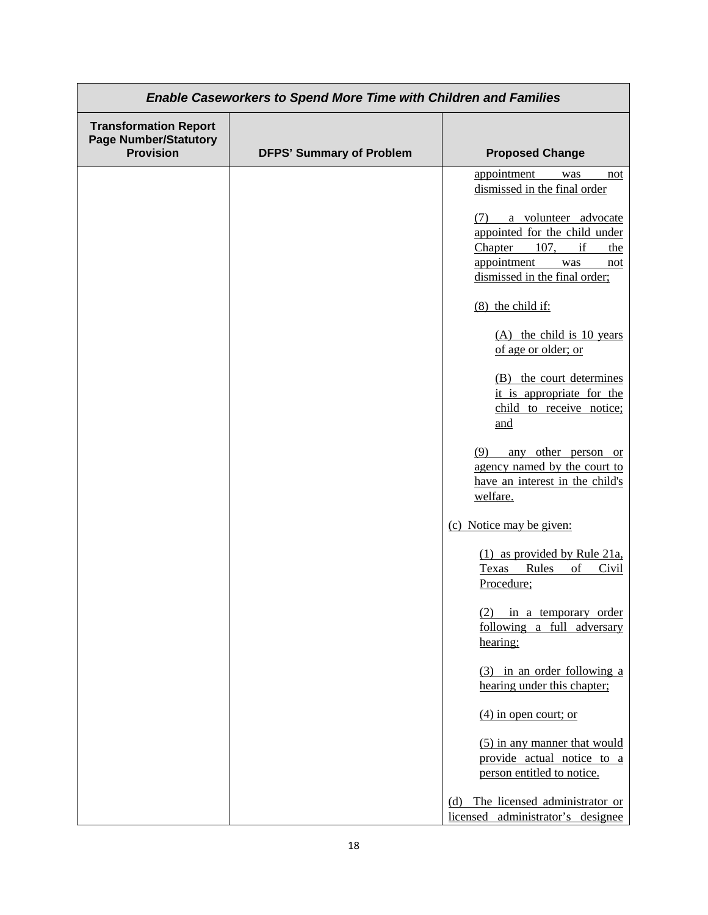| <b>Enable Caseworkers to Spend More Time with Children and Families</b>          |                                 |                                                                                                                                                         |
|----------------------------------------------------------------------------------|---------------------------------|---------------------------------------------------------------------------------------------------------------------------------------------------------|
| <b>Transformation Report</b><br><b>Page Number/Statutory</b><br><b>Provision</b> | <b>DFPS' Summary of Problem</b> | <b>Proposed Change</b>                                                                                                                                  |
|                                                                                  |                                 | appointment<br>was<br>not                                                                                                                               |
|                                                                                  |                                 | dismissed in the final order                                                                                                                            |
|                                                                                  |                                 | (7) a volunteer advocate<br>appointed for the child under<br>Chapter<br>107,<br>if<br>the<br>appointment<br>was<br>not<br>dismissed in the final order; |
|                                                                                  |                                 | $(8)$ the child if:                                                                                                                                     |
|                                                                                  |                                 | $(A)$ the child is 10 years<br>of age or older; or                                                                                                      |
|                                                                                  |                                 | (B) the court determines<br>it is appropriate for the<br>child to receive notice;<br>and                                                                |
|                                                                                  |                                 | (9)<br>any other person or<br>agency named by the court to<br>have an interest in the child's<br>welfare.                                               |
|                                                                                  |                                 | (c) Notice may be given:                                                                                                                                |
|                                                                                  |                                 | (1) as provided by Rule 21a,<br>Texas<br>of<br>Rules<br>Civil<br>Procedure;                                                                             |
|                                                                                  |                                 | $(2)$ in a temporary order<br>following a full adversary<br>hearing;                                                                                    |
|                                                                                  |                                 | (3) in an order following a<br>hearing under this chapter;                                                                                              |
|                                                                                  |                                 | $(4)$ in open court; or                                                                                                                                 |
|                                                                                  |                                 | (5) in any manner that would<br>provide actual notice to a<br>person entitled to notice.                                                                |
|                                                                                  |                                 | The licensed administrator or<br>(d)<br>licensed administrator's designee                                                                               |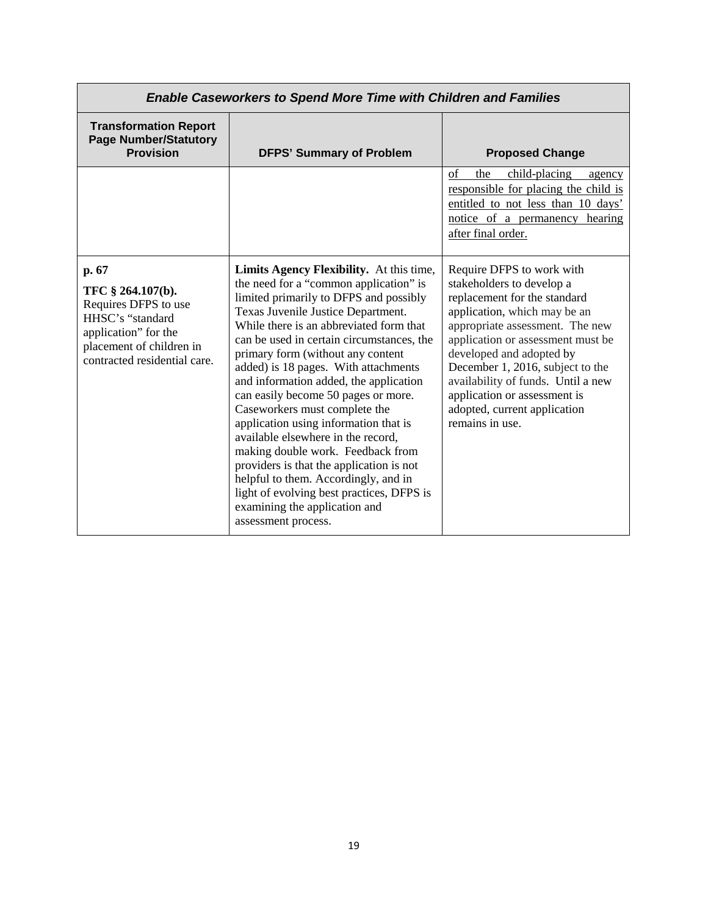| <b>Enable Caseworkers to Spend More Time with Children and Families</b>                                                                                    |                                                                                                                                                                                                                                                                                                                                                                                                                                                                                                                                                                                                                                                                                                                                                                        |                                                                                                                                                                                                                                                                                                                                                                                         |
|------------------------------------------------------------------------------------------------------------------------------------------------------------|------------------------------------------------------------------------------------------------------------------------------------------------------------------------------------------------------------------------------------------------------------------------------------------------------------------------------------------------------------------------------------------------------------------------------------------------------------------------------------------------------------------------------------------------------------------------------------------------------------------------------------------------------------------------------------------------------------------------------------------------------------------------|-----------------------------------------------------------------------------------------------------------------------------------------------------------------------------------------------------------------------------------------------------------------------------------------------------------------------------------------------------------------------------------------|
| <b>Transformation Report</b><br><b>Page Number/Statutory</b><br><b>Provision</b>                                                                           | <b>DFPS' Summary of Problem</b>                                                                                                                                                                                                                                                                                                                                                                                                                                                                                                                                                                                                                                                                                                                                        | <b>Proposed Change</b>                                                                                                                                                                                                                                                                                                                                                                  |
|                                                                                                                                                            |                                                                                                                                                                                                                                                                                                                                                                                                                                                                                                                                                                                                                                                                                                                                                                        | of<br>the<br>child-placing<br>agency<br>responsible for placing the child is<br>entitled to not less than 10 days'<br>notice of a permanency hearing<br>after final order.                                                                                                                                                                                                              |
| p. 67<br>TFC § 264.107(b).<br>Requires DFPS to use<br>HHSC's "standard<br>application" for the<br>placement of children in<br>contracted residential care. | Limits Agency Flexibility. At this time,<br>the need for a "common application" is<br>limited primarily to DFPS and possibly<br>Texas Juvenile Justice Department.<br>While there is an abbreviated form that<br>can be used in certain circumstances, the<br>primary form (without any content<br>added) is 18 pages. With attachments<br>and information added, the application<br>can easily become 50 pages or more.<br>Caseworkers must complete the<br>application using information that is<br>available elsewhere in the record,<br>making double work. Feedback from<br>providers is that the application is not<br>helpful to them. Accordingly, and in<br>light of evolving best practices, DFPS is<br>examining the application and<br>assessment process. | Require DFPS to work with<br>stakeholders to develop a<br>replacement for the standard<br>application, which may be an<br>appropriate assessment. The new<br>application or assessment must be<br>developed and adopted by<br>December 1, 2016, subject to the<br>availability of funds. Until a new<br>application or assessment is<br>adopted, current application<br>remains in use. |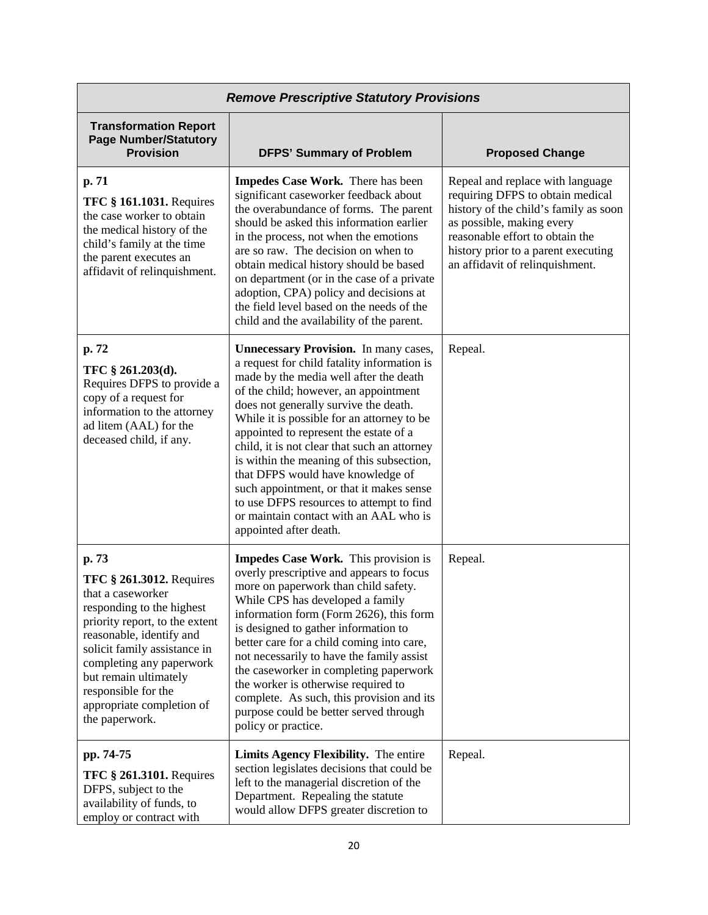| <b>Remove Prescriptive Statutory Provisions</b>                                                                                                                                                                                                                                                                     |                                                                                                                                                                                                                                                                                                                                                                                                                                                                                                                                                                                                               |                                                                                                                                                                                                                                                         |
|---------------------------------------------------------------------------------------------------------------------------------------------------------------------------------------------------------------------------------------------------------------------------------------------------------------------|---------------------------------------------------------------------------------------------------------------------------------------------------------------------------------------------------------------------------------------------------------------------------------------------------------------------------------------------------------------------------------------------------------------------------------------------------------------------------------------------------------------------------------------------------------------------------------------------------------------|---------------------------------------------------------------------------------------------------------------------------------------------------------------------------------------------------------------------------------------------------------|
| <b>Transformation Report</b><br><b>Page Number/Statutory</b><br><b>Provision</b>                                                                                                                                                                                                                                    | <b>DFPS' Summary of Problem</b>                                                                                                                                                                                                                                                                                                                                                                                                                                                                                                                                                                               | <b>Proposed Change</b>                                                                                                                                                                                                                                  |
| p. 71<br><b>TFC § 161.1031. Requires</b><br>the case worker to obtain<br>the medical history of the<br>child's family at the time<br>the parent executes an<br>affidavit of relinquishment.                                                                                                                         | Impedes Case Work. There has been<br>significant caseworker feedback about<br>the overabundance of forms. The parent<br>should be asked this information earlier<br>in the process, not when the emotions<br>are so raw. The decision on when to<br>obtain medical history should be based<br>on department (or in the case of a private<br>adoption, CPA) policy and decisions at<br>the field level based on the needs of the<br>child and the availability of the parent.                                                                                                                                  | Repeal and replace with language<br>requiring DFPS to obtain medical<br>history of the child's family as soon<br>as possible, making every<br>reasonable effort to obtain the<br>history prior to a parent executing<br>an affidavit of relinquishment. |
| p. 72<br>TFC § 261.203(d).<br>Requires DFPS to provide a<br>copy of a request for<br>information to the attorney<br>ad litem (AAL) for the<br>deceased child, if any.                                                                                                                                               | <b>Unnecessary Provision.</b> In many cases,<br>a request for child fatality information is<br>made by the media well after the death<br>of the child; however, an appointment<br>does not generally survive the death.<br>While it is possible for an attorney to be<br>appointed to represent the estate of a<br>child, it is not clear that such an attorney<br>is within the meaning of this subsection,<br>that DFPS would have knowledge of<br>such appointment, or that it makes sense<br>to use DFPS resources to attempt to find<br>or maintain contact with an AAL who is<br>appointed after death. | Repeal.                                                                                                                                                                                                                                                 |
| p. 73<br><b>TFC § 261.3012. Requires</b><br>that a caseworker<br>responding to the highest<br>priority report, to the extent<br>reasonable, identify and<br>solicit family assistance in<br>completing any paperwork<br>but remain ultimately<br>responsible for the<br>appropriate completion of<br>the paperwork. | Impedes Case Work. This provision is<br>overly prescriptive and appears to focus<br>more on paperwork than child safety.<br>While CPS has developed a family<br>information form (Form 2626), this form<br>is designed to gather information to<br>better care for a child coming into care,<br>not necessarily to have the family assist<br>the caseworker in completing paperwork<br>the worker is otherwise required to<br>complete. As such, this provision and its<br>purpose could be better served through<br>policy or practice.                                                                      | Repeal.                                                                                                                                                                                                                                                 |
| pp. 74-75<br><b>TFC § 261.3101.</b> Requires<br>DFPS, subject to the<br>availability of funds, to<br>employ or contract with                                                                                                                                                                                        | Limits Agency Flexibility. The entire<br>section legislates decisions that could be<br>left to the managerial discretion of the<br>Department. Repealing the statute<br>would allow DFPS greater discretion to                                                                                                                                                                                                                                                                                                                                                                                                | Repeal.                                                                                                                                                                                                                                                 |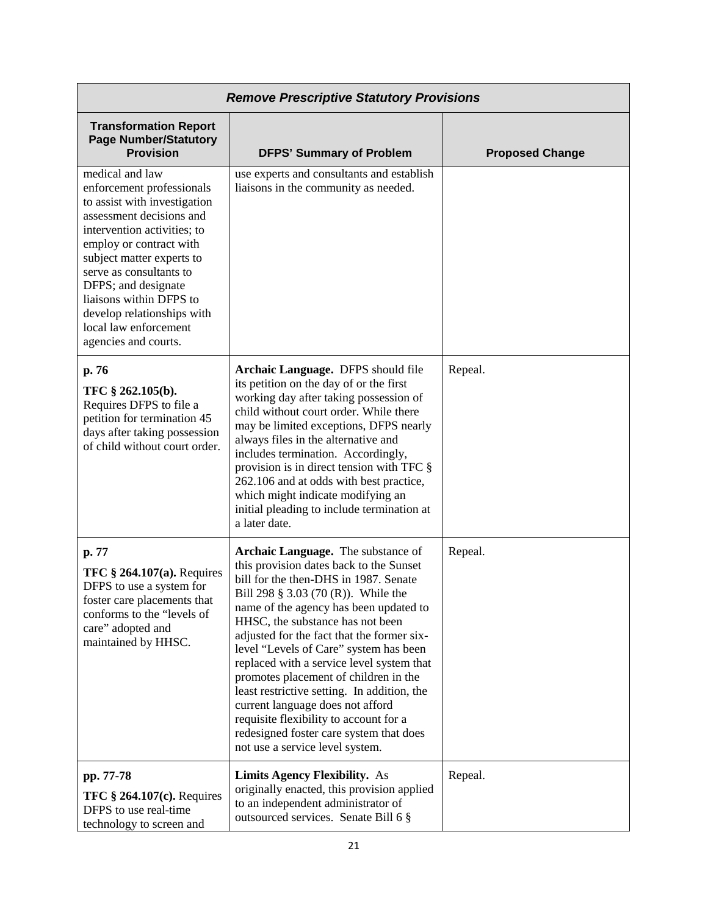| <b>Remove Prescriptive Statutory Provisions</b>                                                                                                                                                                                                                                                                                                             |                                                                                                                                                                                                                                                                                                                                                                                                                                                                                                                                                                                                                                      |                        |
|-------------------------------------------------------------------------------------------------------------------------------------------------------------------------------------------------------------------------------------------------------------------------------------------------------------------------------------------------------------|--------------------------------------------------------------------------------------------------------------------------------------------------------------------------------------------------------------------------------------------------------------------------------------------------------------------------------------------------------------------------------------------------------------------------------------------------------------------------------------------------------------------------------------------------------------------------------------------------------------------------------------|------------------------|
| <b>Transformation Report</b><br><b>Page Number/Statutory</b><br><b>Provision</b>                                                                                                                                                                                                                                                                            | <b>DFPS' Summary of Problem</b>                                                                                                                                                                                                                                                                                                                                                                                                                                                                                                                                                                                                      | <b>Proposed Change</b> |
| medical and law<br>enforcement professionals<br>to assist with investigation<br>assessment decisions and<br>intervention activities; to<br>employ or contract with<br>subject matter experts to<br>serve as consultants to<br>DFPS; and designate<br>liaisons within DFPS to<br>develop relationships with<br>local law enforcement<br>agencies and courts. | use experts and consultants and establish<br>liaisons in the community as needed.                                                                                                                                                                                                                                                                                                                                                                                                                                                                                                                                                    |                        |
| p. 76<br>TFC § 262.105(b).<br>Requires DFPS to file a<br>petition for termination 45<br>days after taking possession<br>of child without court order.                                                                                                                                                                                                       | Archaic Language. DFPS should file<br>its petition on the day of or the first<br>working day after taking possession of<br>child without court order. While there<br>may be limited exceptions, DFPS nearly<br>always files in the alternative and<br>includes termination. Accordingly,<br>provision is in direct tension with TFC §<br>262.106 and at odds with best practice,<br>which might indicate modifying an<br>initial pleading to include termination at<br>a later date.                                                                                                                                                 | Repeal.                |
| p. 77<br><b>TFC § 264.107(a). Requires</b><br>DFPS to use a system for<br>foster care placements that<br>conforms to the "levels of<br>care" adopted and<br>maintained by HHSC.                                                                                                                                                                             | Archaic Language. The substance of<br>this provision dates back to the Sunset<br>bill for the then-DHS in 1987. Senate<br>Bill 298 § 3.03 (70 (R)). While the<br>name of the agency has been updated to<br>HHSC, the substance has not been<br>adjusted for the fact that the former six-<br>level "Levels of Care" system has been<br>replaced with a service level system that<br>promotes placement of children in the<br>least restrictive setting. In addition, the<br>current language does not afford<br>requisite flexibility to account for a<br>redesigned foster care system that does<br>not use a service level system. | Repeal.                |
| pp. 77-78<br>TFC $§$ 264.107(c). Requires<br>DFPS to use real-time<br>technology to screen and                                                                                                                                                                                                                                                              | <b>Limits Agency Flexibility.</b> As<br>originally enacted, this provision applied<br>to an independent administrator of<br>outsourced services. Senate Bill 6 §                                                                                                                                                                                                                                                                                                                                                                                                                                                                     | Repeal.                |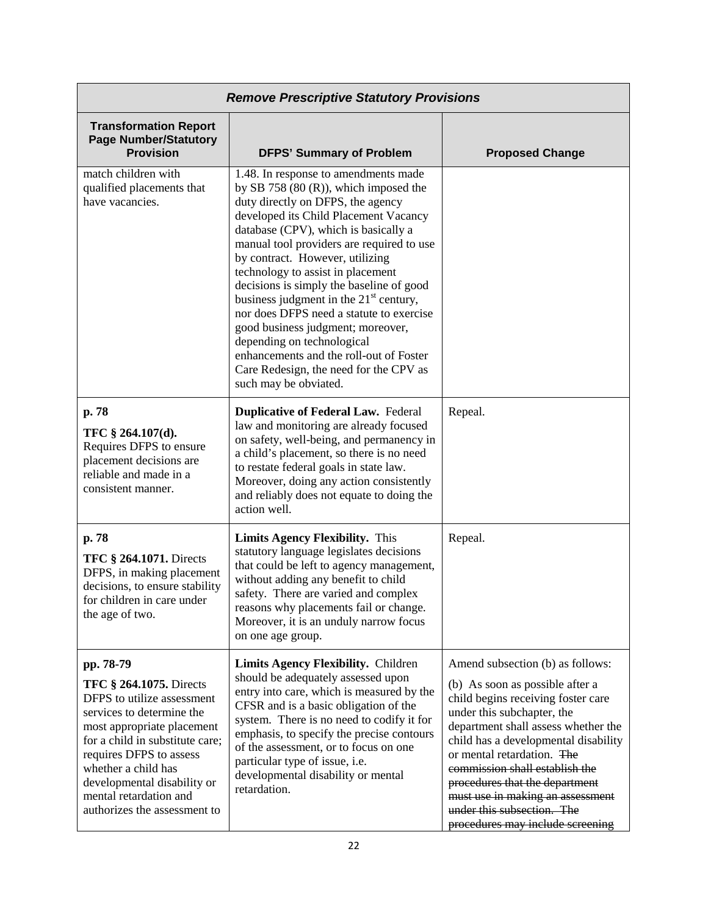| <b>Remove Prescriptive Statutory Provisions</b>                                                                                                                                                                                                                                                                    |                                                                                                                                                                                                                                                                                                                                                                                                                                                                                                                                                                                                                                                  |                                                                                                                                                                                                                                                                                                                                                                                                                                |
|--------------------------------------------------------------------------------------------------------------------------------------------------------------------------------------------------------------------------------------------------------------------------------------------------------------------|--------------------------------------------------------------------------------------------------------------------------------------------------------------------------------------------------------------------------------------------------------------------------------------------------------------------------------------------------------------------------------------------------------------------------------------------------------------------------------------------------------------------------------------------------------------------------------------------------------------------------------------------------|--------------------------------------------------------------------------------------------------------------------------------------------------------------------------------------------------------------------------------------------------------------------------------------------------------------------------------------------------------------------------------------------------------------------------------|
| <b>Transformation Report</b><br><b>Page Number/Statutory</b><br><b>Provision</b>                                                                                                                                                                                                                                   | <b>DFPS' Summary of Problem</b>                                                                                                                                                                                                                                                                                                                                                                                                                                                                                                                                                                                                                  | <b>Proposed Change</b>                                                                                                                                                                                                                                                                                                                                                                                                         |
| match children with<br>qualified placements that<br>have vacancies.                                                                                                                                                                                                                                                | 1.48. In response to amendments made<br>by SB 758 $(80 (R))$ , which imposed the<br>duty directly on DFPS, the agency<br>developed its Child Placement Vacancy<br>database (CPV), which is basically a<br>manual tool providers are required to use<br>by contract. However, utilizing<br>technology to assist in placement<br>decisions is simply the baseline of good<br>business judgment in the $21st$ century,<br>nor does DFPS need a statute to exercise<br>good business judgment; moreover,<br>depending on technological<br>enhancements and the roll-out of Foster<br>Care Redesign, the need for the CPV as<br>such may be obviated. |                                                                                                                                                                                                                                                                                                                                                                                                                                |
| p. 78<br>TFC § 264.107(d).<br>Requires DFPS to ensure<br>placement decisions are<br>reliable and made in a<br>consistent manner.                                                                                                                                                                                   | <b>Duplicative of Federal Law. Federal</b><br>law and monitoring are already focused<br>on safety, well-being, and permanency in<br>a child's placement, so there is no need<br>to restate federal goals in state law.<br>Moreover, doing any action consistently<br>and reliably does not equate to doing the<br>action well.                                                                                                                                                                                                                                                                                                                   | Repeal.                                                                                                                                                                                                                                                                                                                                                                                                                        |
| p. 78<br><b>TFC § 264.1071.</b> Directs<br>DFPS, in making placement<br>decisions, to ensure stability<br>for children in care under<br>the age of two.                                                                                                                                                            | <b>Limits Agency Flexibility.</b> This<br>statutory language legislates decisions<br>that could be left to agency management,<br>without adding any benefit to child<br>safety. There are varied and complex<br>reasons why placements fail or change.<br>Moreover, it is an unduly narrow focus<br>on one age group.                                                                                                                                                                                                                                                                                                                            | Repeal.                                                                                                                                                                                                                                                                                                                                                                                                                        |
| pp. 78-79<br><b>TFC § 264.1075.</b> Directs<br>DFPS to utilize assessment<br>services to determine the<br>most appropriate placement<br>for a child in substitute care;<br>requires DFPS to assess<br>whether a child has<br>developmental disability or<br>mental retardation and<br>authorizes the assessment to | Limits Agency Flexibility. Children<br>should be adequately assessed upon<br>entry into care, which is measured by the<br>CFSR and is a basic obligation of the<br>system. There is no need to codify it for<br>emphasis, to specify the precise contours<br>of the assessment, or to focus on one<br>particular type of issue, i.e.<br>developmental disability or mental<br>retardation.                                                                                                                                                                                                                                                       | Amend subsection (b) as follows:<br>(b) As soon as possible after a<br>child begins receiving foster care<br>under this subchapter, the<br>department shall assess whether the<br>child has a developmental disability<br>or mental retardation. The<br>commission shall establish the<br>procedures that the department<br>must use in making an assessment<br>under this subsection. The<br>procedures may include screening |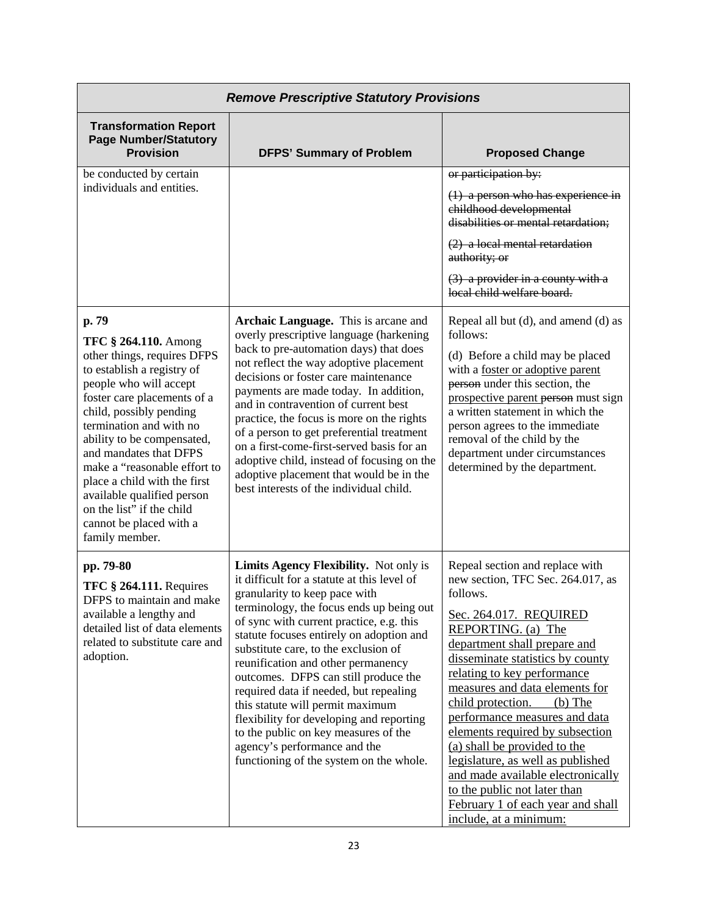| <b>Remove Prescriptive Statutory Provisions</b>                                                                                                                                                                                                                                                                                                                                                                                                  |                                                                                                                                                                                                                                                                                                                                                                                                                                                                                                                                                                                                                               |                                                                                                                                                                                                                                                                                                                                                                                                                                                                                                                                                                                      |
|--------------------------------------------------------------------------------------------------------------------------------------------------------------------------------------------------------------------------------------------------------------------------------------------------------------------------------------------------------------------------------------------------------------------------------------------------|-------------------------------------------------------------------------------------------------------------------------------------------------------------------------------------------------------------------------------------------------------------------------------------------------------------------------------------------------------------------------------------------------------------------------------------------------------------------------------------------------------------------------------------------------------------------------------------------------------------------------------|--------------------------------------------------------------------------------------------------------------------------------------------------------------------------------------------------------------------------------------------------------------------------------------------------------------------------------------------------------------------------------------------------------------------------------------------------------------------------------------------------------------------------------------------------------------------------------------|
| <b>Transformation Report</b><br><b>Page Number/Statutory</b><br><b>Provision</b>                                                                                                                                                                                                                                                                                                                                                                 | <b>DFPS' Summary of Problem</b>                                                                                                                                                                                                                                                                                                                                                                                                                                                                                                                                                                                               | <b>Proposed Change</b>                                                                                                                                                                                                                                                                                                                                                                                                                                                                                                                                                               |
| be conducted by certain<br>individuals and entities.                                                                                                                                                                                                                                                                                                                                                                                             |                                                                                                                                                                                                                                                                                                                                                                                                                                                                                                                                                                                                                               | or participation by:<br>$(1)$ a person who has experience in<br>childhood developmental<br>disabilities or mental retardation;<br>$(2)$ a local mental retardation<br>authority; or<br>$(3)$ a provider in a county with a<br>local child welfare board.                                                                                                                                                                                                                                                                                                                             |
| p. 79<br><b>TFC § 264.110.</b> Among<br>other things, requires DFPS<br>to establish a registry of<br>people who will accept<br>foster care placements of a<br>child, possibly pending<br>termination and with no<br>ability to be compensated,<br>and mandates that DFPS<br>make a "reasonable effort to<br>place a child with the first<br>available qualified person<br>on the list" if the child<br>cannot be placed with a<br>family member. | Archaic Language. This is arcane and<br>overly prescriptive language (harkening<br>back to pre-automation days) that does<br>not reflect the way adoptive placement<br>decisions or foster care maintenance<br>payments are made today. In addition,<br>and in contravention of current best<br>practice, the focus is more on the rights<br>of a person to get preferential treatment<br>on a first-come-first-served basis for an<br>adoptive child, instead of focusing on the<br>adoptive placement that would be in the<br>best interests of the individual child.                                                       | Repeal all but (d), and amend (d) as<br>follows:<br>(d) Before a child may be placed<br>with a foster or adoptive parent<br>person under this section, the<br>prospective parent person must sign<br>a written statement in which the<br>person agrees to the immediate<br>removal of the child by the<br>department under circumstances<br>determined by the department.                                                                                                                                                                                                            |
| pp. 79-80<br><b>TFC § 264.111. Requires</b><br>DFPS to maintain and make<br>available a lengthy and<br>detailed list of data elements<br>related to substitute care and<br>adoption.                                                                                                                                                                                                                                                             | Limits Agency Flexibility. Not only is<br>it difficult for a statute at this level of<br>granularity to keep pace with<br>terminology, the focus ends up being out<br>of sync with current practice, e.g. this<br>statute focuses entirely on adoption and<br>substitute care, to the exclusion of<br>reunification and other permanency<br>outcomes. DFPS can still produce the<br>required data if needed, but repealing<br>this statute will permit maximum<br>flexibility for developing and reporting<br>to the public on key measures of the<br>agency's performance and the<br>functioning of the system on the whole. | Repeal section and replace with<br>new section, TFC Sec. 264.017, as<br>follows.<br>Sec. 264.017. REQUIRED<br>REPORTING. (a) The<br>department shall prepare and<br>disseminate statistics by county<br>relating to key performance<br>measures and data elements for<br>child protection.<br>$(b)$ The<br>performance measures and data<br>elements required by subsection<br>(a) shall be provided to the<br>legislature, as well as published<br>and made available electronically<br>to the public not later than<br>February 1 of each year and shall<br>include, at a minimum: |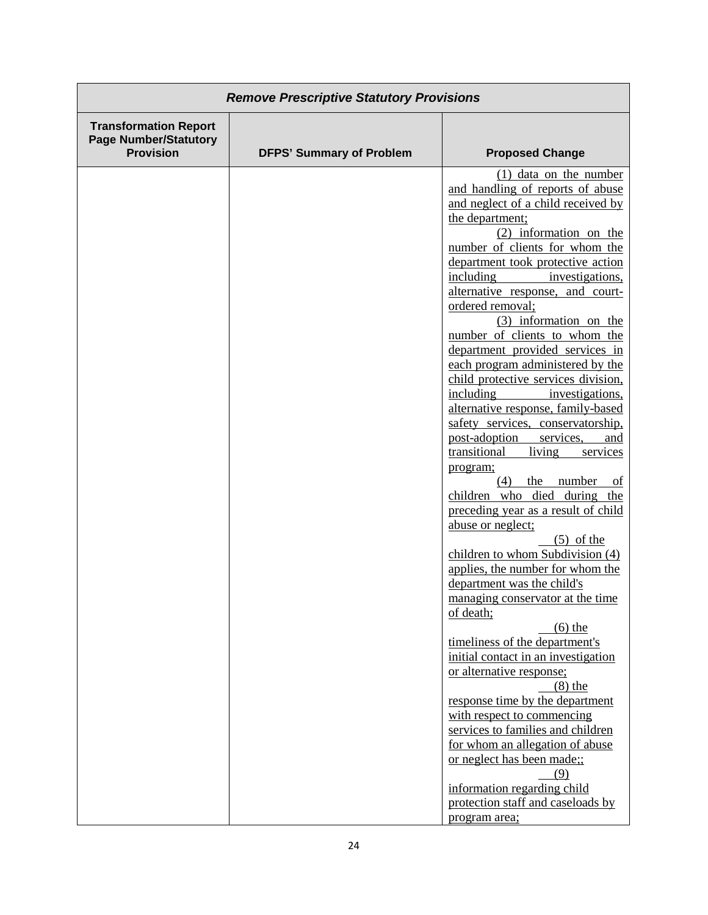| <b>Remove Prescriptive Statutory Provisions</b>                                  |                                 |                                                                                                                                                                                                                                                                                                                                                                                                                                                                                                                                                                                                                                                                                                                                                                                                                                                                                                                                                                                                                                                                                                                                                                                                                                                                                                                                                                                                           |
|----------------------------------------------------------------------------------|---------------------------------|-----------------------------------------------------------------------------------------------------------------------------------------------------------------------------------------------------------------------------------------------------------------------------------------------------------------------------------------------------------------------------------------------------------------------------------------------------------------------------------------------------------------------------------------------------------------------------------------------------------------------------------------------------------------------------------------------------------------------------------------------------------------------------------------------------------------------------------------------------------------------------------------------------------------------------------------------------------------------------------------------------------------------------------------------------------------------------------------------------------------------------------------------------------------------------------------------------------------------------------------------------------------------------------------------------------------------------------------------------------------------------------------------------------|
| <b>Transformation Report</b><br><b>Page Number/Statutory</b><br><b>Provision</b> | <b>DFPS' Summary of Problem</b> | <b>Proposed Change</b>                                                                                                                                                                                                                                                                                                                                                                                                                                                                                                                                                                                                                                                                                                                                                                                                                                                                                                                                                                                                                                                                                                                                                                                                                                                                                                                                                                                    |
|                                                                                  |                                 | $(1)$ data on the number<br>and handling of reports of abuse<br>and neglect of a child received by<br>the department:<br>(2) information on the<br>number of clients for whom the<br>department took protective action<br>including<br>investigations,<br>alternative response, and court-<br>ordered removal;<br>$(3)$ information on the<br>number of clients to whom the<br>department provided services in<br>each program administered by the<br>child protective services division,<br>including<br>investigations,<br>alternative response, family-based<br>safety services, conservatorship,<br>post-adoption<br>services,<br>and<br>transitional<br>living<br>services<br>program;<br>(4)<br>the<br>number<br>of<br>children who died during the<br>preceding year as a result of child<br>abuse or neglect;<br>$(5)$ of the<br>children to whom Subdivision (4)<br>applies, the number for whom the<br>department was the child's<br>managing conservator at the time<br>of death;<br>$\left(6\right)$ the<br>timeliness of the department's<br>initial contact in an investigation<br>or alternative response;<br>$(8)$ the<br>response time by the department<br>with respect to commencing<br>services to families and children<br>for whom an allegation of abuse<br>or neglect has been made;;<br>(9)<br>information regarding child<br>protection staff and caseloads by<br>program area; |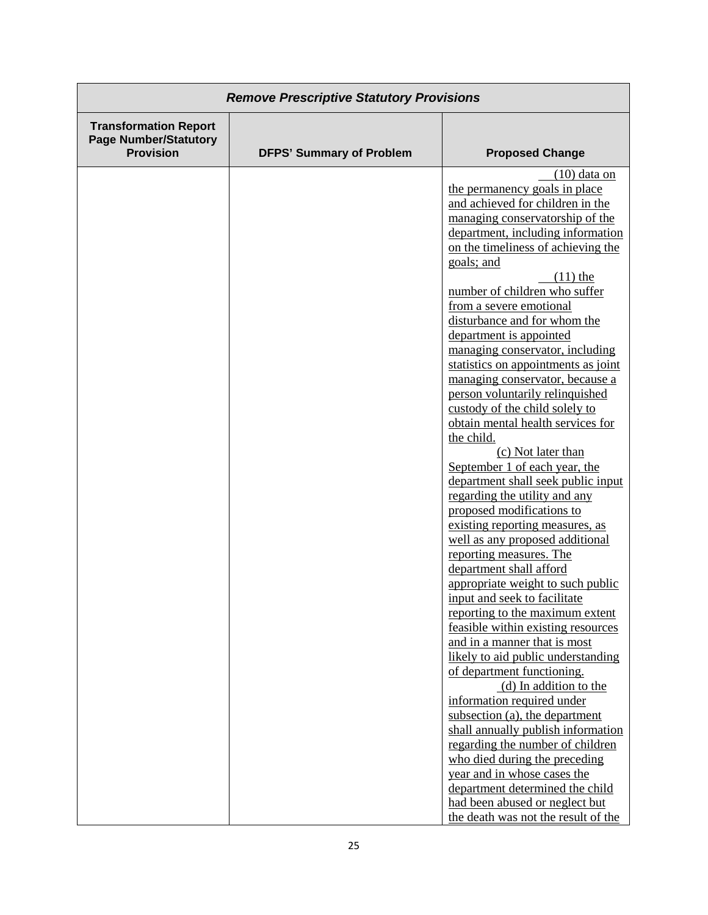| <b>Remove Prescriptive Statutory Provisions</b>                                  |                                 |                                                                                                                                                                                                                                                                                                                                                                                                                                                                                                                                                                                                                                                                                                                                                                                                                                                                                                                                                                                                                                                                                                                                                                                                                                                                                                                                                                                                                                                                                    |
|----------------------------------------------------------------------------------|---------------------------------|------------------------------------------------------------------------------------------------------------------------------------------------------------------------------------------------------------------------------------------------------------------------------------------------------------------------------------------------------------------------------------------------------------------------------------------------------------------------------------------------------------------------------------------------------------------------------------------------------------------------------------------------------------------------------------------------------------------------------------------------------------------------------------------------------------------------------------------------------------------------------------------------------------------------------------------------------------------------------------------------------------------------------------------------------------------------------------------------------------------------------------------------------------------------------------------------------------------------------------------------------------------------------------------------------------------------------------------------------------------------------------------------------------------------------------------------------------------------------------|
| <b>Transformation Report</b><br><b>Page Number/Statutory</b><br><b>Provision</b> | <b>DFPS' Summary of Problem</b> | <b>Proposed Change</b>                                                                                                                                                                                                                                                                                                                                                                                                                                                                                                                                                                                                                                                                                                                                                                                                                                                                                                                                                                                                                                                                                                                                                                                                                                                                                                                                                                                                                                                             |
|                                                                                  |                                 | $(10)$ data on<br>the permanency goals in place<br>and achieved for children in the<br>managing conservatorship of the<br>department, including information<br>on the timeliness of achieving the<br>goals; and<br>$(11)$ the<br>number of children who suffer<br>from a severe emotional<br>disturbance and for whom the<br>department is appointed<br>managing conservator, including<br>statistics on appointments as joint<br>managing conservator, because a<br>person voluntarily relinquished<br>custody of the child solely to<br>obtain mental health services for<br>the child.<br>(c) Not later than<br>September 1 of each year, the<br>department shall seek public input<br>regarding the utility and any<br>proposed modifications to<br>existing reporting measures, as<br>well as any proposed additional<br>reporting measures. The<br>department shall afford<br>appropriate weight to such public<br>input and seek to facilitate<br>reporting to the maximum extent<br>feasible within existing resources<br>and in a manner that is most<br>likely to aid public understanding<br>of department functioning.<br>(d) In addition to the<br>information required under<br>subsection (a), the department<br>shall annually publish information<br>regarding the number of children<br>who died during the preceding<br>year and in whose cases the<br>department determined the child<br>had been abused or neglect but<br>the death was not the result of the |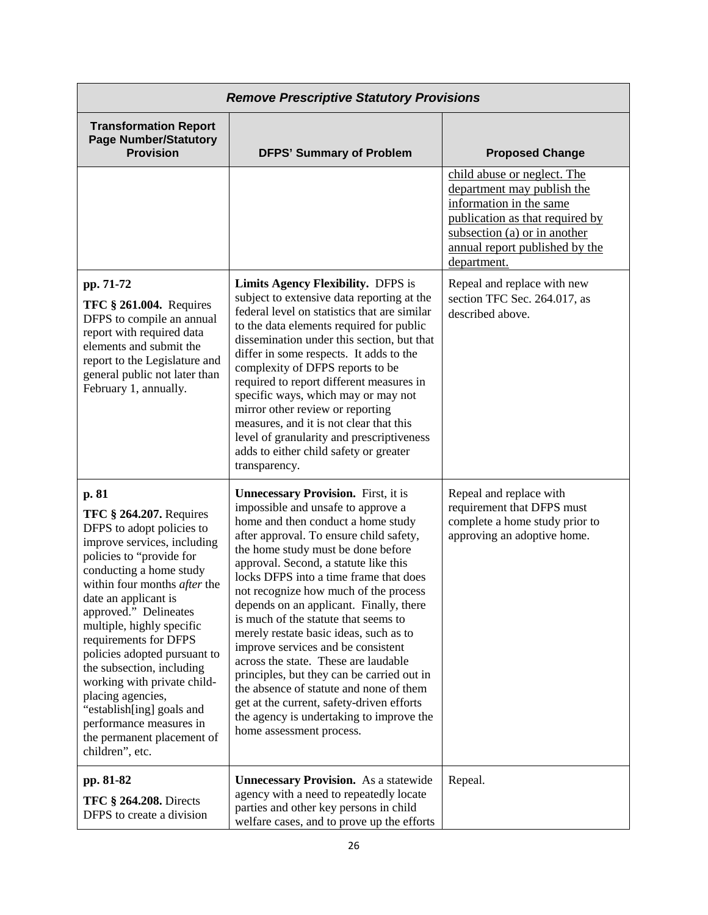| <b>Remove Prescriptive Statutory Provisions</b>                                                                                                                                                                                                                                                                                                                                                                                                                                                                             |                                                                                                                                                                                                                                                                                                                                                                                                                                                                                                                                                                                                                                                                                                                                                              |                                                                                                                                                                                                          |
|-----------------------------------------------------------------------------------------------------------------------------------------------------------------------------------------------------------------------------------------------------------------------------------------------------------------------------------------------------------------------------------------------------------------------------------------------------------------------------------------------------------------------------|--------------------------------------------------------------------------------------------------------------------------------------------------------------------------------------------------------------------------------------------------------------------------------------------------------------------------------------------------------------------------------------------------------------------------------------------------------------------------------------------------------------------------------------------------------------------------------------------------------------------------------------------------------------------------------------------------------------------------------------------------------------|----------------------------------------------------------------------------------------------------------------------------------------------------------------------------------------------------------|
| <b>Transformation Report</b><br><b>Page Number/Statutory</b><br><b>Provision</b>                                                                                                                                                                                                                                                                                                                                                                                                                                            | <b>DFPS' Summary of Problem</b>                                                                                                                                                                                                                                                                                                                                                                                                                                                                                                                                                                                                                                                                                                                              | <b>Proposed Change</b>                                                                                                                                                                                   |
|                                                                                                                                                                                                                                                                                                                                                                                                                                                                                                                             |                                                                                                                                                                                                                                                                                                                                                                                                                                                                                                                                                                                                                                                                                                                                                              | child abuse or neglect. The<br>department may publish the<br>information in the same<br>publication as that required by<br>subsection (a) or in another<br>annual report published by the<br>department. |
| pp. 71-72<br><b>TFC § 261.004.</b> Requires<br>DFPS to compile an annual<br>report with required data<br>elements and submit the<br>report to the Legislature and<br>general public not later than<br>February 1, annually.                                                                                                                                                                                                                                                                                                 | Limits Agency Flexibility. DFPS is<br>subject to extensive data reporting at the<br>federal level on statistics that are similar<br>to the data elements required for public<br>dissemination under this section, but that<br>differ in some respects. It adds to the<br>complexity of DFPS reports to be<br>required to report different measures in<br>specific ways, which may or may not<br>mirror other review or reporting<br>measures, and it is not clear that this<br>level of granularity and prescriptiveness<br>adds to either child safety or greater<br>transparency.                                                                                                                                                                          | Repeal and replace with new<br>section TFC Sec. 264.017, as<br>described above.                                                                                                                          |
| p. 81<br><b>TFC § 264.207.</b> Requires<br>DFPS to adopt policies to<br>improve services, including<br>policies to "provide for<br>conducting a home study<br>within four months after the<br>date an applicant is<br>approved." Delineates<br>multiple, highly specific<br>requirements for DFPS<br>policies adopted pursuant to<br>the subsection, including<br>working with private child-<br>placing agencies,<br>"establish[ing] goals and<br>performance measures in<br>the permanent placement of<br>children", etc. | <b>Unnecessary Provision.</b> First, it is<br>impossible and unsafe to approve a<br>home and then conduct a home study<br>after approval. To ensure child safety,<br>the home study must be done before<br>approval. Second, a statute like this<br>locks DFPS into a time frame that does<br>not recognize how much of the process<br>depends on an applicant. Finally, there<br>is much of the statute that seems to<br>merely restate basic ideas, such as to<br>improve services and be consistent<br>across the state. These are laudable<br>principles, but they can be carried out in<br>the absence of statute and none of them<br>get at the current, safety-driven efforts<br>the agency is undertaking to improve the<br>home assessment process. | Repeal and replace with<br>requirement that DFPS must<br>complete a home study prior to<br>approving an adoptive home.                                                                                   |
| pp. 81-82<br><b>TFC § 264.208.</b> Directs<br>DFPS to create a division                                                                                                                                                                                                                                                                                                                                                                                                                                                     | <b>Unnecessary Provision.</b> As a statewide<br>agency with a need to repeatedly locate<br>parties and other key persons in child<br>welfare cases, and to prove up the efforts                                                                                                                                                                                                                                                                                                                                                                                                                                                                                                                                                                              | Repeal.                                                                                                                                                                                                  |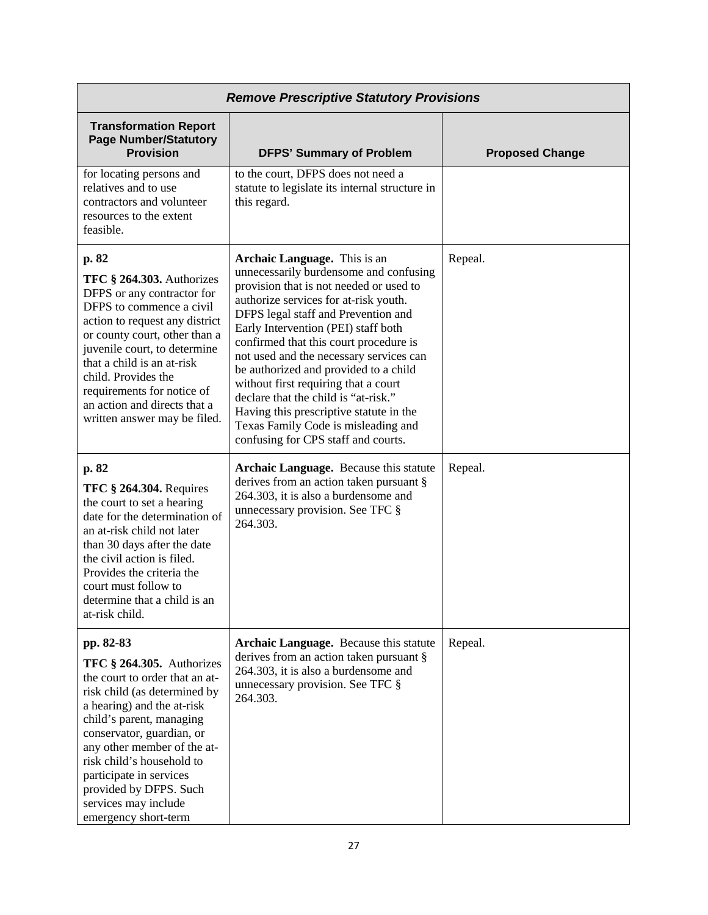| <b>Remove Prescriptive Statutory Provisions</b>                                                                                                                                                                                                                                                                                                                    |                                                                                                                                                                                                                                                                                                                                                                                                                                                                                                                                                                                 |                        |
|--------------------------------------------------------------------------------------------------------------------------------------------------------------------------------------------------------------------------------------------------------------------------------------------------------------------------------------------------------------------|---------------------------------------------------------------------------------------------------------------------------------------------------------------------------------------------------------------------------------------------------------------------------------------------------------------------------------------------------------------------------------------------------------------------------------------------------------------------------------------------------------------------------------------------------------------------------------|------------------------|
| <b>Transformation Report</b><br><b>Page Number/Statutory</b><br><b>Provision</b>                                                                                                                                                                                                                                                                                   | <b>DFPS' Summary of Problem</b>                                                                                                                                                                                                                                                                                                                                                                                                                                                                                                                                                 | <b>Proposed Change</b> |
| for locating persons and<br>relatives and to use<br>contractors and volunteer<br>resources to the extent<br>feasible.                                                                                                                                                                                                                                              | to the court, DFPS does not need a<br>statute to legislate its internal structure in<br>this regard.                                                                                                                                                                                                                                                                                                                                                                                                                                                                            |                        |
| p. 82<br>TFC § 264.303. Authorizes<br>DFPS or any contractor for<br>DFPS to commence a civil<br>action to request any district<br>or county court, other than a<br>juvenile court, to determine<br>that a child is an at-risk<br>child. Provides the<br>requirements for notice of<br>an action and directs that a<br>written answer may be filed.                 | Archaic Language. This is an<br>unnecessarily burdensome and confusing<br>provision that is not needed or used to<br>authorize services for at-risk youth.<br>DFPS legal staff and Prevention and<br>Early Intervention (PEI) staff both<br>confirmed that this court procedure is<br>not used and the necessary services can<br>be authorized and provided to a child<br>without first requiring that a court<br>declare that the child is "at-risk."<br>Having this prescriptive statute in the<br>Texas Family Code is misleading and<br>confusing for CPS staff and courts. | Repeal.                |
| p. 82<br><b>TFC § 264.304. Requires</b><br>the court to set a hearing<br>date for the determination of<br>an at-risk child not later<br>than 30 days after the date<br>the civil action is filed.<br>Provides the criteria the<br>court must follow to<br>determine that a child is an<br>at-risk child.                                                           | Archaic Language. Because this statute<br>derives from an action taken pursuant §<br>264.303, it is also a burdensome and<br>unnecessary provision. See TFC §<br>264.303.                                                                                                                                                                                                                                                                                                                                                                                                       | Repeal.                |
| pp. 82-83<br>TFC $§$ 264.305. Authorizes<br>the court to order that an at-<br>risk child (as determined by<br>a hearing) and the at-risk<br>child's parent, managing<br>conservator, guardian, or<br>any other member of the at-<br>risk child's household to<br>participate in services<br>provided by DFPS. Such<br>services may include<br>emergency short-term | Archaic Language. Because this statute<br>derives from an action taken pursuant §<br>264.303, it is also a burdensome and<br>unnecessary provision. See TFC §<br>264.303.                                                                                                                                                                                                                                                                                                                                                                                                       | Repeal.                |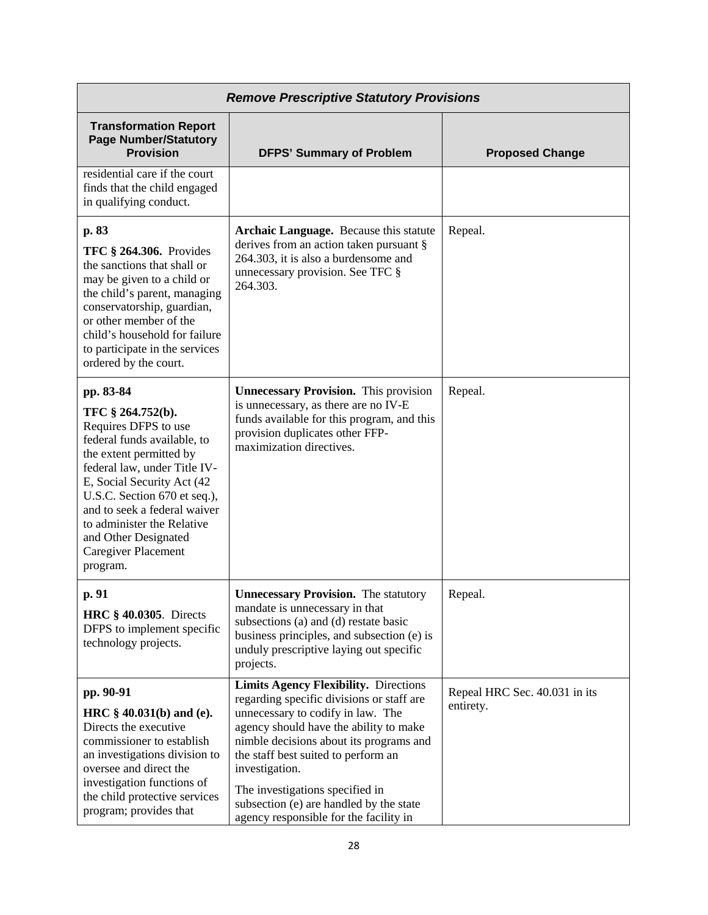| <b>Remove Prescriptive Statutory Provisions</b>                                                                                                                                                                                                                                                                                                |                                                                                                                                                                                                                                                                                                                                                                                                      |                                            |
|------------------------------------------------------------------------------------------------------------------------------------------------------------------------------------------------------------------------------------------------------------------------------------------------------------------------------------------------|------------------------------------------------------------------------------------------------------------------------------------------------------------------------------------------------------------------------------------------------------------------------------------------------------------------------------------------------------------------------------------------------------|--------------------------------------------|
| <b>Transformation Report</b><br><b>Page Number/Statutory</b><br><b>Provision</b>                                                                                                                                                                                                                                                               | <b>DFPS' Summary of Problem</b>                                                                                                                                                                                                                                                                                                                                                                      | <b>Proposed Change</b>                     |
| residential care if the court<br>finds that the child engaged<br>in qualifying conduct.                                                                                                                                                                                                                                                        |                                                                                                                                                                                                                                                                                                                                                                                                      |                                            |
| p. 83<br><b>TFC § 264.306.</b> Provides<br>the sanctions that shall or<br>may be given to a child or<br>the child's parent, managing<br>conservatorship, guardian,<br>or other member of the<br>child's household for failure<br>to participate in the services<br>ordered by the court.                                                       | Archaic Language. Because this statute<br>derives from an action taken pursuant §<br>264.303, it is also a burdensome and<br>unnecessary provision. See TFC §<br>264.303.                                                                                                                                                                                                                            | Repeal.                                    |
| pp. 83-84<br>TFC § 264.752(b).<br>Requires DFPS to use<br>federal funds available, to<br>the extent permitted by<br>federal law, under Title IV-<br>E, Social Security Act (42<br>U.S.C. Section 670 et seq.),<br>and to seek a federal waiver<br>to administer the Relative<br>and Other Designated<br><b>Caregiver Placement</b><br>program. | <b>Unnecessary Provision.</b> This provision<br>is unnecessary, as there are no IV-E<br>funds available for this program, and this<br>provision duplicates other FFP-<br>maximization directives.                                                                                                                                                                                                    | Repeal.                                    |
| p. 91<br><b>HRC</b> § 40.0305. Directs<br>DFPS to implement specific<br>technology projects.                                                                                                                                                                                                                                                   | <b>Unnecessary Provision.</b> The statutory<br>mandate is unnecessary in that<br>subsections (a) and (d) restate basic<br>business principles, and subsection (e) is<br>unduly prescriptive laying out specific<br>projects.                                                                                                                                                                         | Repeal.                                    |
| pp. 90-91<br>HRC § 40.031(b) and (e).<br>Directs the executive<br>commissioner to establish<br>an investigations division to<br>oversee and direct the<br>investigation functions of<br>the child protective services<br>program; provides that                                                                                                | <b>Limits Agency Flexibility.</b> Directions<br>regarding specific divisions or staff are<br>unnecessary to codify in law. The<br>agency should have the ability to make<br>nimble decisions about its programs and<br>the staff best suited to perform an<br>investigation.<br>The investigations specified in<br>subsection (e) are handled by the state<br>agency responsible for the facility in | Repeal HRC Sec. 40.031 in its<br>entirety. |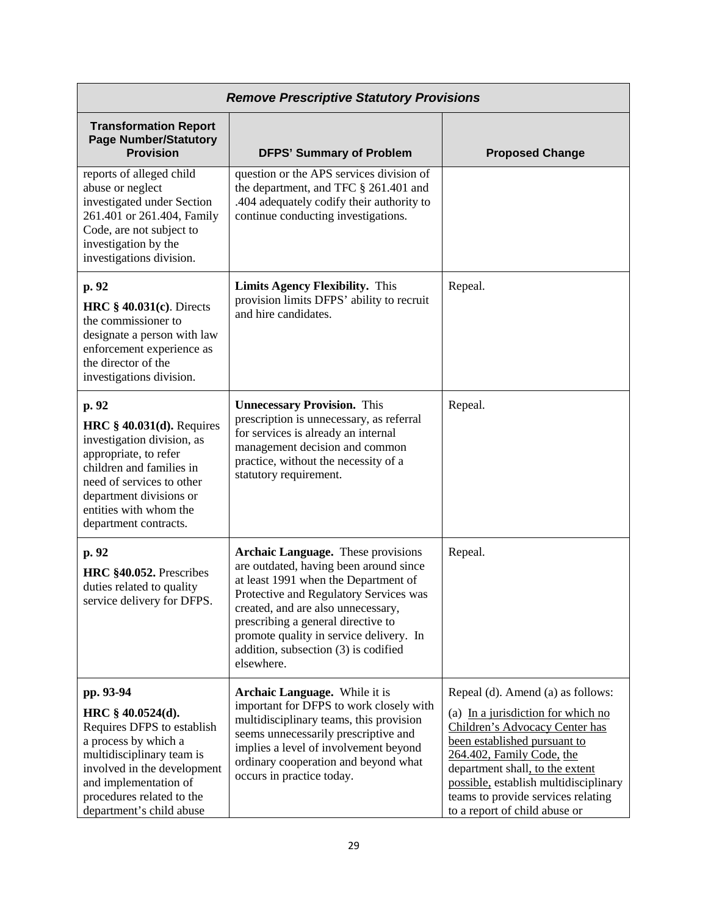| <b>Remove Prescriptive Statutory Provisions</b>                                                                                                                                                                                    |                                                                                                                                                                                                                                                                                                                                             |                                                                                                                                                                                                                                                                                                                           |
|------------------------------------------------------------------------------------------------------------------------------------------------------------------------------------------------------------------------------------|---------------------------------------------------------------------------------------------------------------------------------------------------------------------------------------------------------------------------------------------------------------------------------------------------------------------------------------------|---------------------------------------------------------------------------------------------------------------------------------------------------------------------------------------------------------------------------------------------------------------------------------------------------------------------------|
| <b>Transformation Report</b><br><b>Page Number/Statutory</b><br><b>Provision</b>                                                                                                                                                   | <b>DFPS' Summary of Problem</b>                                                                                                                                                                                                                                                                                                             | <b>Proposed Change</b>                                                                                                                                                                                                                                                                                                    |
| reports of alleged child<br>abuse or neglect<br>investigated under Section<br>261.401 or 261.404, Family<br>Code, are not subject to<br>investigation by the<br>investigations division.                                           | question or the APS services division of<br>the department, and TFC § 261.401 and<br>.404 adequately codify their authority to<br>continue conducting investigations.                                                                                                                                                                       |                                                                                                                                                                                                                                                                                                                           |
| p. 92<br>HRC $§$ 40.031(c). Directs<br>the commissioner to<br>designate a person with law<br>enforcement experience as<br>the director of the<br>investigations division.                                                          | <b>Limits Agency Flexibility.</b> This<br>provision limits DFPS' ability to recruit<br>and hire candidates.                                                                                                                                                                                                                                 | Repeal.                                                                                                                                                                                                                                                                                                                   |
| p. 92<br>HRC $§$ 40.031(d). Requires<br>investigation division, as<br>appropriate, to refer<br>children and families in<br>need of services to other<br>department divisions or<br>entities with whom the<br>department contracts. | <b>Unnecessary Provision.</b> This<br>prescription is unnecessary, as referral<br>for services is already an internal<br>management decision and common<br>practice, without the necessity of a<br>statutory requirement.                                                                                                                   | Repeal.                                                                                                                                                                                                                                                                                                                   |
| p. 92<br>HRC §40.052. Prescribes<br>duties related to quality<br>service delivery for DFPS.                                                                                                                                        | Archaic Language. These provisions<br>are outdated, having been around since<br>at least 1991 when the Department of<br>Protective and Regulatory Services was<br>created, and are also unnecessary,<br>prescribing a general directive to<br>promote quality in service delivery. In<br>addition, subsection (3) is codified<br>elsewhere. | Repeal.                                                                                                                                                                                                                                                                                                                   |
| pp. 93-94<br>HRC § 40.0524(d).<br>Requires DFPS to establish<br>a process by which a<br>multidisciplinary team is<br>involved in the development<br>and implementation of<br>procedures related to the<br>department's child abuse | Archaic Language. While it is<br>important for DFPS to work closely with<br>multidisciplinary teams, this provision<br>seems unnecessarily prescriptive and<br>implies a level of involvement beyond<br>ordinary cooperation and beyond what<br>occurs in practice today.                                                                   | Repeal (d). Amend (a) as follows:<br>(a) In a jurisdiction for which no<br>Children's Advocacy Center has<br>been established pursuant to<br>264.402, Family Code, the<br>department shall, to the extent<br>possible, establish multidisciplinary<br>teams to provide services relating<br>to a report of child abuse or |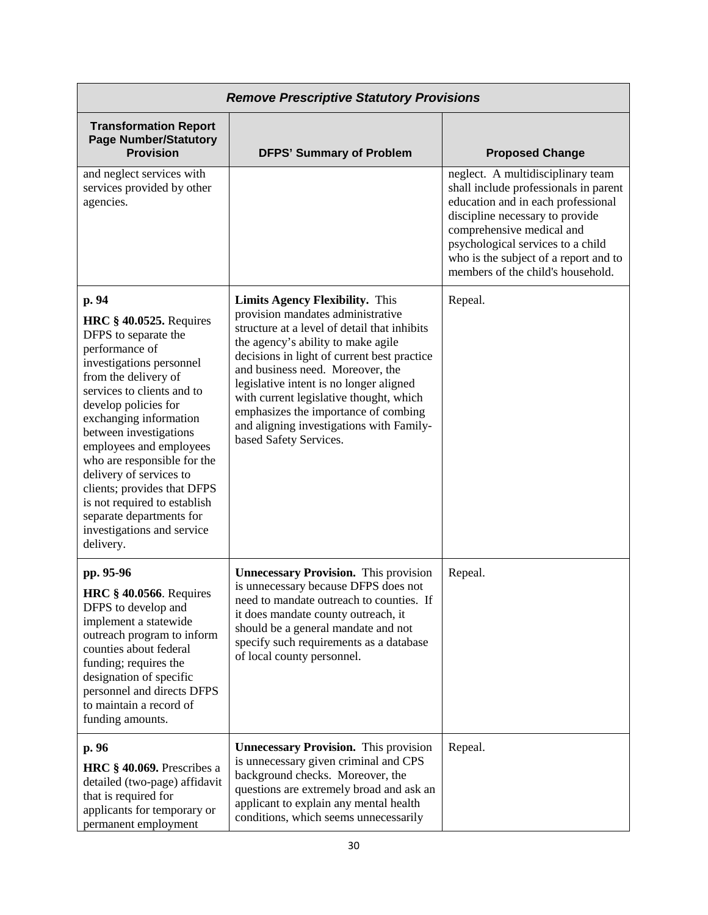| <b>Remove Prescriptive Statutory Provisions</b>                                                                                                                                                                                                                                                                                                                                                                                                                            |                                                                                                                                                                                                                                                                                                                                                                                                                                                          |                                                                                                                                                                                                                                                                                                     |
|----------------------------------------------------------------------------------------------------------------------------------------------------------------------------------------------------------------------------------------------------------------------------------------------------------------------------------------------------------------------------------------------------------------------------------------------------------------------------|----------------------------------------------------------------------------------------------------------------------------------------------------------------------------------------------------------------------------------------------------------------------------------------------------------------------------------------------------------------------------------------------------------------------------------------------------------|-----------------------------------------------------------------------------------------------------------------------------------------------------------------------------------------------------------------------------------------------------------------------------------------------------|
| <b>Transformation Report</b><br><b>Page Number/Statutory</b><br><b>Provision</b>                                                                                                                                                                                                                                                                                                                                                                                           | <b>DFPS' Summary of Problem</b>                                                                                                                                                                                                                                                                                                                                                                                                                          | <b>Proposed Change</b>                                                                                                                                                                                                                                                                              |
| and neglect services with<br>services provided by other<br>agencies.                                                                                                                                                                                                                                                                                                                                                                                                       |                                                                                                                                                                                                                                                                                                                                                                                                                                                          | neglect. A multidisciplinary team<br>shall include professionals in parent<br>education and in each professional<br>discipline necessary to provide<br>comprehensive medical and<br>psychological services to a child<br>who is the subject of a report and to<br>members of the child's household. |
| p. 94<br><b>HRC § 40.0525.</b> Requires<br>DFPS to separate the<br>performance of<br>investigations personnel<br>from the delivery of<br>services to clients and to<br>develop policies for<br>exchanging information<br>between investigations<br>employees and employees<br>who are responsible for the<br>delivery of services to<br>clients; provides that DFPS<br>is not required to establish<br>separate departments for<br>investigations and service<br>delivery. | <b>Limits Agency Flexibility.</b> This<br>provision mandates administrative<br>structure at a level of detail that inhibits<br>the agency's ability to make agile<br>decisions in light of current best practice<br>and business need. Moreover, the<br>legislative intent is no longer aligned<br>with current legislative thought, which<br>emphasizes the importance of combing<br>and aligning investigations with Family-<br>based Safety Services. | Repeal.                                                                                                                                                                                                                                                                                             |
| pp. 95-96<br><b>HRC</b> § 40.0566. Requires<br>DFPS to develop and<br>implement a statewide<br>outreach program to inform<br>counties about federal<br>funding; requires the<br>designation of specific<br>personnel and directs DFPS<br>to maintain a record of<br>funding amounts.                                                                                                                                                                                       | <b>Unnecessary Provision.</b> This provision<br>is unnecessary because DFPS does not<br>need to mandate outreach to counties. If<br>it does mandate county outreach, it<br>should be a general mandate and not<br>specify such requirements as a database<br>of local county personnel.                                                                                                                                                                  | Repeal.                                                                                                                                                                                                                                                                                             |
| p. 96<br>HRC $§$ 40.069. Prescribes a<br>detailed (two-page) affidavit<br>that is required for<br>applicants for temporary or<br>permanent employment                                                                                                                                                                                                                                                                                                                      | <b>Unnecessary Provision.</b> This provision<br>is unnecessary given criminal and CPS<br>background checks. Moreover, the<br>questions are extremely broad and ask an<br>applicant to explain any mental health<br>conditions, which seems unnecessarily                                                                                                                                                                                                 | Repeal.                                                                                                                                                                                                                                                                                             |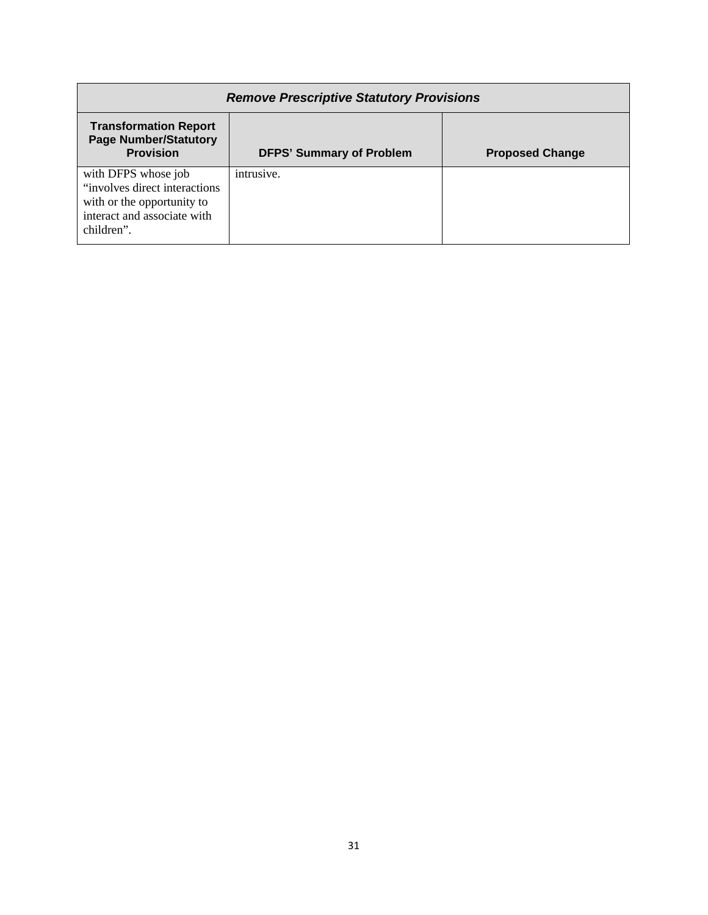| <b>Remove Prescriptive Statutory Provisions</b>                                                                                  |                                 |                        |
|----------------------------------------------------------------------------------------------------------------------------------|---------------------------------|------------------------|
| <b>Transformation Report</b><br><b>Page Number/Statutory</b><br><b>Provision</b>                                                 | <b>DFPS' Summary of Problem</b> | <b>Proposed Change</b> |
| with DFPS whose job<br>"involves direct interactions"<br>with or the opportunity to<br>interact and associate with<br>children". | intrusive.                      |                        |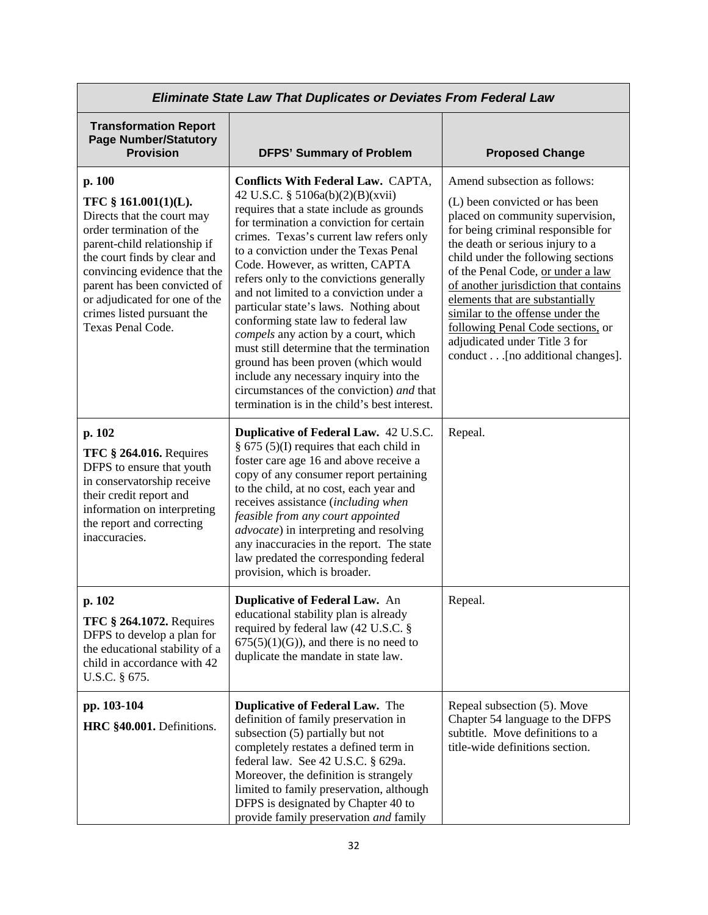| <b>Eliminate State Law That Duplicates or Deviates From Federal Law</b>                                                                                                                                                                                                                                      |                                                                                                                                                                                                                                                                                                                                                                                                                                                                                                                                                                                                                                                                                                                                   |                                                                                                                                                                                                                                                                                                                                                                                                                                                                                   |
|--------------------------------------------------------------------------------------------------------------------------------------------------------------------------------------------------------------------------------------------------------------------------------------------------------------|-----------------------------------------------------------------------------------------------------------------------------------------------------------------------------------------------------------------------------------------------------------------------------------------------------------------------------------------------------------------------------------------------------------------------------------------------------------------------------------------------------------------------------------------------------------------------------------------------------------------------------------------------------------------------------------------------------------------------------------|-----------------------------------------------------------------------------------------------------------------------------------------------------------------------------------------------------------------------------------------------------------------------------------------------------------------------------------------------------------------------------------------------------------------------------------------------------------------------------------|
| <b>Transformation Report</b><br><b>Page Number/Statutory</b><br><b>Provision</b>                                                                                                                                                                                                                             | <b>DFPS' Summary of Problem</b>                                                                                                                                                                                                                                                                                                                                                                                                                                                                                                                                                                                                                                                                                                   | <b>Proposed Change</b>                                                                                                                                                                                                                                                                                                                                                                                                                                                            |
| p. 100<br>TFC § 161.001(1)(L).<br>Directs that the court may<br>order termination of the<br>parent-child relationship if<br>the court finds by clear and<br>convincing evidence that the<br>parent has been convicted of<br>or adjudicated for one of the<br>crimes listed pursuant the<br>Texas Penal Code. | Conflicts With Federal Law. CAPTA,<br>42 U.S.C. § 5106a(b)(2)(B)(xvii)<br>requires that a state include as grounds<br>for termination a conviction for certain<br>crimes. Texas's current law refers only<br>to a conviction under the Texas Penal<br>Code. However, as written, CAPTA<br>refers only to the convictions generally<br>and not limited to a conviction under a<br>particular state's laws. Nothing about<br>conforming state law to federal law<br>compels any action by a court, which<br>must still determine that the termination<br>ground has been proven (which would<br>include any necessary inquiry into the<br>circumstances of the conviction) and that<br>termination is in the child's best interest. | Amend subsection as follows:<br>(L) been convicted or has been<br>placed on community supervision,<br>for being criminal responsible for<br>the death or serious injury to a<br>child under the following sections<br>of the Penal Code, or under a law<br>of another jurisdiction that contains<br>elements that are substantially<br>similar to the offense under the<br>following Penal Code sections, or<br>adjudicated under Title 3 for<br>conduct [no additional changes]. |
| p. 102<br><b>TFC § 264.016. Requires</b><br>DFPS to ensure that youth<br>in conservatorship receive<br>their credit report and<br>information on interpreting<br>the report and correcting<br>inaccuracies.                                                                                                  | Duplicative of Federal Law. 42 U.S.C.<br>§ $675$ (5)(I) requires that each child in<br>foster care age 16 and above receive a<br>copy of any consumer report pertaining<br>to the child, at no cost, each year and<br>receives assistance (including when<br>feasible from any court appointed<br>advocate) in interpreting and resolving<br>any inaccuracies in the report. The state<br>law predated the corresponding federal<br>provision, which is broader.                                                                                                                                                                                                                                                                  | Repeal.                                                                                                                                                                                                                                                                                                                                                                                                                                                                           |
| p. 102<br><b>TFC § 264.1072. Requires</b><br>DFPS to develop a plan for<br>the educational stability of a<br>child in accordance with 42<br>U.S.C. § 675.                                                                                                                                                    | Duplicative of Federal Law. An<br>educational stability plan is already<br>required by federal law (42 U.S.C. §<br>$675(5)(1)(G)$ , and there is no need to<br>duplicate the mandate in state law.                                                                                                                                                                                                                                                                                                                                                                                                                                                                                                                                | Repeal.                                                                                                                                                                                                                                                                                                                                                                                                                                                                           |
| pp. 103-104<br>HRC §40.001. Definitions.                                                                                                                                                                                                                                                                     | <b>Duplicative of Federal Law.</b> The<br>definition of family preservation in<br>subsection (5) partially but not<br>completely restates a defined term in<br>federal law. See 42 U.S.C. § 629a.<br>Moreover, the definition is strangely<br>limited to family preservation, although<br>DFPS is designated by Chapter 40 to<br>provide family preservation and family                                                                                                                                                                                                                                                                                                                                                           | Repeal subsection (5). Move<br>Chapter 54 language to the DFPS<br>subtitle. Move definitions to a<br>title-wide definitions section.                                                                                                                                                                                                                                                                                                                                              |

 $\Gamma$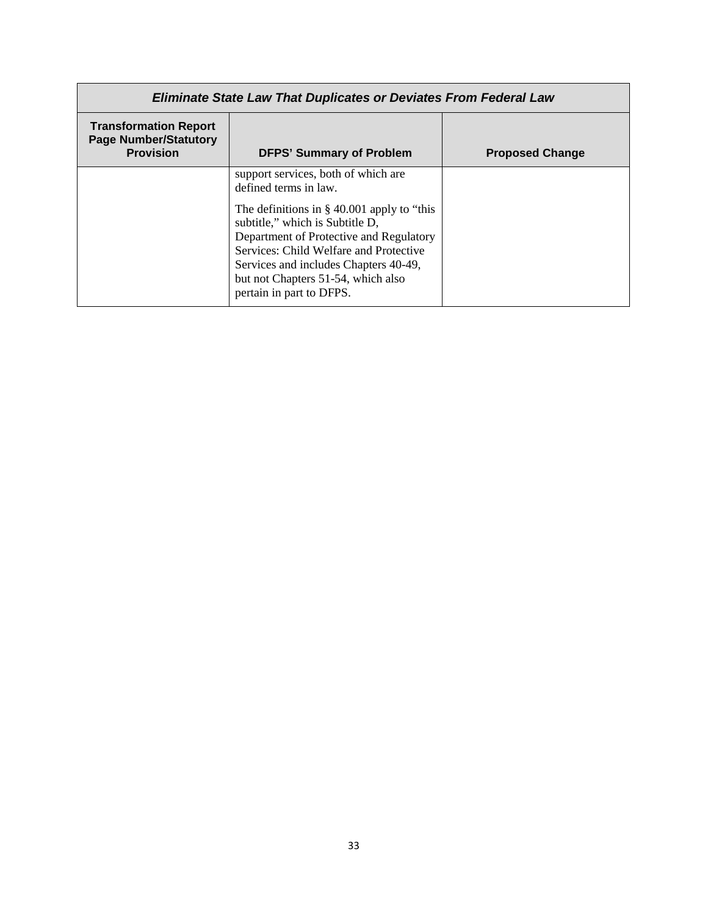| <b>Eliminate State Law That Duplicates or Deviates From Federal Law</b>          |                                                                                                                                                                                                                                                                                                                                                  |                        |
|----------------------------------------------------------------------------------|--------------------------------------------------------------------------------------------------------------------------------------------------------------------------------------------------------------------------------------------------------------------------------------------------------------------------------------------------|------------------------|
| <b>Transformation Report</b><br><b>Page Number/Statutory</b><br><b>Provision</b> | <b>DFPS' Summary of Problem</b>                                                                                                                                                                                                                                                                                                                  | <b>Proposed Change</b> |
|                                                                                  | support services, both of which are<br>defined terms in law.<br>The definitions in $\S$ 40.001 apply to "this<br>subtitle," which is Subtitle D,<br>Department of Protective and Regulatory<br>Services: Child Welfare and Protective<br>Services and includes Chapters 40-49,<br>but not Chapters 51-54, which also<br>pertain in part to DFPS. |                        |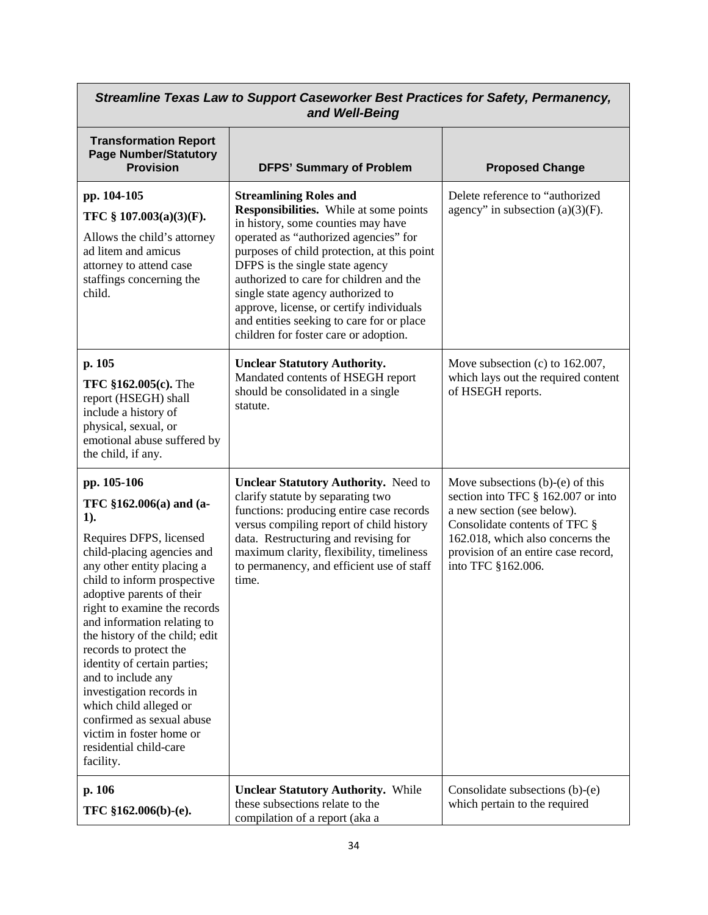| Streamline Texas Law to Support Caseworker Best Practices for Safety, Permanency,<br>and Well-Being                                                                                                                                                                                                                                                                                                                                                                                                                                            |                                                                                                                                                                                                                                                                                                                                                                                                                                                            |                                                                                                                                                                                                                                          |
|------------------------------------------------------------------------------------------------------------------------------------------------------------------------------------------------------------------------------------------------------------------------------------------------------------------------------------------------------------------------------------------------------------------------------------------------------------------------------------------------------------------------------------------------|------------------------------------------------------------------------------------------------------------------------------------------------------------------------------------------------------------------------------------------------------------------------------------------------------------------------------------------------------------------------------------------------------------------------------------------------------------|------------------------------------------------------------------------------------------------------------------------------------------------------------------------------------------------------------------------------------------|
| <b>Transformation Report</b><br><b>Page Number/Statutory</b><br><b>Provision</b>                                                                                                                                                                                                                                                                                                                                                                                                                                                               | <b>DFPS' Summary of Problem</b>                                                                                                                                                                                                                                                                                                                                                                                                                            | <b>Proposed Change</b>                                                                                                                                                                                                                   |
| pp. 104-105<br>TFC § 107.003(a)(3)(F).<br>Allows the child's attorney<br>ad litem and amicus<br>attorney to attend case<br>staffings concerning the<br>child.                                                                                                                                                                                                                                                                                                                                                                                  | <b>Streamlining Roles and</b><br>Responsibilities. While at some points<br>in history, some counties may have<br>operated as "authorized agencies" for<br>purposes of child protection, at this point<br>DFPS is the single state agency<br>authorized to care for children and the<br>single state agency authorized to<br>approve, license, or certify individuals<br>and entities seeking to care for or place<br>children for foster care or adoption. | Delete reference to "authorized<br>agency" in subsection $(a)(3)(F)$ .                                                                                                                                                                   |
| p. 105<br>TFC §162.005(c). The<br>report (HSEGH) shall<br>include a history of<br>physical, sexual, or<br>emotional abuse suffered by<br>the child, if any.                                                                                                                                                                                                                                                                                                                                                                                    | <b>Unclear Statutory Authority.</b><br>Mandated contents of HSEGH report<br>should be consolidated in a single<br>statute.                                                                                                                                                                                                                                                                                                                                 | Move subsection (c) to 162.007,<br>which lays out the required content<br>of HSEGH reports.                                                                                                                                              |
| pp. 105-106<br>TFC $$162.006(a)$ and $(a-$<br>$1$ ).<br>Requires DFPS, licensed<br>child-placing agencies and<br>any other entity placing a<br>child to inform prospective<br>adoptive parents of their<br>right to examine the records<br>and information relating to<br>the history of the child; edit<br>records to protect the<br>identity of certain parties;<br>and to include any<br>investigation records in<br>which child alleged or<br>confirmed as sexual abuse<br>victim in foster home or<br>residential child-care<br>facility. | <b>Unclear Statutory Authority.</b> Need to<br>clarify statute by separating two<br>functions: producing entire case records<br>versus compiling report of child history<br>data. Restructuring and revising for<br>maximum clarity, flexibility, timeliness<br>to permanency, and efficient use of staff<br>time.                                                                                                                                         | Move subsections $(b)-(e)$ of this<br>section into TFC § 162.007 or into<br>a new section (see below).<br>Consolidate contents of TFC §<br>162.018, which also concerns the<br>provision of an entire case record,<br>into TFC §162.006. |
| p. 106<br>TFC §162.006(b)-(e).                                                                                                                                                                                                                                                                                                                                                                                                                                                                                                                 | <b>Unclear Statutory Authority.</b> While<br>these subsections relate to the<br>compilation of a report (aka a                                                                                                                                                                                                                                                                                                                                             | Consolidate subsections (b)-(e)<br>which pertain to the required                                                                                                                                                                         |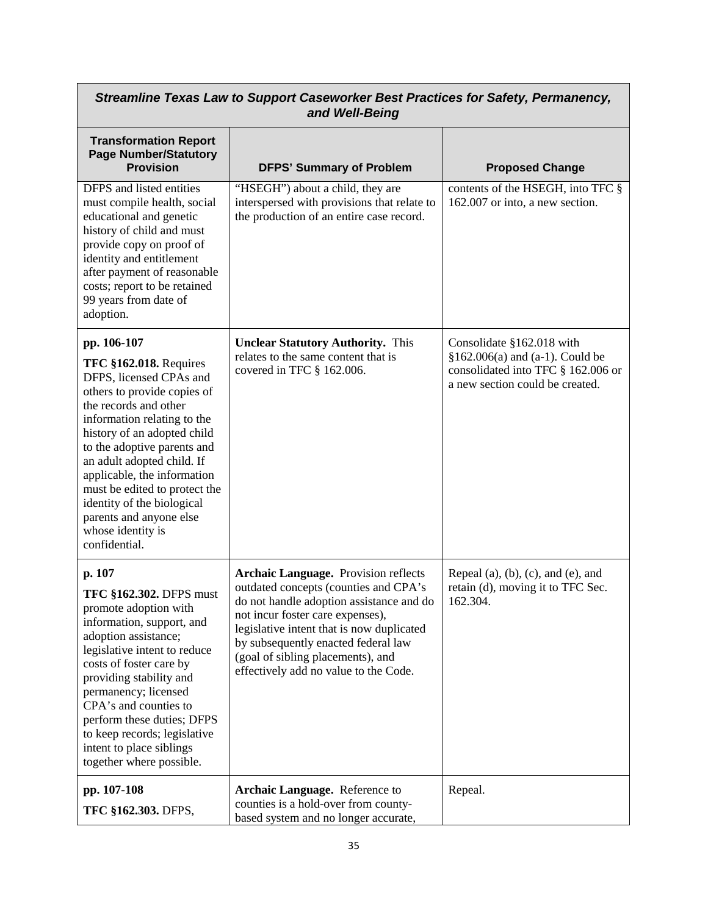| Streamline Texas Law to Support Caseworker Best Practices for Safety, Permanency,<br>and Well-Being                                                                                                                                                                                                                                                                                                                       |                                                                                                                                                                                                                                                                                                                                        |                                                                                                                                       |
|---------------------------------------------------------------------------------------------------------------------------------------------------------------------------------------------------------------------------------------------------------------------------------------------------------------------------------------------------------------------------------------------------------------------------|----------------------------------------------------------------------------------------------------------------------------------------------------------------------------------------------------------------------------------------------------------------------------------------------------------------------------------------|---------------------------------------------------------------------------------------------------------------------------------------|
| <b>Transformation Report</b><br><b>Page Number/Statutory</b><br><b>Provision</b>                                                                                                                                                                                                                                                                                                                                          | <b>DFPS' Summary of Problem</b>                                                                                                                                                                                                                                                                                                        | <b>Proposed Change</b>                                                                                                                |
| DFPS and listed entities<br>must compile health, social<br>educational and genetic<br>history of child and must<br>provide copy on proof of<br>identity and entitlement<br>after payment of reasonable<br>costs; report to be retained<br>99 years from date of<br>adoption.                                                                                                                                              | "HSEGH") about a child, they are<br>interspersed with provisions that relate to<br>the production of an entire case record.                                                                                                                                                                                                            | contents of the HSEGH, into TFC §<br>162.007 or into, a new section.                                                                  |
| pp. 106-107<br><b>TFC §162.018. Requires</b><br>DFPS, licensed CPAs and<br>others to provide copies of<br>the records and other<br>information relating to the<br>history of an adopted child<br>to the adoptive parents and<br>an adult adopted child. If<br>applicable, the information<br>must be edited to protect the<br>identity of the biological<br>parents and anyone else<br>whose identity is<br>confidential. | <b>Unclear Statutory Authority.</b> This<br>relates to the same content that is<br>covered in TFC § 162.006.                                                                                                                                                                                                                           | Consolidate §162.018 with<br>§162.006(a) and (a-1). Could be<br>consolidated into TFC § 162.006 or<br>a new section could be created. |
| p. 107<br><b>TFC §162.302. DFPS must</b><br>promote adoption with<br>information, support, and<br>adoption assistance;<br>legislative intent to reduce<br>costs of foster care by<br>providing stability and<br>permanency; licensed<br>CPA's and counties to<br>perform these duties; DFPS<br>to keep records; legislative<br>intent to place siblings<br>together where possible.                                       | <b>Archaic Language.</b> Provision reflects<br>outdated concepts (counties and CPA's<br>do not handle adoption assistance and do<br>not incur foster care expenses),<br>legislative intent that is now duplicated<br>by subsequently enacted federal law<br>(goal of sibling placements), and<br>effectively add no value to the Code. | Repeal $(a)$ , $(b)$ , $(c)$ , and $(e)$ , and<br>retain (d), moving it to TFC Sec.<br>162.304.                                       |
| pp. 107-108<br>TFC §162.303. DFPS,                                                                                                                                                                                                                                                                                                                                                                                        | Archaic Language. Reference to<br>counties is a hold-over from county-<br>based system and no longer accurate,                                                                                                                                                                                                                         | Repeal.                                                                                                                               |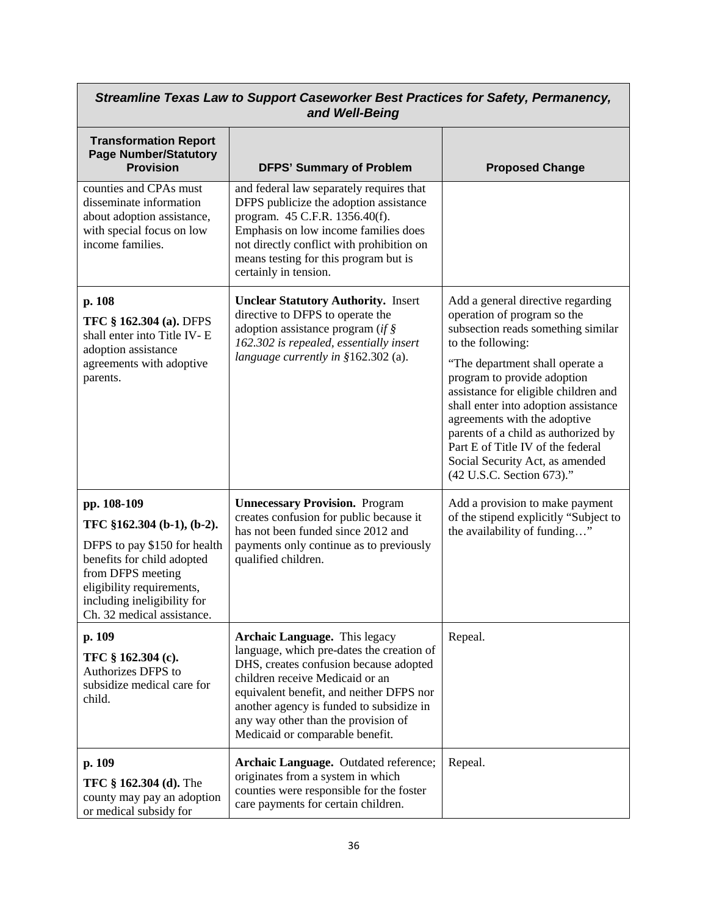| Streamline Texas Law to Support Caseworker Best Practices for Safety, Permanency,<br>and Well-Being                                                                                                                    |                                                                                                                                                                                                                                                                                                                           |                                                                                                                                                                                                                                                                                                                                                                                                                                                           |
|------------------------------------------------------------------------------------------------------------------------------------------------------------------------------------------------------------------------|---------------------------------------------------------------------------------------------------------------------------------------------------------------------------------------------------------------------------------------------------------------------------------------------------------------------------|-----------------------------------------------------------------------------------------------------------------------------------------------------------------------------------------------------------------------------------------------------------------------------------------------------------------------------------------------------------------------------------------------------------------------------------------------------------|
| <b>Transformation Report</b><br><b>Page Number/Statutory</b><br><b>Provision</b>                                                                                                                                       | <b>DFPS' Summary of Problem</b>                                                                                                                                                                                                                                                                                           | <b>Proposed Change</b>                                                                                                                                                                                                                                                                                                                                                                                                                                    |
| counties and CPAs must<br>disseminate information<br>about adoption assistance,<br>with special focus on low<br>income families.                                                                                       | and federal law separately requires that<br>DFPS publicize the adoption assistance<br>program. 45 C.F.R. 1356.40(f).<br>Emphasis on low income families does<br>not directly conflict with prohibition on<br>means testing for this program but is<br>certainly in tension.                                               |                                                                                                                                                                                                                                                                                                                                                                                                                                                           |
| p. 108<br><b>TFC § 162.304 (a). DFPS</b><br>shall enter into Title IV-E<br>adoption assistance<br>agreements with adoptive<br>parents.                                                                                 | <b>Unclear Statutory Authority.</b> Insert<br>directive to DFPS to operate the<br>adoption assistance program (if $\S$<br>162.302 is repealed, essentially insert<br>language currently in $$162.302$ (a).                                                                                                                | Add a general directive regarding<br>operation of program so the<br>subsection reads something similar<br>to the following:<br>"The department shall operate a<br>program to provide adoption<br>assistance for eligible children and<br>shall enter into adoption assistance<br>agreements with the adoptive<br>parents of a child as authorized by<br>Part E of Title IV of the federal<br>Social Security Act, as amended<br>(42 U.S.C. Section 673)." |
| pp. 108-109<br>TFC §162.304 (b-1), (b-2).<br>DFPS to pay \$150 for health<br>benefits for child adopted<br>from DFPS meeting<br>eligibility requirements,<br>including ineligibility for<br>Ch. 32 medical assistance. | <b>Unnecessary Provision.</b> Program<br>creates confusion for public because it<br>has not been funded since 2012 and<br>payments only continue as to previously<br>qualified children.                                                                                                                                  | Add a provision to make payment<br>of the stipend explicitly "Subject to<br>the availability of funding"                                                                                                                                                                                                                                                                                                                                                  |
| p. 109<br>TFC § 162.304 (c).<br>Authorizes DFPS to<br>subsidize medical care for<br>child.                                                                                                                             | Archaic Language. This legacy<br>language, which pre-dates the creation of<br>DHS, creates confusion because adopted<br>children receive Medicaid or an<br>equivalent benefit, and neither DFPS nor<br>another agency is funded to subsidize in<br>any way other than the provision of<br>Medicaid or comparable benefit. | Repeal.                                                                                                                                                                                                                                                                                                                                                                                                                                                   |
| p. 109<br>TFC § 162.304 (d). The<br>county may pay an adoption<br>or medical subsidy for                                                                                                                               | Archaic Language. Outdated reference;<br>originates from a system in which<br>counties were responsible for the foster<br>care payments for certain children.                                                                                                                                                             | Repeal.                                                                                                                                                                                                                                                                                                                                                                                                                                                   |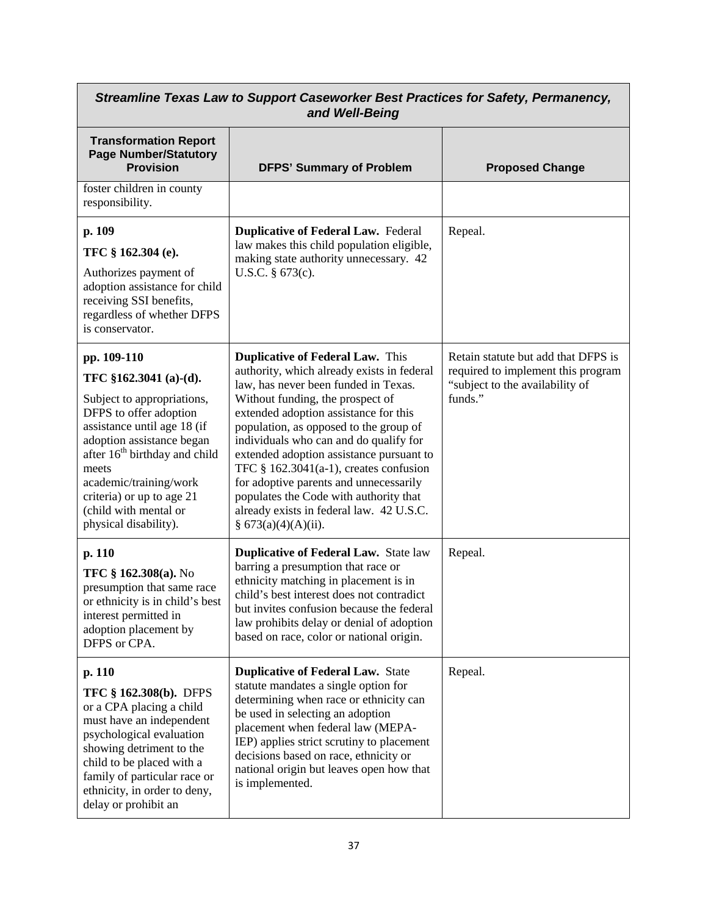| Streamline Texas Law to Support Caseworker Best Practices for Safety, Permanency,<br>and Well-Being                                                                                                                                                                                                                        |                                                                                                                                                                                                                                                                                                                                                                                                                                                                                                                                                   |                                                                                                                         |
|----------------------------------------------------------------------------------------------------------------------------------------------------------------------------------------------------------------------------------------------------------------------------------------------------------------------------|---------------------------------------------------------------------------------------------------------------------------------------------------------------------------------------------------------------------------------------------------------------------------------------------------------------------------------------------------------------------------------------------------------------------------------------------------------------------------------------------------------------------------------------------------|-------------------------------------------------------------------------------------------------------------------------|
| <b>Transformation Report</b><br><b>Page Number/Statutory</b><br><b>Provision</b>                                                                                                                                                                                                                                           | <b>DFPS' Summary of Problem</b>                                                                                                                                                                                                                                                                                                                                                                                                                                                                                                                   | <b>Proposed Change</b>                                                                                                  |
| foster children in county<br>responsibility.                                                                                                                                                                                                                                                                               |                                                                                                                                                                                                                                                                                                                                                                                                                                                                                                                                                   |                                                                                                                         |
| p. 109<br>TFC § 162.304 (e).<br>Authorizes payment of<br>adoption assistance for child<br>receiving SSI benefits,<br>regardless of whether DFPS<br>is conservator.                                                                                                                                                         | <b>Duplicative of Federal Law. Federal</b><br>law makes this child population eligible,<br>making state authority unnecessary. 42<br>U.S.C. § 673(c).                                                                                                                                                                                                                                                                                                                                                                                             | Repeal.                                                                                                                 |
| pp. 109-110<br>TFC $$162.3041$ (a)-(d).<br>Subject to appropriations,<br>DFPS to offer adoption<br>assistance until age 18 (if<br>adoption assistance began<br>after 16 <sup>th</sup> birthday and child<br>meets<br>academic/training/work<br>criteria) or up to age 21<br>(child with mental or<br>physical disability). | <b>Duplicative of Federal Law.</b> This<br>authority, which already exists in federal<br>law, has never been funded in Texas.<br>Without funding, the prospect of<br>extended adoption assistance for this<br>population, as opposed to the group of<br>individuals who can and do qualify for<br>extended adoption assistance pursuant to<br>TFC $\S$ 162.3041(a-1), creates confusion<br>for adoptive parents and unnecessarily<br>populates the Code with authority that<br>already exists in federal law. 42 U.S.C.<br>§ $673(a)(4)(A)(ii)$ . | Retain statute but add that DFPS is<br>required to implement this program<br>"subject to the availability of<br>funds." |
| p. 110<br>TFC § 162.308(a). No<br>presumption that same race<br>or ethnicity is in child's best<br>interest permitted in<br>adoption placement by<br>DFPS or CPA.                                                                                                                                                          | <b>Duplicative of Federal Law.</b> State law<br>barring a presumption that race or<br>ethnicity matching in placement is in<br>child's best interest does not contradict<br>but invites confusion because the federal<br>law prohibits delay or denial of adoption<br>based on race, color or national origin.                                                                                                                                                                                                                                    | Repeal.                                                                                                                 |
| p. 110<br><b>TFC § 162.308(b). DFPS</b><br>or a CPA placing a child<br>must have an independent<br>psychological evaluation<br>showing detriment to the<br>child to be placed with a<br>family of particular race or<br>ethnicity, in order to deny,<br>delay or prohibit an                                               | <b>Duplicative of Federal Law. State</b><br>statute mandates a single option for<br>determining when race or ethnicity can<br>be used in selecting an adoption<br>placement when federal law (MEPA-<br>IEP) applies strict scrutiny to placement<br>decisions based on race, ethnicity or<br>national origin but leaves open how that<br>is implemented.                                                                                                                                                                                          | Repeal.                                                                                                                 |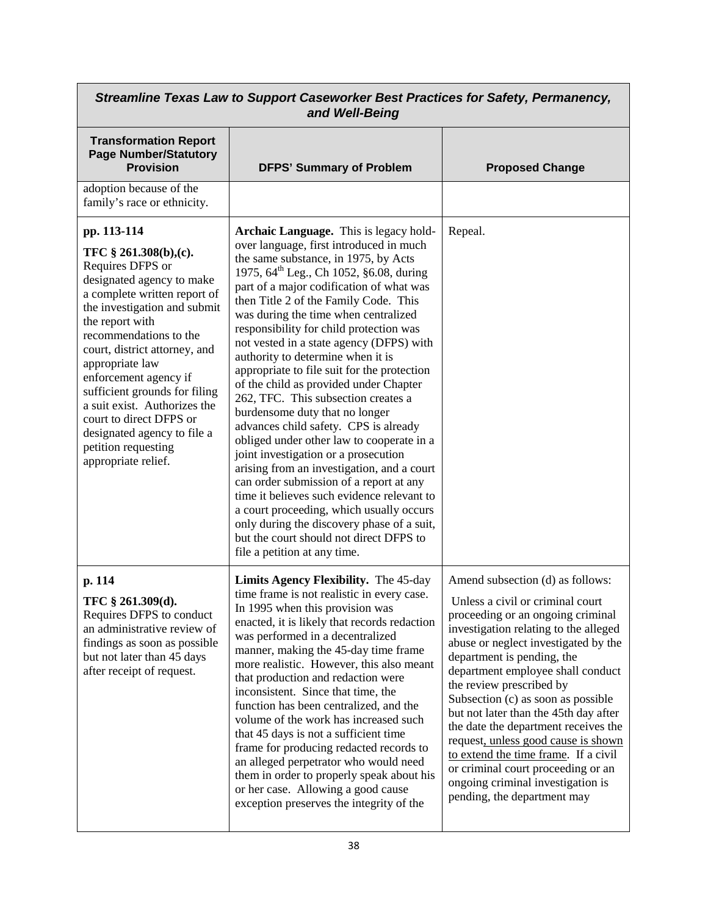| Streamline Texas Law to Support Caseworker Best Practices for Safety, Permanency,<br>and Well-Being                                                                                                                                                                                                                                                                                                                                                      |                                                                                                                                                                                                                                                                                                                                                                                                                                                                                                                                                                                                                                                                                                                                                                                                                                                                                                                                                                                                                                                       |                                                                                                                                                                                                                                                                                                                                                                                                                                                                                                                                                                                                           |
|----------------------------------------------------------------------------------------------------------------------------------------------------------------------------------------------------------------------------------------------------------------------------------------------------------------------------------------------------------------------------------------------------------------------------------------------------------|-------------------------------------------------------------------------------------------------------------------------------------------------------------------------------------------------------------------------------------------------------------------------------------------------------------------------------------------------------------------------------------------------------------------------------------------------------------------------------------------------------------------------------------------------------------------------------------------------------------------------------------------------------------------------------------------------------------------------------------------------------------------------------------------------------------------------------------------------------------------------------------------------------------------------------------------------------------------------------------------------------------------------------------------------------|-----------------------------------------------------------------------------------------------------------------------------------------------------------------------------------------------------------------------------------------------------------------------------------------------------------------------------------------------------------------------------------------------------------------------------------------------------------------------------------------------------------------------------------------------------------------------------------------------------------|
| <b>Transformation Report</b><br><b>Page Number/Statutory</b><br><b>Provision</b>                                                                                                                                                                                                                                                                                                                                                                         | <b>DFPS' Summary of Problem</b>                                                                                                                                                                                                                                                                                                                                                                                                                                                                                                                                                                                                                                                                                                                                                                                                                                                                                                                                                                                                                       | <b>Proposed Change</b>                                                                                                                                                                                                                                                                                                                                                                                                                                                                                                                                                                                    |
| adoption because of the<br>family's race or ethnicity.                                                                                                                                                                                                                                                                                                                                                                                                   |                                                                                                                                                                                                                                                                                                                                                                                                                                                                                                                                                                                                                                                                                                                                                                                                                                                                                                                                                                                                                                                       |                                                                                                                                                                                                                                                                                                                                                                                                                                                                                                                                                                                                           |
| pp. 113-114<br>TFC § 261.308(b),(c).<br>Requires DFPS or<br>designated agency to make<br>a complete written report of<br>the investigation and submit<br>the report with<br>recommendations to the<br>court, district attorney, and<br>appropriate law<br>enforcement agency if<br>sufficient grounds for filing<br>a suit exist. Authorizes the<br>court to direct DFPS or<br>designated agency to file a<br>petition requesting<br>appropriate relief. | Archaic Language. This is legacy hold-<br>over language, first introduced in much<br>the same substance, in 1975, by Acts<br>1975, 64 <sup>th</sup> Leg., Ch 1052, §6.08, during<br>part of a major codification of what was<br>then Title 2 of the Family Code. This<br>was during the time when centralized<br>responsibility for child protection was<br>not vested in a state agency (DFPS) with<br>authority to determine when it is<br>appropriate to file suit for the protection<br>of the child as provided under Chapter<br>262, TFC. This subsection creates a<br>burdensome duty that no longer<br>advances child safety. CPS is already<br>obliged under other law to cooperate in a<br>joint investigation or a prosecution<br>arising from an investigation, and a court<br>can order submission of a report at any<br>time it believes such evidence relevant to<br>a court proceeding, which usually occurs<br>only during the discovery phase of a suit,<br>but the court should not direct DFPS to<br>file a petition at any time. | Repeal.                                                                                                                                                                                                                                                                                                                                                                                                                                                                                                                                                                                                   |
| p. 114<br>TFC § 261.309(d).<br>Requires DFPS to conduct<br>an administrative review of<br>findings as soon as possible<br>but not later than 45 days<br>after receipt of request.                                                                                                                                                                                                                                                                        | Limits Agency Flexibility. The 45-day<br>time frame is not realistic in every case.<br>In 1995 when this provision was<br>enacted, it is likely that records redaction<br>was performed in a decentralized<br>manner, making the 45-day time frame<br>more realistic. However, this also meant<br>that production and redaction were<br>inconsistent. Since that time, the<br>function has been centralized, and the<br>volume of the work has increased such<br>that 45 days is not a sufficient time<br>frame for producing redacted records to<br>an alleged perpetrator who would need<br>them in order to properly speak about his<br>or her case. Allowing a good cause<br>exception preserves the integrity of the                                                                                                                                                                                                                                                                                                                             | Amend subsection (d) as follows:<br>Unless a civil or criminal court<br>proceeding or an ongoing criminal<br>investigation relating to the alleged<br>abuse or neglect investigated by the<br>department is pending, the<br>department employee shall conduct<br>the review prescribed by<br>Subsection (c) as soon as possible<br>but not later than the 45th day after<br>the date the department receives the<br>request, unless good cause is shown<br>to extend the time frame. If a civil<br>or criminal court proceeding or an<br>ongoing criminal investigation is<br>pending, the department may |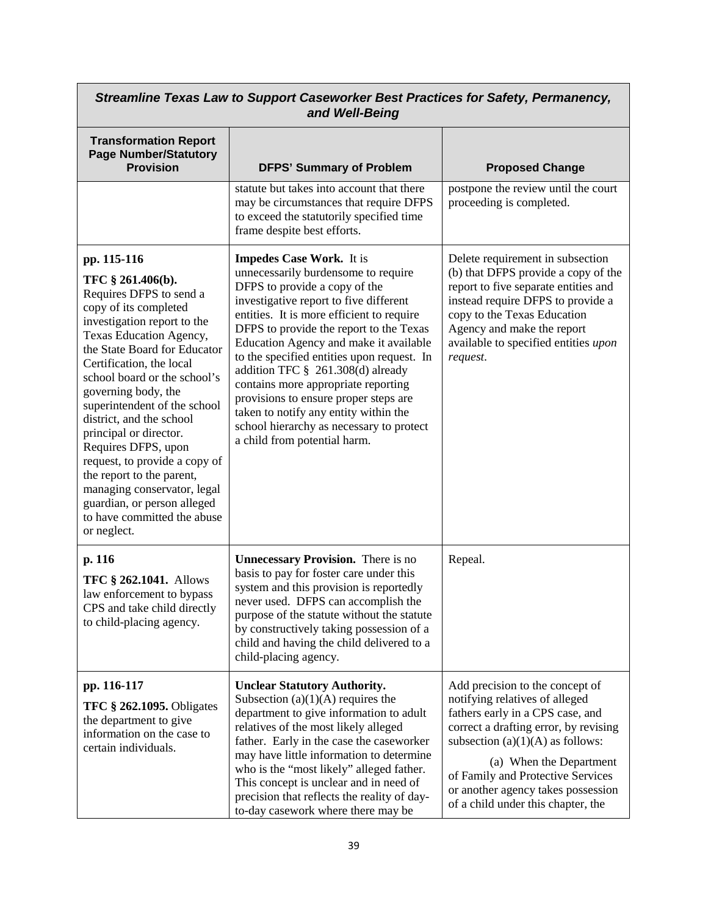| Streamline Texas Law to Support Caseworker Best Practices for Safety, Permanency,<br>and Well-Being                                                                                                                                                                                                                                                                                                                                                                                                                                                      |                                                                                                                                                                                                                                                                                                                                                                                                                                                                                                                                                                             |                                                                                                                                                                                                                                                                                                                                  |
|----------------------------------------------------------------------------------------------------------------------------------------------------------------------------------------------------------------------------------------------------------------------------------------------------------------------------------------------------------------------------------------------------------------------------------------------------------------------------------------------------------------------------------------------------------|-----------------------------------------------------------------------------------------------------------------------------------------------------------------------------------------------------------------------------------------------------------------------------------------------------------------------------------------------------------------------------------------------------------------------------------------------------------------------------------------------------------------------------------------------------------------------------|----------------------------------------------------------------------------------------------------------------------------------------------------------------------------------------------------------------------------------------------------------------------------------------------------------------------------------|
| <b>Transformation Report</b><br><b>Page Number/Statutory</b><br><b>Provision</b>                                                                                                                                                                                                                                                                                                                                                                                                                                                                         | <b>DFPS' Summary of Problem</b>                                                                                                                                                                                                                                                                                                                                                                                                                                                                                                                                             | <b>Proposed Change</b>                                                                                                                                                                                                                                                                                                           |
|                                                                                                                                                                                                                                                                                                                                                                                                                                                                                                                                                          | statute but takes into account that there<br>may be circumstances that require DFPS<br>to exceed the statutorily specified time<br>frame despite best efforts.                                                                                                                                                                                                                                                                                                                                                                                                              | postpone the review until the court<br>proceeding is completed.                                                                                                                                                                                                                                                                  |
| pp. 115-116<br>TFC § 261.406(b).<br>Requires DFPS to send a<br>copy of its completed<br>investigation report to the<br>Texas Education Agency,<br>the State Board for Educator<br>Certification, the local<br>school board or the school's<br>governing body, the<br>superintendent of the school<br>district, and the school<br>principal or director.<br>Requires DFPS, upon<br>request, to provide a copy of<br>the report to the parent,<br>managing conservator, legal<br>guardian, or person alleged<br>to have committed the abuse<br>or neglect. | <b>Impedes Case Work.</b> It is<br>unnecessarily burdensome to require<br>DFPS to provide a copy of the<br>investigative report to five different<br>entities. It is more efficient to require<br>DFPS to provide the report to the Texas<br>Education Agency and make it available<br>to the specified entities upon request. In<br>addition TFC § 261.308(d) already<br>contains more appropriate reporting<br>provisions to ensure proper steps are<br>taken to notify any entity within the<br>school hierarchy as necessary to protect<br>a child from potential harm. | Delete requirement in subsection<br>(b) that DFPS provide a copy of the<br>report to five separate entities and<br>instead require DFPS to provide a<br>copy to the Texas Education<br>Agency and make the report<br>available to specified entities upon<br>request.                                                            |
| p. 116<br><b>TFC § 262.1041.</b> Allows<br>law enforcement to bypass<br>CPS and take child directly<br>to child-placing agency.                                                                                                                                                                                                                                                                                                                                                                                                                          | <b>Unnecessary Provision.</b> There is no<br>basis to pay for foster care under this<br>system and this provision is reportedly<br>never used. DFPS can accomplish the<br>purpose of the statute without the statute<br>by constructively taking possession of a<br>child and having the child delivered to a<br>child-placing agency.                                                                                                                                                                                                                                      | Repeal.                                                                                                                                                                                                                                                                                                                          |
| pp. 116-117<br><b>TFC § 262.1095.</b> Obligates<br>the department to give<br>information on the case to<br>certain individuals.                                                                                                                                                                                                                                                                                                                                                                                                                          | <b>Unclear Statutory Authority.</b><br>Subsection (a) $(1)(A)$ requires the<br>department to give information to adult<br>relatives of the most likely alleged<br>father. Early in the case the caseworker<br>may have little information to determine<br>who is the "most likely" alleged father.<br>This concept is unclear and in need of<br>precision that reflects the reality of day-<br>to-day casework where there may be                                                                                                                                           | Add precision to the concept of<br>notifying relatives of alleged<br>fathers early in a CPS case, and<br>correct a drafting error, by revising<br>subsection $(a)(1)(A)$ as follows:<br>(a) When the Department<br>of Family and Protective Services<br>or another agency takes possession<br>of a child under this chapter, the |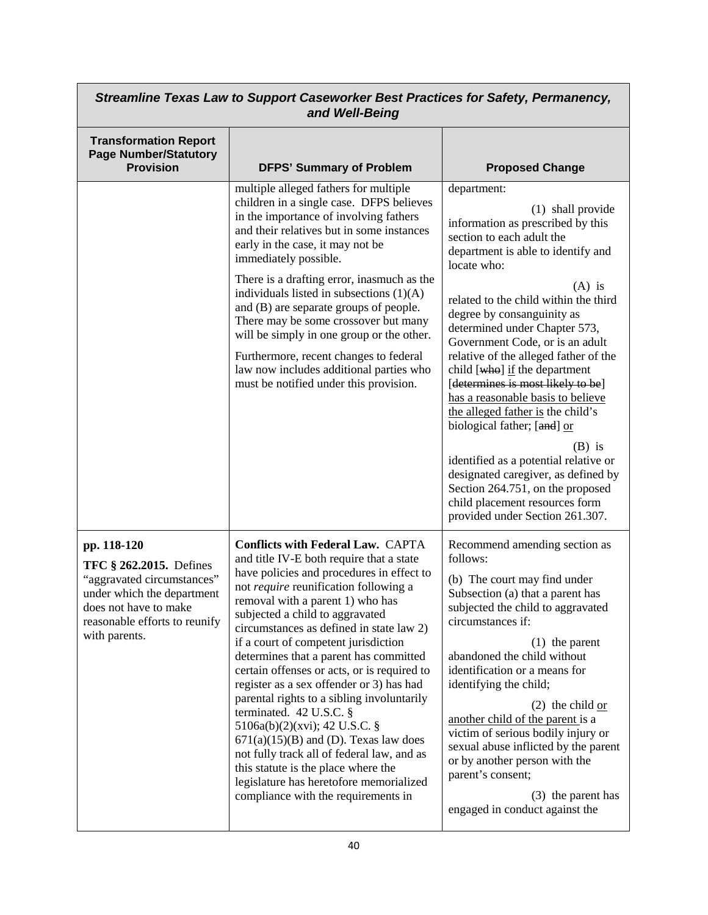| Streamline Texas Law to Support Caseworker Best Practices for Safety, Permanency,<br>and Well-Being                                                                           |                                                                                                                                                                                                                                                                                                                                                                                                                                                                                                                                                                                                                                                                                                                                                                                                        |                                                                                                                                                                                                                                                                                                                                                                                                                                                                                                                                                                                                                                                                                                                                             |
|-------------------------------------------------------------------------------------------------------------------------------------------------------------------------------|--------------------------------------------------------------------------------------------------------------------------------------------------------------------------------------------------------------------------------------------------------------------------------------------------------------------------------------------------------------------------------------------------------------------------------------------------------------------------------------------------------------------------------------------------------------------------------------------------------------------------------------------------------------------------------------------------------------------------------------------------------------------------------------------------------|---------------------------------------------------------------------------------------------------------------------------------------------------------------------------------------------------------------------------------------------------------------------------------------------------------------------------------------------------------------------------------------------------------------------------------------------------------------------------------------------------------------------------------------------------------------------------------------------------------------------------------------------------------------------------------------------------------------------------------------------|
| <b>Transformation Report</b><br><b>Page Number/Statutory</b><br><b>Provision</b>                                                                                              | <b>DFPS' Summary of Problem</b>                                                                                                                                                                                                                                                                                                                                                                                                                                                                                                                                                                                                                                                                                                                                                                        | <b>Proposed Change</b>                                                                                                                                                                                                                                                                                                                                                                                                                                                                                                                                                                                                                                                                                                                      |
|                                                                                                                                                                               | multiple alleged fathers for multiple<br>children in a single case. DFPS believes<br>in the importance of involving fathers<br>and their relatives but in some instances<br>early in the case, it may not be<br>immediately possible.<br>There is a drafting error, inasmuch as the<br>individuals listed in subsections $(1)(A)$<br>and (B) are separate groups of people.<br>There may be some crossover but many<br>will be simply in one group or the other.<br>Furthermore, recent changes to federal<br>law now includes additional parties who<br>must be notified under this provision.                                                                                                                                                                                                        | department:<br>(1) shall provide<br>information as prescribed by this<br>section to each adult the<br>department is able to identify and<br>locate who:<br>$(A)$ is<br>related to the child within the third<br>degree by consanguinity as<br>determined under Chapter 573,<br>Government Code, or is an adult<br>relative of the alleged father of the<br>child [who] if the department<br>[determines is most likely to be]<br>has a reasonable basis to believe<br>the alleged father is the child's<br>biological father; [and] or<br>$(B)$ is<br>identified as a potential relative or<br>designated caregiver, as defined by<br>Section 264.751, on the proposed<br>child placement resources form<br>provided under Section 261.307. |
| pp. 118-120<br>TFC § 262.2015. Defines<br>"aggravated circumstances"<br>under which the department<br>does not have to make<br>reasonable efforts to reunify<br>with parents. | <b>Conflicts with Federal Law. CAPTA</b><br>and title IV-E both require that a state<br>have policies and procedures in effect to<br>not require reunification following a<br>removal with a parent 1) who has<br>subjected a child to aggravated<br>circumstances as defined in state law 2)<br>if a court of competent jurisdiction<br>determines that a parent has committed<br>certain offenses or acts, or is required to<br>register as a sex offender or 3) has had<br>parental rights to a sibling involuntarily<br>terminated. 42 U.S.C. §<br>5106a(b)(2)(xvi); 42 U.S.C. §<br>$671(a)(15)(B)$ and (D). Texas law does<br>not fully track all of federal law, and as<br>this statute is the place where the<br>legislature has heretofore memorialized<br>compliance with the requirements in | Recommend amending section as<br>follows:<br>(b) The court may find under<br>Subsection (a) that a parent has<br>subjected the child to aggravated<br>circumstances if:<br>$(1)$ the parent<br>abandoned the child without<br>identification or a means for<br>identifying the child;<br>$(2)$ the child or<br>another child of the parent is a<br>victim of serious bodily injury or<br>sexual abuse inflicted by the parent<br>or by another person with the<br>parent's consent;<br>(3) the parent has<br>engaged in conduct against the                                                                                                                                                                                                 |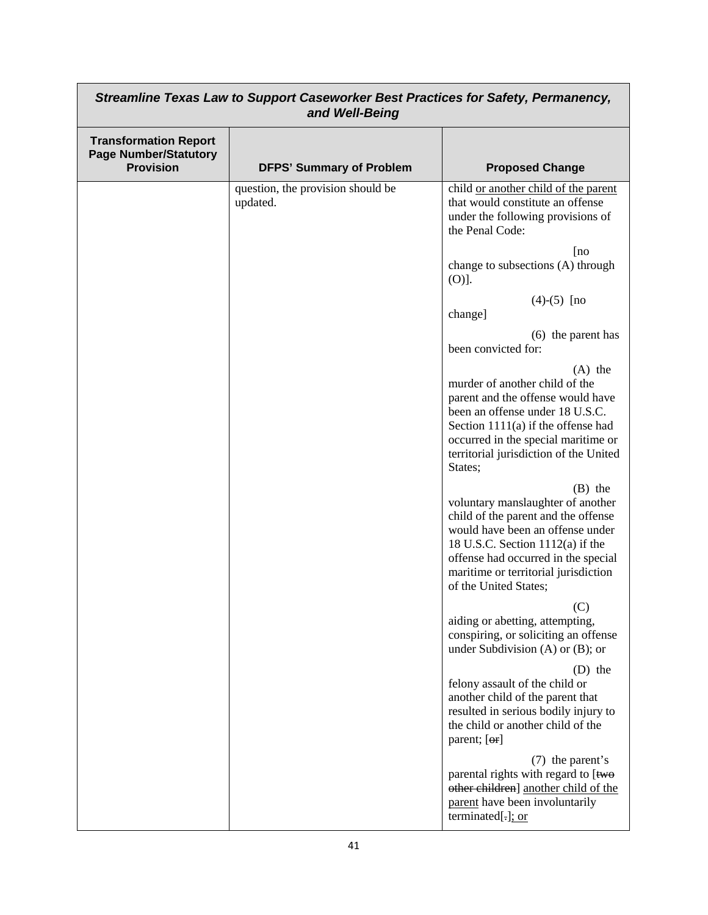| Streamline Texas Law to Support Caseworker Best Practices for Safety, Permanency,<br>and Well-Being |                                               |                                                                                                                                                                                                                                                                         |
|-----------------------------------------------------------------------------------------------------|-----------------------------------------------|-------------------------------------------------------------------------------------------------------------------------------------------------------------------------------------------------------------------------------------------------------------------------|
| <b>Transformation Report</b><br><b>Page Number/Statutory</b><br><b>Provision</b>                    | <b>DFPS' Summary of Problem</b>               | <b>Proposed Change</b>                                                                                                                                                                                                                                                  |
|                                                                                                     | question, the provision should be<br>updated. | child or another child of the parent<br>that would constitute an offense<br>under the following provisions of<br>the Penal Code:                                                                                                                                        |
|                                                                                                     |                                               | [no]<br>change to subsections (A) through<br>$(O)$ ].                                                                                                                                                                                                                   |
|                                                                                                     |                                               | $(4)-(5)$ [no<br>change]                                                                                                                                                                                                                                                |
|                                                                                                     |                                               | (6) the parent has<br>been convicted for:                                                                                                                                                                                                                               |
|                                                                                                     |                                               | $(A)$ the<br>murder of another child of the<br>parent and the offense would have<br>been an offense under 18 U.S.C.<br>Section $1111(a)$ if the offense had<br>occurred in the special maritime or<br>territorial jurisdiction of the United<br>States;                 |
|                                                                                                     |                                               | $(B)$ the<br>voluntary manslaughter of another<br>child of the parent and the offense<br>would have been an offense under<br>18 U.S.C. Section $1112(a)$ if the<br>offense had occurred in the special<br>maritime or territorial jurisdiction<br>of the United States; |
|                                                                                                     |                                               | (C)<br>aiding or abetting, attempting,<br>conspiring, or soliciting an offense<br>under Subdivision (A) or $(B)$ ; or                                                                                                                                                   |
|                                                                                                     |                                               | $(D)$ the<br>felony assault of the child or<br>another child of the parent that<br>resulted in serious bodily injury to<br>the child or another child of the<br>parent; [or]                                                                                            |
|                                                                                                     |                                               | (7) the parent's<br>parental rights with regard to [two<br>other children] another child of the<br>parent have been involuntarily<br>terminated[.]; or                                                                                                                  |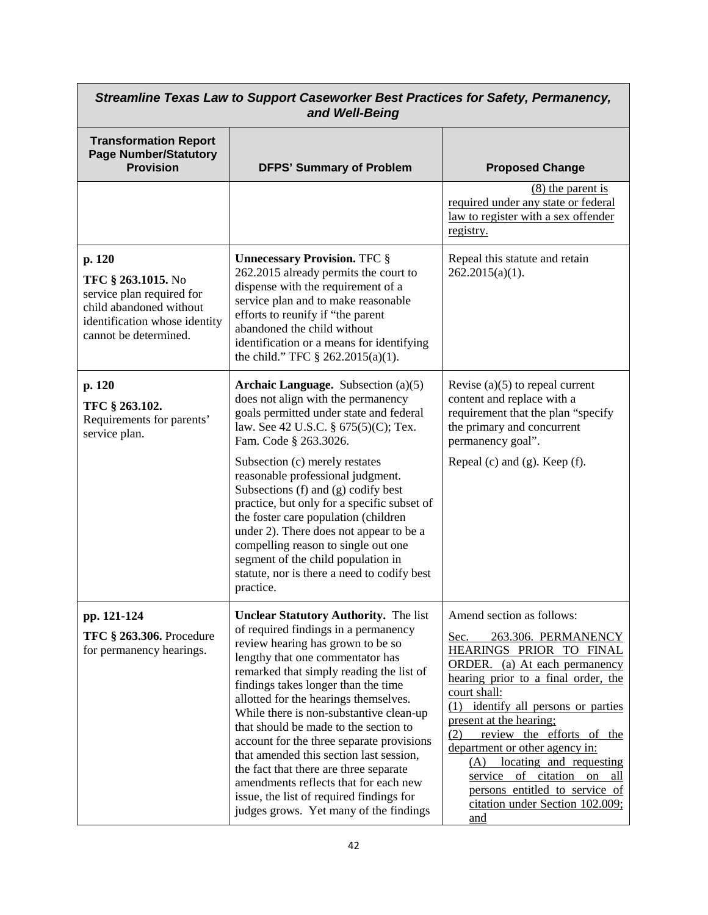| Streamline Texas Law to Support Caseworker Best Practices for Safety, Permanency,<br>and Well-Being                                            |                                                                                                                                                                                                                                                                                                                                                                                                                                                                                                                                                                                                                                                |                                                                                                                                                                                                                                                                                                                                                                                                                                                                     |
|------------------------------------------------------------------------------------------------------------------------------------------------|------------------------------------------------------------------------------------------------------------------------------------------------------------------------------------------------------------------------------------------------------------------------------------------------------------------------------------------------------------------------------------------------------------------------------------------------------------------------------------------------------------------------------------------------------------------------------------------------------------------------------------------------|---------------------------------------------------------------------------------------------------------------------------------------------------------------------------------------------------------------------------------------------------------------------------------------------------------------------------------------------------------------------------------------------------------------------------------------------------------------------|
| <b>Transformation Report</b><br><b>Page Number/Statutory</b><br><b>Provision</b>                                                               | <b>DFPS' Summary of Problem</b>                                                                                                                                                                                                                                                                                                                                                                                                                                                                                                                                                                                                                | <b>Proposed Change</b>                                                                                                                                                                                                                                                                                                                                                                                                                                              |
|                                                                                                                                                |                                                                                                                                                                                                                                                                                                                                                                                                                                                                                                                                                                                                                                                | $(8)$ the parent is<br>required under any state or federal<br>law to register with a sex offender<br>registry.                                                                                                                                                                                                                                                                                                                                                      |
| p. 120<br>TFC § 263.1015. No<br>service plan required for<br>child abandoned without<br>identification whose identity<br>cannot be determined. | <b>Unnecessary Provision. TFC §</b><br>262.2015 already permits the court to<br>dispense with the requirement of a<br>service plan and to make reasonable<br>efforts to reunify if "the parent<br>abandoned the child without<br>identification or a means for identifying<br>the child." TFC $\S 262.2015(a)(1)$ .                                                                                                                                                                                                                                                                                                                            | Repeal this statute and retain<br>$262.2015(a)(1)$ .                                                                                                                                                                                                                                                                                                                                                                                                                |
| p. 120<br>TFC § 263.102.<br>Requirements for parents'<br>service plan.                                                                         | <b>Archaic Language.</b> Subsection $(a)(5)$<br>does not align with the permanency<br>goals permitted under state and federal<br>law. See 42 U.S.C. § 675(5)(C); Tex.<br>Fam. Code § 263.3026.<br>Subsection (c) merely restates<br>reasonable professional judgment.<br>Subsections (f) and (g) codify best<br>practice, but only for a specific subset of<br>the foster care population (children<br>under 2). There does not appear to be a<br>compelling reason to single out one<br>segment of the child population in<br>statute, nor is there a need to codify best<br>practice.                                                        | Revise $(a)(5)$ to repeal current<br>content and replace with a<br>requirement that the plan "specify<br>the primary and concurrent<br>permanency goal".<br>Repeal (c) and (g). Keep $(f)$ .                                                                                                                                                                                                                                                                        |
| pp. 121-124<br><b>TFC § 263.306.</b> Procedure<br>for permanency hearings.                                                                     | <b>Unclear Statutory Authority.</b> The list<br>of required findings in a permanency<br>review hearing has grown to be so<br>lengthy that one commentator has<br>remarked that simply reading the list of<br>findings takes longer than the time<br>allotted for the hearings themselves.<br>While there is non-substantive clean-up<br>that should be made to the section to<br>account for the three separate provisions<br>that amended this section last session,<br>the fact that there are three separate<br>amendments reflects that for each new<br>issue, the list of required findings for<br>judges grows. Yet many of the findings | Amend section as follows:<br>263.306. PERMANENCY<br>Sec.<br>HEARINGS PRIOR TO FINAL<br><b>ORDER.</b> (a) At each permanency<br>hearing prior to a final order, the<br>court shall:<br>(1) identify all persons or parties<br>present at the hearing;<br>(2)<br>review the efforts of the<br>department or other agency in:<br>(A) locating and requesting<br>service of citation on all<br>persons entitled to service of<br>citation under Section 102.009;<br>and |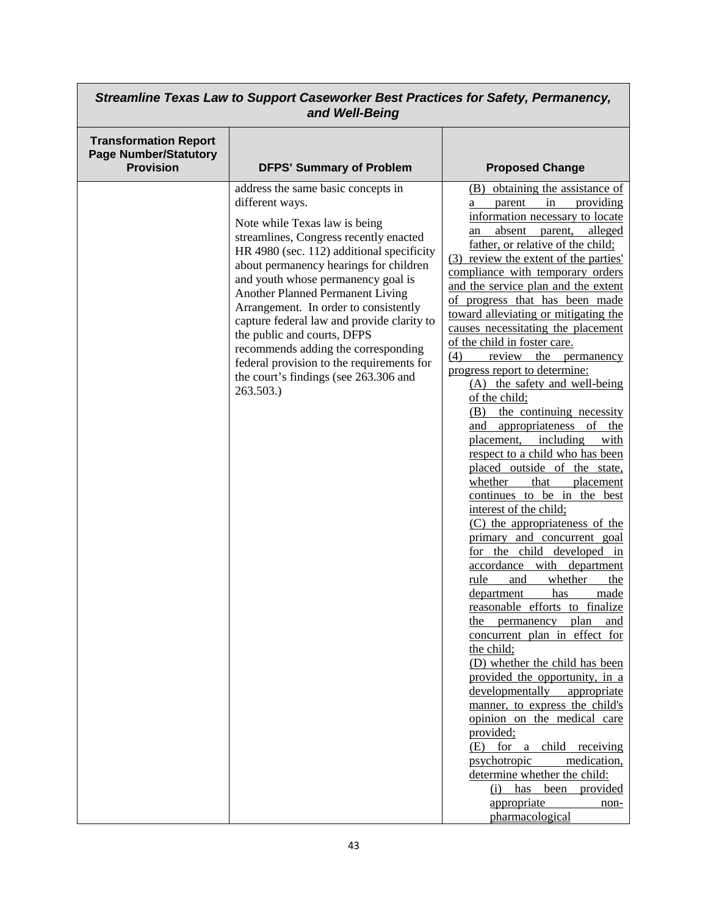| Streamline Texas Law to Support Caseworker Best Practices for Safety, Permanency,<br>and Well-Being |                                                                                                                                                                                                                                                                                                                                                                                                                                                                                                                                                                          |                                                                                                                                                                                                                                                                                                                                                                                                                                                                                                                                                                                                                                                                                                                                                                                                                                                                                                                                                                                                                                                                                                                                                                                                                                                                                                                                                                                                                                                                                                                                          |
|-----------------------------------------------------------------------------------------------------|--------------------------------------------------------------------------------------------------------------------------------------------------------------------------------------------------------------------------------------------------------------------------------------------------------------------------------------------------------------------------------------------------------------------------------------------------------------------------------------------------------------------------------------------------------------------------|------------------------------------------------------------------------------------------------------------------------------------------------------------------------------------------------------------------------------------------------------------------------------------------------------------------------------------------------------------------------------------------------------------------------------------------------------------------------------------------------------------------------------------------------------------------------------------------------------------------------------------------------------------------------------------------------------------------------------------------------------------------------------------------------------------------------------------------------------------------------------------------------------------------------------------------------------------------------------------------------------------------------------------------------------------------------------------------------------------------------------------------------------------------------------------------------------------------------------------------------------------------------------------------------------------------------------------------------------------------------------------------------------------------------------------------------------------------------------------------------------------------------------------------|
| <b>Transformation Report</b><br><b>Page Number/Statutory</b><br><b>Provision</b>                    | <b>DFPS' Summary of Problem</b>                                                                                                                                                                                                                                                                                                                                                                                                                                                                                                                                          | <b>Proposed Change</b>                                                                                                                                                                                                                                                                                                                                                                                                                                                                                                                                                                                                                                                                                                                                                                                                                                                                                                                                                                                                                                                                                                                                                                                                                                                                                                                                                                                                                                                                                                                   |
|                                                                                                     | address the same basic concepts in<br>different ways.<br>Note while Texas law is being<br>streamlines, Congress recently enacted<br>HR 4980 (sec. 112) additional specificity<br>about permanency hearings for children<br>and youth whose permanency goal is<br><b>Another Planned Permanent Living</b><br>Arrangement. In order to consistently<br>capture federal law and provide clarity to<br>the public and courts, DFPS<br>recommends adding the corresponding<br>federal provision to the requirements for<br>the court's findings (see 263.306 and<br>263.503.) | obtaining the assistance of<br>(B)<br>providing<br>in<br>parent<br>a<br>information necessary to locate<br>alleged<br>absent<br>parent,<br>an<br>father, or relative of the child;<br>(3) review the extent of the parties'<br>compliance with temporary orders<br>and the service plan and the extent<br>of progress that has been made<br>toward alleviating or mitigating the<br>causes necessitating the placement<br>of the child in foster care.<br>(4)<br>review<br>the<br>permanency<br>progress report to determine:<br>(A) the safety and well-being<br>of the child;<br>the continuing necessity<br>(B)<br>appropriateness<br>of<br>and<br>the<br>including<br>placement,<br>with<br>respect to a child who has been<br>placed outside of the state,<br>whether<br>that<br>placement<br>continues to be in the best<br>interest of the child;<br>(C) the appropriateness of the<br>primary and concurrent goal<br>for the child developed in<br>accordance with department<br>rule<br>whether<br>the<br>and<br>department<br>has<br>made<br>reasonable efforts to finalize<br>plan<br>the permanency<br>and<br>concurrent plan in effect for<br>the child;<br>(D) whether the child has been<br>provided the opportunity, in a<br>developmentally<br>appropriate<br>manner, to express the child's<br>opinion on the medical care<br>provided;<br>$(E)$ for a<br>child<br>receiving<br>psychotropic<br>medication,<br>determine whether the child:<br>$(i)$ has<br>been<br>provided<br>appropriate<br>non-<br>pharmacological |

 $\overline{\phantom{1}}$ 

 $\Gamma$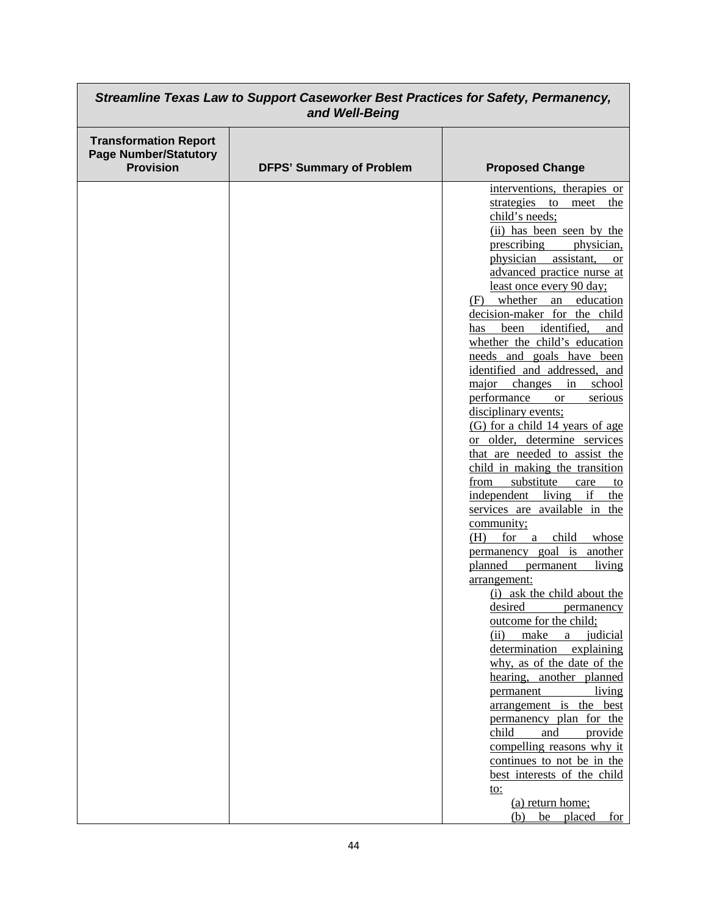| Streamline Texas Law to Support Caseworker Best Practices for Safety, Permanency,<br>and Well-Being |                                 |                                                                                                                                                                                                                                                                                                                                                                                                                                                                                                                                                                                                                                                                                                                                                                                                                                                                                                                                                                                                                                                                                                                                                                                                                                                                                                                                                                                                             |
|-----------------------------------------------------------------------------------------------------|---------------------------------|-------------------------------------------------------------------------------------------------------------------------------------------------------------------------------------------------------------------------------------------------------------------------------------------------------------------------------------------------------------------------------------------------------------------------------------------------------------------------------------------------------------------------------------------------------------------------------------------------------------------------------------------------------------------------------------------------------------------------------------------------------------------------------------------------------------------------------------------------------------------------------------------------------------------------------------------------------------------------------------------------------------------------------------------------------------------------------------------------------------------------------------------------------------------------------------------------------------------------------------------------------------------------------------------------------------------------------------------------------------------------------------------------------------|
| <b>Transformation Report</b><br><b>Page Number/Statutory</b><br><b>Provision</b>                    | <b>DFPS' Summary of Problem</b> | <b>Proposed Change</b>                                                                                                                                                                                                                                                                                                                                                                                                                                                                                                                                                                                                                                                                                                                                                                                                                                                                                                                                                                                                                                                                                                                                                                                                                                                                                                                                                                                      |
|                                                                                                     |                                 | interventions, therapies or<br>strategies<br>the<br>to<br>meet<br>child's needs;<br>(ii) has been seen by the<br>prescribing<br>physician,<br>physician<br>assistant,<br><b>or</b><br>advanced practice nurse at<br>least once every 90 day;<br>(F) whether<br>education<br>an<br>decision-maker for the child<br>identified,<br>been<br>has<br>and<br>whether the child's education<br>needs and goals have been<br>identified and addressed, and<br>major changes<br>in<br>school<br>performance<br>serious<br><b>or</b><br>disciplinary events;<br>(G) for a child 14 years of age<br>or older, determine services<br>that are needed to assist the<br>child in making the transition<br>substitute<br>from<br>care<br>to<br>independent living<br>if<br>the<br>services are available in the<br>community;<br>(H)<br>for a<br>child<br>whose<br>permanency goal is another<br>planned<br>living<br>permanent<br>arrangement:<br>(i) ask the child about the<br>desired<br>permanency<br>outcome for the child;<br>(ii)<br>make<br>judicial<br>a<br>determination<br>explaining<br>why, as of the date of the<br>hearing, another planned<br>permanent<br>living<br>arrangement is the best<br>permanency plan for the<br>child<br>and<br>provide<br>compelling reasons why it<br>continues to not be in the<br>best interests of the child<br><u>to:</u><br>(a) return home;<br>be placed<br>for<br>(b) |

٦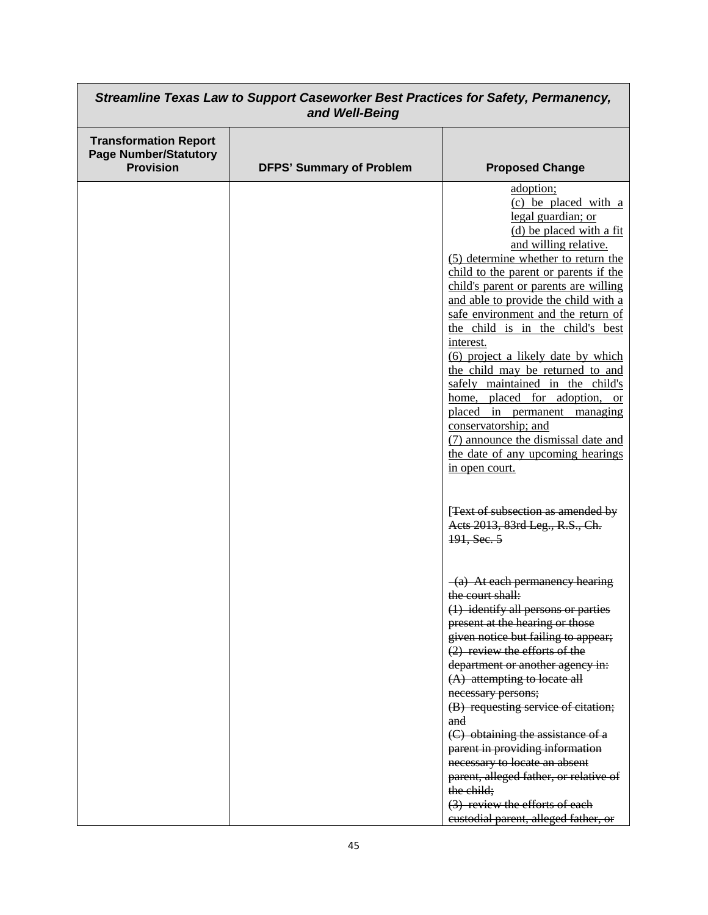| Streamline Texas Law to Support Caseworker Best Practices for Safety, Permanency,<br>and Well-Being |                                 |                                                                                                                                                                                                                                                                                                                                                                                                                                                                                                                                                                                                                                                                                       |
|-----------------------------------------------------------------------------------------------------|---------------------------------|---------------------------------------------------------------------------------------------------------------------------------------------------------------------------------------------------------------------------------------------------------------------------------------------------------------------------------------------------------------------------------------------------------------------------------------------------------------------------------------------------------------------------------------------------------------------------------------------------------------------------------------------------------------------------------------|
| <b>Transformation Report</b><br><b>Page Number/Statutory</b><br><b>Provision</b>                    | <b>DFPS' Summary of Problem</b> | <b>Proposed Change</b>                                                                                                                                                                                                                                                                                                                                                                                                                                                                                                                                                                                                                                                                |
|                                                                                                     |                                 | adoption;<br>(c) be placed with a<br>legal guardian; or<br>(d) be placed with a fit<br>and willing relative.<br>(5) determine whether to return the<br>child to the parent or parents if the<br>child's parent or parents are willing<br>and able to provide the child with a<br>safe environment and the return of<br>the child is in the child's best<br>interest.<br>(6) project a likely date by which<br>the child may be returned to and<br>safely maintained in the child's<br>home, placed for adoption, or<br>placed in permanent managing<br>conservatorship; and<br>(7) announce the dismissal date and<br>the date of any upcoming hearings<br>in open court.             |
|                                                                                                     |                                 | [Text of subsection as amended by<br>Acts 2013, 83rd Leg., R.S., Ch.<br>191, Sec. 5<br>$-(a)$ At each permanency hearing<br>the court shall:<br>(1) identify all persons or parties<br>present at the hearing or those<br>given notice but failing to appear;<br>$(2)$ review the efforts of the<br>department or another agency in:<br>$(A)$ attempting to locate all<br>necessary persons;<br>(B) requesting service of citation;<br>and<br>(C) obtaining the assistance of a<br>parent in providing information<br>necessary to locate an absent<br>parent, alleged father, or relative of<br>the child;<br>(3) review the efforts of each<br>custodial parent, alleged father, or |

 $\Gamma$ 

┑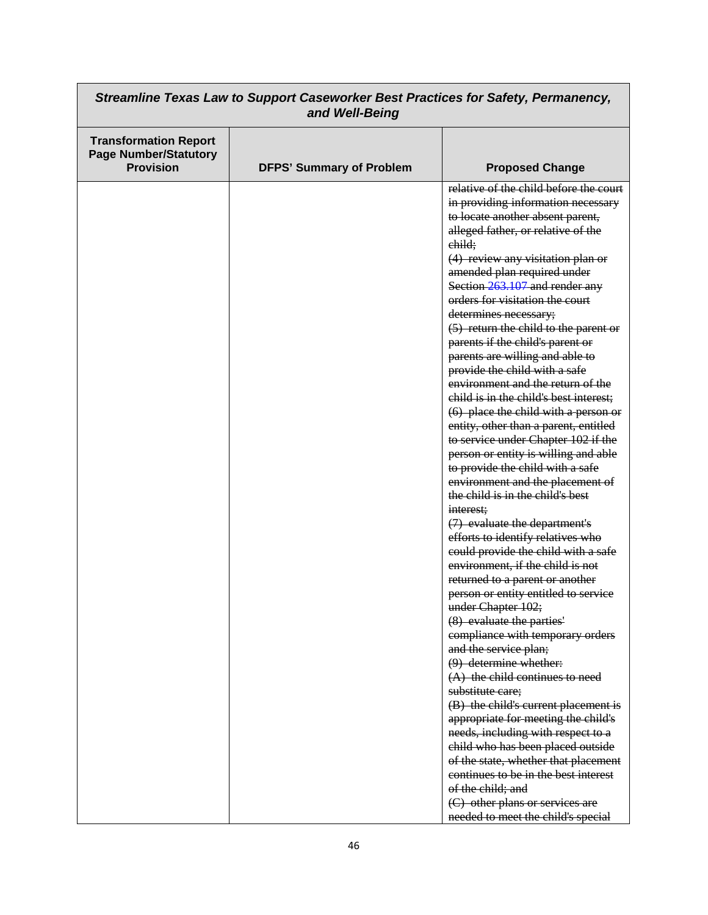| Streamline Texas Law to Support Caseworker Best Practices for Safety, Permanency,<br>and Well-Being |                                 |                                                                                                                                                                                                                                                                                                                                                                                                                                                                                                                                                                                                                                                                                                                                                                                                                                                                                                                                                                                                                                                                                                                                                                                    |
|-----------------------------------------------------------------------------------------------------|---------------------------------|------------------------------------------------------------------------------------------------------------------------------------------------------------------------------------------------------------------------------------------------------------------------------------------------------------------------------------------------------------------------------------------------------------------------------------------------------------------------------------------------------------------------------------------------------------------------------------------------------------------------------------------------------------------------------------------------------------------------------------------------------------------------------------------------------------------------------------------------------------------------------------------------------------------------------------------------------------------------------------------------------------------------------------------------------------------------------------------------------------------------------------------------------------------------------------|
| <b>Transformation Report</b><br><b>Page Number/Statutory</b><br><b>Provision</b>                    | <b>DFPS' Summary of Problem</b> | <b>Proposed Change</b>                                                                                                                                                                                                                                                                                                                                                                                                                                                                                                                                                                                                                                                                                                                                                                                                                                                                                                                                                                                                                                                                                                                                                             |
|                                                                                                     |                                 | relative of the child before the court<br>in providing information necessary<br>to locate another absent parent,<br>alleged father, or relative of the<br>child;<br>(4) review any visitation plan or<br>amended plan required under<br>Section 263.107 and render any<br>orders for visitation the court<br>determines necessary;<br>$(5)$ return the child to the parent or<br>parents if the child's parent or<br>parents are willing and able to<br>provide the child with a safe<br>environment and the return of the<br>child is in the child's best interest;<br>$(6)$ place the child with a person or<br>entity, other than a parent, entitled<br>to service under Chapter 102 if the<br>person or entity is willing and able<br>to provide the child with a safe<br>environment and the placement of<br>the child is in the child's best<br>interest;<br>(7) evaluate the department's<br>efforts to identify relatives who<br>could provide the child with a safe<br>environment, if the child is not<br>returned to a parent or another<br>person or entity entitled to service<br>under Chapter 102;<br>(8) evaluate the parties'<br>compliance with temporary orders |
|                                                                                                     |                                 | and the service plan;<br>$(9)$ determine whether:<br>$(A)$ the child continues to need<br>substitute care;                                                                                                                                                                                                                                                                                                                                                                                                                                                                                                                                                                                                                                                                                                                                                                                                                                                                                                                                                                                                                                                                         |
|                                                                                                     |                                 | (B) the child's current placement is<br>appropriate for meeting the child's<br>needs, including with respect to a<br>child who has been placed outside<br>of the state, whether that placement<br>continues to be in the best interest<br>of the child; and                                                                                                                                                                                                                                                                                                                                                                                                                                                                                                                                                                                                                                                                                                                                                                                                                                                                                                                        |
|                                                                                                     |                                 | (C) other plans or services are<br>needed to meet the child's special                                                                                                                                                                                                                                                                                                                                                                                                                                                                                                                                                                                                                                                                                                                                                                                                                                                                                                                                                                                                                                                                                                              |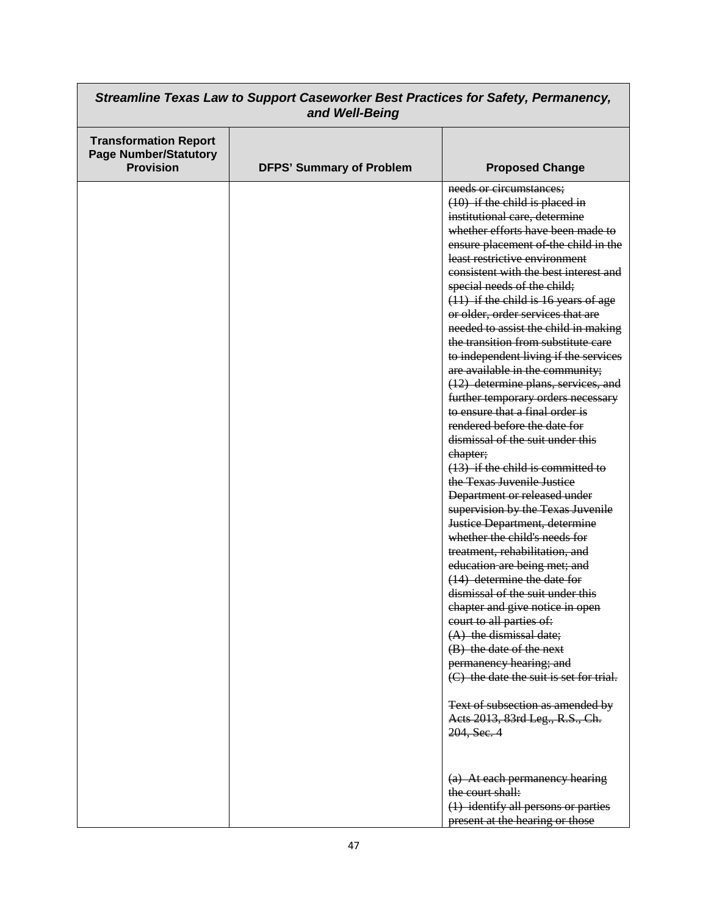| Streamline Texas Law to Support Caseworker Best Practices for Safety, Permanency,<br>and Well-Being |                                 |                                                                                                                                                                                                                                                                                                                                                                                                                                                                                                                                                                                                                                                                                                                                                                                                                                                                                                                                                                                                                                                                                                                                                                                                                                                                                                                                                                   |
|-----------------------------------------------------------------------------------------------------|---------------------------------|-------------------------------------------------------------------------------------------------------------------------------------------------------------------------------------------------------------------------------------------------------------------------------------------------------------------------------------------------------------------------------------------------------------------------------------------------------------------------------------------------------------------------------------------------------------------------------------------------------------------------------------------------------------------------------------------------------------------------------------------------------------------------------------------------------------------------------------------------------------------------------------------------------------------------------------------------------------------------------------------------------------------------------------------------------------------------------------------------------------------------------------------------------------------------------------------------------------------------------------------------------------------------------------------------------------------------------------------------------------------|
| <b>Transformation Report</b><br><b>Page Number/Statutory</b><br><b>Provision</b>                    | <b>DFPS' Summary of Problem</b> | <b>Proposed Change</b>                                                                                                                                                                                                                                                                                                                                                                                                                                                                                                                                                                                                                                                                                                                                                                                                                                                                                                                                                                                                                                                                                                                                                                                                                                                                                                                                            |
|                                                                                                     |                                 | needs or circumstances;<br>$(10)$ if the child is placed in<br>institutional care, determine<br>whether efforts have been made to<br>ensure placement of the child in the<br>least restrictive environment<br>consistent with the best interest and<br>special needs of the child;<br>$(11)$ if the child is 16 years of age<br>or older, order services that are<br>needed to assist the child in making<br>the transition from substitute care<br>to independent living if the services<br>are available in the community;<br>(12) determine plans, services, and<br>further temporary orders necessary<br>to ensure that a final order is<br>rendered before the date for<br>dismissal of the suit under this<br>ehapter;<br>$(13)$ if the child is committed to<br>the Texas Juvenile Justice<br>Department or released under<br>supervision by the Texas Juvenile<br>Justice Department, determine<br>whether the child's needs for<br>treatment, rehabilitation, and<br>education are being met; and<br>(14) determine the date for<br>dismissal of the suit under this<br>chapter and give notice in open<br>court to all parties of:<br>$(A)$ the dismissal date;<br>(B) the date of the next<br>permanency hearing; and<br>(C) the date the suit is set for trial.<br>Text of subsection as amended by<br>Aets 2013, 83rd Leg., R.S., Ch.<br>204, Sec. 4 |
|                                                                                                     |                                 | (a) At each permanency hearing<br>the court shall:<br>(1) identify all persons or parties<br>present at the hearing or those                                                                                                                                                                                                                                                                                                                                                                                                                                                                                                                                                                                                                                                                                                                                                                                                                                                                                                                                                                                                                                                                                                                                                                                                                                      |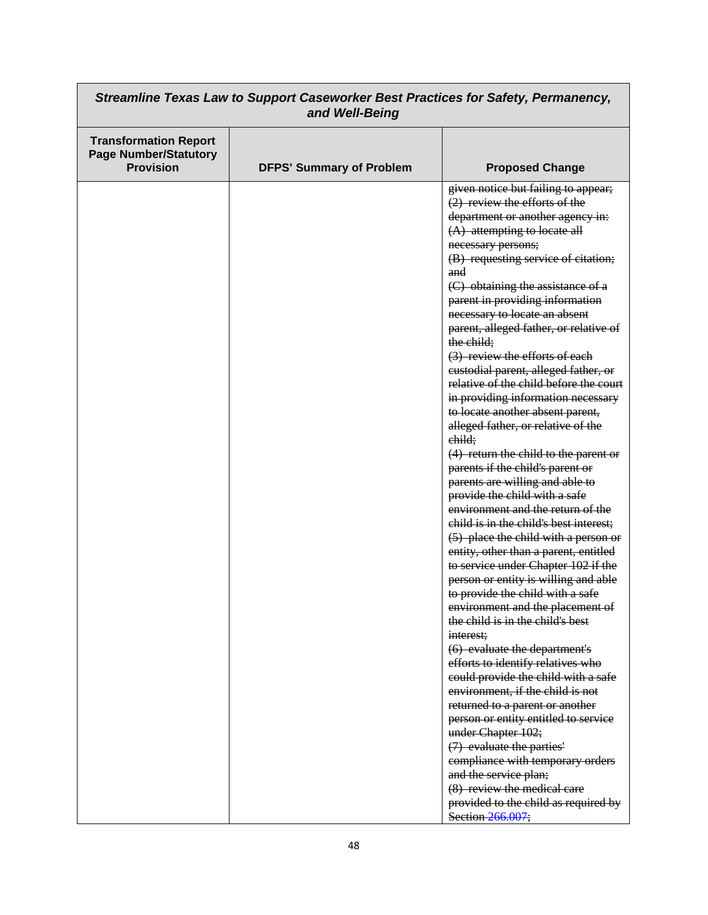| Streamline Texas Law to Support Caseworker Best Practices for Safety, Permanency,<br>and Well-Being |                                 |                                                                                                                                                                                                                                                                                                                                                                                                                                                                                                                                                                                                                                                                                                                                                                                                                                                                                                                                                                                                                                                                                                                                                                                                                                                                         |
|-----------------------------------------------------------------------------------------------------|---------------------------------|-------------------------------------------------------------------------------------------------------------------------------------------------------------------------------------------------------------------------------------------------------------------------------------------------------------------------------------------------------------------------------------------------------------------------------------------------------------------------------------------------------------------------------------------------------------------------------------------------------------------------------------------------------------------------------------------------------------------------------------------------------------------------------------------------------------------------------------------------------------------------------------------------------------------------------------------------------------------------------------------------------------------------------------------------------------------------------------------------------------------------------------------------------------------------------------------------------------------------------------------------------------------------|
| <b>Transformation Report</b><br><b>Page Number/Statutory</b><br><b>Provision</b>                    | <b>DFPS' Summary of Problem</b> | <b>Proposed Change</b>                                                                                                                                                                                                                                                                                                                                                                                                                                                                                                                                                                                                                                                                                                                                                                                                                                                                                                                                                                                                                                                                                                                                                                                                                                                  |
|                                                                                                     |                                 | given notice but failing to appear;<br>$(2)$ review the efforts of the<br>department or another agency in:<br>$(A)$ attempting to locate all<br>necessary persons;<br>(B) requesting service of citation;<br>and<br>(C) obtaining the assistance of a<br>parent in providing information<br>necessary to locate an absent<br>parent, alleged father, or relative of<br>the child;<br>(3) review the efforts of each<br>custodial parent, alleged father, or<br>relative of the child before the court<br>in providing information necessary<br>to locate another absent parent,<br>alleged father, or relative of the<br>child;<br>$(4)$ return the child to the parent or<br>parents if the child's parent or<br>parents are willing and able to<br>provide the child with a safe<br>environment and the return of the<br>child is in the child's best interest;<br>(5) place the child with a person or<br>entity, other than a parent, entitled<br>to service under Chapter 102 if the<br>person or entity is willing and able<br>to provide the child with a safe<br>environment and the placement of<br>the child is in the child's best<br>interest:<br>(6) evaluate the department's<br>efforts to identify relatives who<br>could provide the child with a safe |
|                                                                                                     |                                 | environment, if the child is not<br>returned to a parent or another<br>person or entity entitled to service<br>under Chapter 102;<br>(7) evaluate the parties'<br>compliance with temporary orders                                                                                                                                                                                                                                                                                                                                                                                                                                                                                                                                                                                                                                                                                                                                                                                                                                                                                                                                                                                                                                                                      |
|                                                                                                     |                                 | and the service plan;<br>(8) review the medical care<br>provided to the child as required by<br>Section 266.007;                                                                                                                                                                                                                                                                                                                                                                                                                                                                                                                                                                                                                                                                                                                                                                                                                                                                                                                                                                                                                                                                                                                                                        |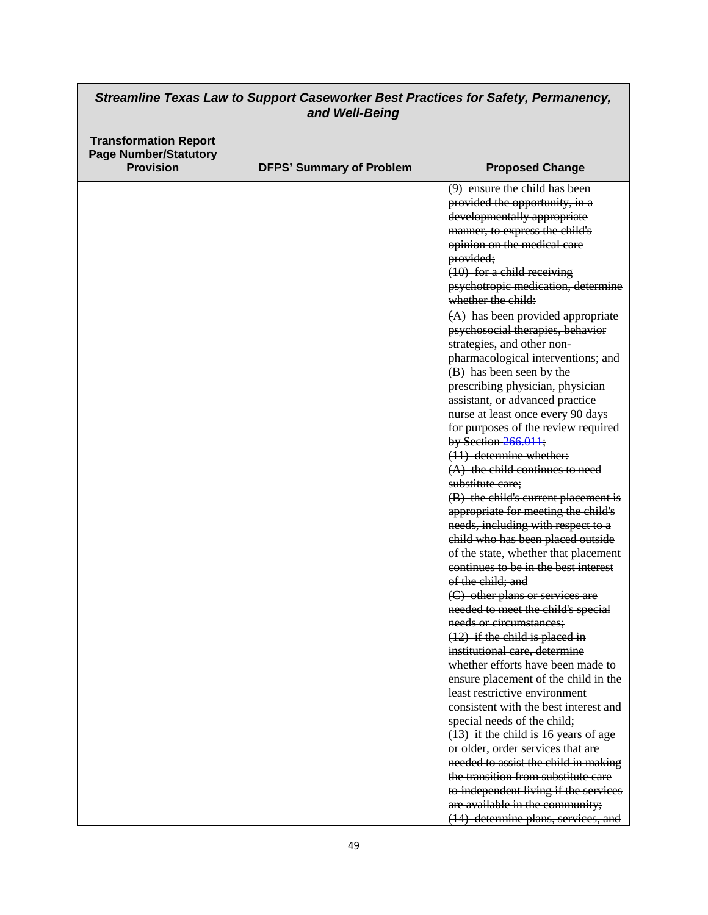| Streamline Texas Law to Support Caseworker Best Practices for Safety, Permanency,<br>and Well-Being |                                 |                                                                                                                                                                                                                                                                                                                                                                                                                                                                                                                                                                                                                                                                                                                                                                                                                                                                                                                                                                                                                                                                                                                                                                                                                                                                                                                                                                                               |
|-----------------------------------------------------------------------------------------------------|---------------------------------|-----------------------------------------------------------------------------------------------------------------------------------------------------------------------------------------------------------------------------------------------------------------------------------------------------------------------------------------------------------------------------------------------------------------------------------------------------------------------------------------------------------------------------------------------------------------------------------------------------------------------------------------------------------------------------------------------------------------------------------------------------------------------------------------------------------------------------------------------------------------------------------------------------------------------------------------------------------------------------------------------------------------------------------------------------------------------------------------------------------------------------------------------------------------------------------------------------------------------------------------------------------------------------------------------------------------------------------------------------------------------------------------------|
| <b>Transformation Report</b><br><b>Page Number/Statutory</b><br><b>Provision</b>                    | <b>DFPS' Summary of Problem</b> | <b>Proposed Change</b>                                                                                                                                                                                                                                                                                                                                                                                                                                                                                                                                                                                                                                                                                                                                                                                                                                                                                                                                                                                                                                                                                                                                                                                                                                                                                                                                                                        |
|                                                                                                     |                                 | $(9)$ ensure the child has been<br>provided the opportunity, in a<br>developmentally appropriate<br>manner, to express the child's<br>opinion on the medical care<br>provided;<br>$(10)$ for a child receiving<br>psychotropic medication, determine<br>whether the child:<br>$(A)$ has been provided appropriate<br>psychosocial therapies, behavior<br>strategies, and other non-<br>pharmacological interventions; and<br>(B) has been seen by the<br>prescribing physician, physician<br>assistant, or advanced practice<br>nurse at least once every 90 days<br>for purposes of the review required<br>by Section 266.011;<br>$(11)$ determine whether:<br>$(A)$ the child continues to need<br>substitute care;<br>(B) the child's current placement is<br>appropriate for meeting the child's<br>needs, including with respect to a<br>child who has been placed outside<br>of the state, whether that placement<br>continues to be in the best interest<br>of the child; and<br>(C) other plans or services are<br>needed to meet the child's special<br>needs or circumstances:<br>$(12)$ if the child is placed in<br>institutional care, determine<br>whether efforts have been made to<br>ensure placement of the child in the<br>least restrictive environment<br>consistent with the best interest and<br>special needs of the child;<br>$(13)$ if the child is 16 years of age |
|                                                                                                     |                                 | or older, order services that are<br>needed to assist the child in making<br>the transition from substitute care<br>to independent living if the services<br>are available in the community;<br>(14) determine plans, services, and                                                                                                                                                                                                                                                                                                                                                                                                                                                                                                                                                                                                                                                                                                                                                                                                                                                                                                                                                                                                                                                                                                                                                           |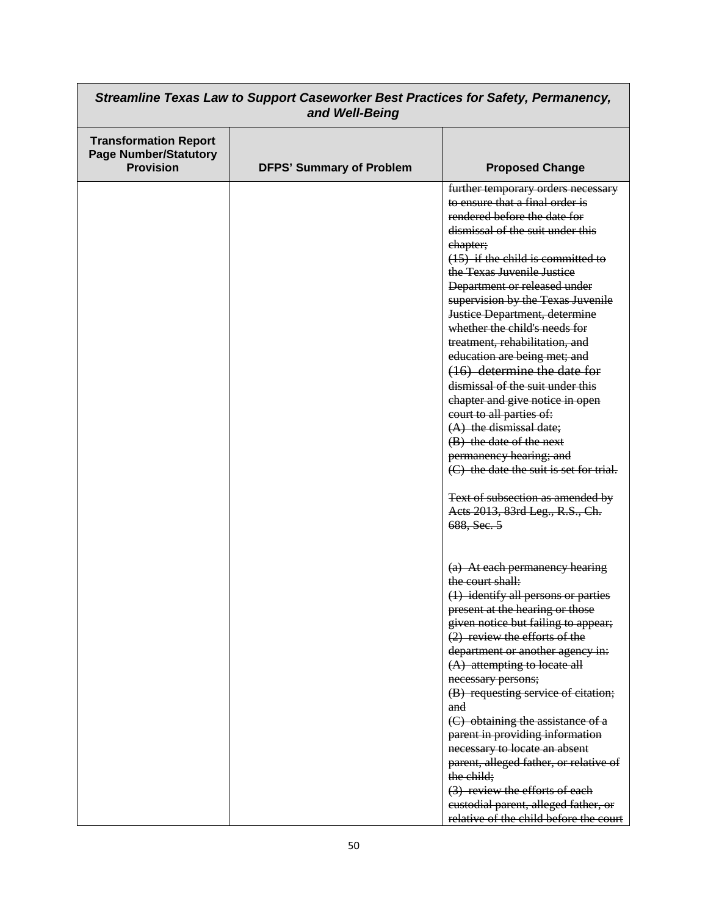| Streamline Texas Law to Support Caseworker Best Practices for Safety, Permanency,<br>and Well-Being |                                 |                                                                                                                                                                                                                                                                                                                                                                                                                                                                                                                                                                                                                                                                                                                                                                                            |
|-----------------------------------------------------------------------------------------------------|---------------------------------|--------------------------------------------------------------------------------------------------------------------------------------------------------------------------------------------------------------------------------------------------------------------------------------------------------------------------------------------------------------------------------------------------------------------------------------------------------------------------------------------------------------------------------------------------------------------------------------------------------------------------------------------------------------------------------------------------------------------------------------------------------------------------------------------|
| <b>Transformation Report</b><br><b>Page Number/Statutory</b><br><b>Provision</b>                    | <b>DFPS' Summary of Problem</b> | <b>Proposed Change</b>                                                                                                                                                                                                                                                                                                                                                                                                                                                                                                                                                                                                                                                                                                                                                                     |
|                                                                                                     |                                 | further temporary orders necessary<br>to ensure that a final order is<br>rendered before the date for<br>dismissal of the suit under this<br>chapter;<br>$(15)$ if the child is committed to<br>the Texas Juvenile Justice<br>Department or released under<br>supervision by the Texas Juvenile<br>Justice Department, determine<br>whether the child's needs for<br>treatment, rehabilitation, and<br>education are being met; and<br>(16) determine the date for<br>dismissal of the suit under this<br>chapter and give notice in open<br>court to all parties of:<br>$(A)$ the dismissal date;<br>(B) the date of the next<br>permanency hearing; and<br>(C) the date the suit is set for trial.<br>Text of subsection as amended by<br>Aets 2013, 83rd Leg., R.S., Ch.<br>688, Sec. 5 |
|                                                                                                     |                                 | (a) At each permanency hearing<br>the court shall:<br>(1) identify all persons or parties<br>present at the hearing or those<br>given notice but failing to appear;<br>(2) review the efforts of the<br>department or another agency in:<br>(A) attempting to locate all<br>necessary persons;<br>(B) requesting service of citation;<br>and<br>(C) obtaining the assistance of a<br>parent in providing information<br>necessary to locate an absent<br>parent, alleged father, or relative of<br>the child;<br>(3) review the efforts of each<br>eustodial parent, alleged father, or<br>relative of the child before the court                                                                                                                                                          |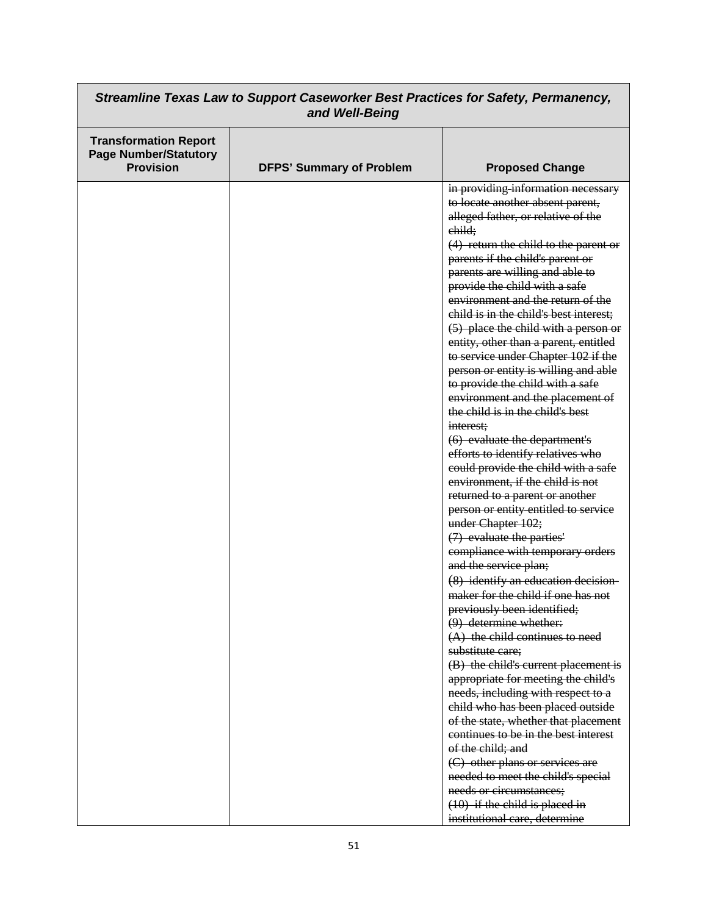| Streamline Texas Law to Support Caseworker Best Practices for Safety, Permanency,<br>and Well-Being |                                 |                                                                                                                                                                                                                                                                                                                                                                                                                                                                                                                                                                                                                                                                                                                                                                                                                                                                                                                                                                                                                                                                                                                                                                                                                                                                                                                                                      |
|-----------------------------------------------------------------------------------------------------|---------------------------------|------------------------------------------------------------------------------------------------------------------------------------------------------------------------------------------------------------------------------------------------------------------------------------------------------------------------------------------------------------------------------------------------------------------------------------------------------------------------------------------------------------------------------------------------------------------------------------------------------------------------------------------------------------------------------------------------------------------------------------------------------------------------------------------------------------------------------------------------------------------------------------------------------------------------------------------------------------------------------------------------------------------------------------------------------------------------------------------------------------------------------------------------------------------------------------------------------------------------------------------------------------------------------------------------------------------------------------------------------|
| <b>Transformation Report</b><br><b>Page Number/Statutory</b><br><b>Provision</b>                    | <b>DFPS' Summary of Problem</b> | <b>Proposed Change</b>                                                                                                                                                                                                                                                                                                                                                                                                                                                                                                                                                                                                                                                                                                                                                                                                                                                                                                                                                                                                                                                                                                                                                                                                                                                                                                                               |
|                                                                                                     |                                 | in providing information necessary<br>to locate another absent parent,<br>alleged father, or relative of the<br>child:<br>$(4)$ return the child to the parent or<br>parents if the child's parent or<br>parents are willing and able to<br>provide the child with a safe<br>environment and the return of the<br>child is in the child's best interest;<br>(5) place the child with a person or<br>entity, other than a parent, entitled<br>to service under Chapter 102 if the<br>person or entity is willing and able<br>to provide the child with a safe<br>environment and the placement of<br>the child is in the child's best<br>interest;<br>(6) evaluate the department's<br>efforts to identify relatives who<br>could provide the child with a safe<br>environment, if the child is not<br>returned to a parent or another<br>person or entity entitled to service<br>under Chapter 102;<br>(7) evaluate the parties'<br>compliance with temporary orders<br>and the service plan;<br>(8) identify an education decision-<br>maker for the child if one has not<br>previously been identified;<br>(9) determine whether:<br>(A) the child continues to need<br>substitute care;<br>(B) the child's current placement is<br>appropriate for meeting the child's<br>needs, including with respect to a<br>child who has been placed outside |
|                                                                                                     |                                 | of the state, whether that placement<br>continues to be in the best interest<br>of the child; and<br>(C) other plans or services are<br>needed to meet the child's special                                                                                                                                                                                                                                                                                                                                                                                                                                                                                                                                                                                                                                                                                                                                                                                                                                                                                                                                                                                                                                                                                                                                                                           |
|                                                                                                     |                                 | needs or circumstances;<br>$(10)$ if the child is placed in<br>institutional care, determine                                                                                                                                                                                                                                                                                                                                                                                                                                                                                                                                                                                                                                                                                                                                                                                                                                                                                                                                                                                                                                                                                                                                                                                                                                                         |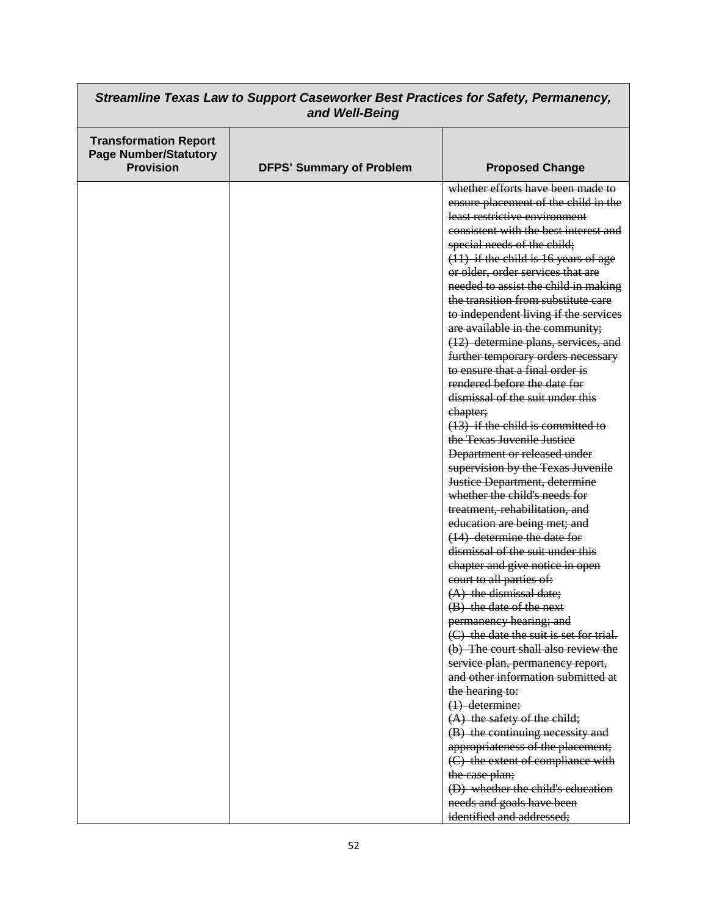| Streamline Texas Law to Support Caseworker Best Practices for Safety, Permanency,<br>and Well-Being |                                 |                                                       |
|-----------------------------------------------------------------------------------------------------|---------------------------------|-------------------------------------------------------|
| <b>Transformation Report</b><br><b>Page Number/Statutory</b><br><b>Provision</b>                    | <b>DFPS' Summary of Problem</b> | <b>Proposed Change</b>                                |
|                                                                                                     |                                 | whether efforts have been made to                     |
|                                                                                                     |                                 | ensure placement of the child in the                  |
|                                                                                                     |                                 | least restrictive environment                         |
|                                                                                                     |                                 | consistent with the best interest and                 |
|                                                                                                     |                                 | special needs of the child;                           |
|                                                                                                     |                                 | $(11)$ if the child is 16 years of age                |
|                                                                                                     |                                 | or older, order services that are                     |
|                                                                                                     |                                 | needed to assist the child in making                  |
|                                                                                                     |                                 | the transition from substitute care                   |
|                                                                                                     |                                 | to independent living if the services                 |
|                                                                                                     |                                 | are available in the community;                       |
|                                                                                                     |                                 | (12) determine plans, services, and                   |
|                                                                                                     |                                 | further temporary orders necessary                    |
|                                                                                                     |                                 | to ensure that a final order is                       |
|                                                                                                     |                                 | rendered before the date for                          |
|                                                                                                     |                                 | dismissal of the suit under this                      |
|                                                                                                     |                                 | ehapter;                                              |
|                                                                                                     |                                 | $(13)$ if the child is committed to                   |
|                                                                                                     |                                 | the Texas Juvenile Justice                            |
|                                                                                                     |                                 | Department or released under                          |
|                                                                                                     |                                 | supervision by the Texas Juvenile                     |
|                                                                                                     |                                 | <b>Justice Department, determine</b>                  |
|                                                                                                     |                                 | whether the child's needs for                         |
|                                                                                                     |                                 | treatment, rehabilitation, and                        |
|                                                                                                     |                                 | education are being met; and                          |
|                                                                                                     |                                 | $(14)$ determine the date for                         |
|                                                                                                     |                                 | dismissal of the suit under this                      |
|                                                                                                     |                                 | chapter and give notice in open                       |
|                                                                                                     |                                 | court to all parties of:                              |
|                                                                                                     |                                 | $(A)$ the dismissal date;<br>(B) the date of the next |
|                                                                                                     |                                 | permanency hearing; and                               |
|                                                                                                     |                                 | (C) the date the suit is set for trial.               |
|                                                                                                     |                                 | (b) The court shall also review the                   |
|                                                                                                     |                                 | service plan, permanency report,                      |
|                                                                                                     |                                 | and other information submitted at                    |
|                                                                                                     |                                 | the hearing to:                                       |
|                                                                                                     |                                 | $(1)$ determine:                                      |
|                                                                                                     |                                 | $(A)$ the safety of the child;                        |
|                                                                                                     |                                 | (B) the continuing necessity and                      |
|                                                                                                     |                                 | appropriateness of the placement;                     |
|                                                                                                     |                                 | (C) the extent of compliance with                     |
|                                                                                                     |                                 | the case plan;                                        |
|                                                                                                     |                                 | (D) whether the child's education                     |
|                                                                                                     |                                 | needs and goals have been                             |
|                                                                                                     |                                 | identified and addressed;                             |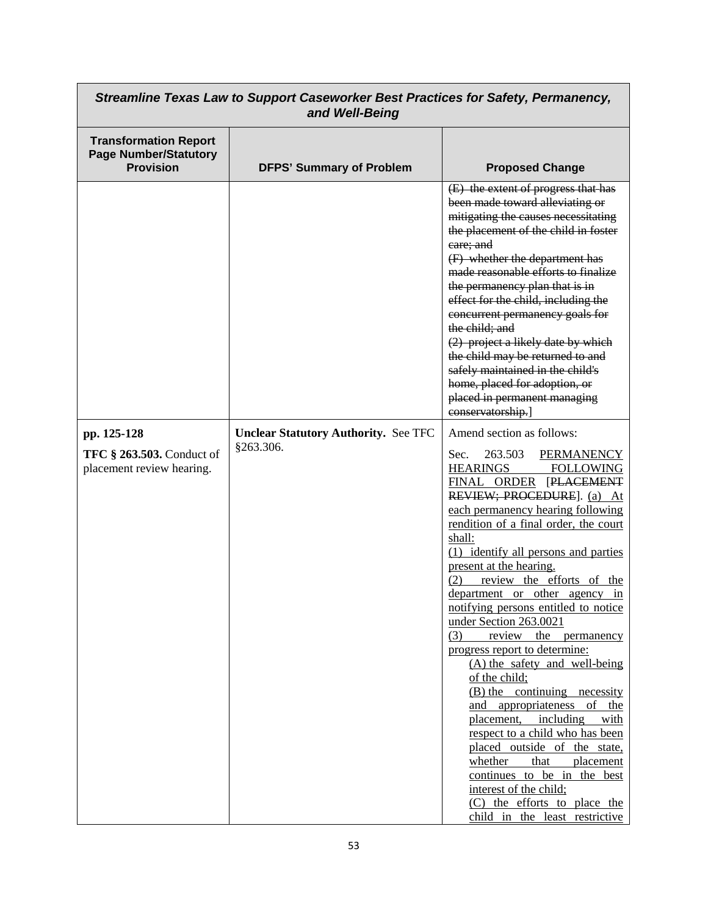| Streamline Texas Law to Support Caseworker Best Practices for Safety, Permanency,<br>and Well-Being |                                                          |                                                                                                                                                                                                                                                                                                                                                                                                                                                                                                                                                                                                                                                                                                                                                                                                                                                                                                         |
|-----------------------------------------------------------------------------------------------------|----------------------------------------------------------|---------------------------------------------------------------------------------------------------------------------------------------------------------------------------------------------------------------------------------------------------------------------------------------------------------------------------------------------------------------------------------------------------------------------------------------------------------------------------------------------------------------------------------------------------------------------------------------------------------------------------------------------------------------------------------------------------------------------------------------------------------------------------------------------------------------------------------------------------------------------------------------------------------|
| <b>Transformation Report</b><br><b>Page Number/Statutory</b><br><b>Provision</b>                    | <b>DFPS' Summary of Problem</b>                          | <b>Proposed Change</b>                                                                                                                                                                                                                                                                                                                                                                                                                                                                                                                                                                                                                                                                                                                                                                                                                                                                                  |
|                                                                                                     |                                                          | (E) the extent of progress that has<br>been made toward alleviating or<br>mitigating the causes necessitating<br>the placement of the child in foster<br>care; and<br>(F) whether the department has<br>made reasonable efforts to finalize<br>the permanency plan that is in<br>effect for the child, including the<br>concurrent permanency goals for<br>the child; and<br>(2) project a likely date by which<br>the child may be returned to and<br>safely maintained in the child's<br>home, placed for adoption, or<br>placed in permanent managing<br>conservatorship.]                                                                                                                                                                                                                                                                                                                           |
| pp. 125-128<br><b>TFC § 263.503.</b> Conduct of<br>placement review hearing.                        | <b>Unclear Statutory Authority. See TFC</b><br>§263.306. | Amend section as follows:<br>263.503<br><b>PERMANENCY</b><br>Sec.<br>HEARINGS<br><b>FOLLOWING</b><br>FINAL ORDER [PLACEMENT<br>REVIEW; PROCEDURE]. (a) At<br>each permanency hearing following<br>rendition of a final order, the court<br>shall:<br>(1) identify all persons and parties<br>present at the hearing.<br>review the efforts of the<br>(2)<br>department or other agency in<br>notifying persons entitled to notice<br>under Section 263.0021<br>review the permanency<br>(3)<br>progress report to determine:<br>(A) the safety and well-being<br>of the child;<br>(B) the continuing necessity<br>and appropriateness of the<br>placement, including<br>with<br>respect to a child who has been<br>placed outside of the state,<br>that placement<br>whether<br>continues to be in the best<br>interest of the child;<br>(C) the efforts to place the<br>child in the least restrictive |

┑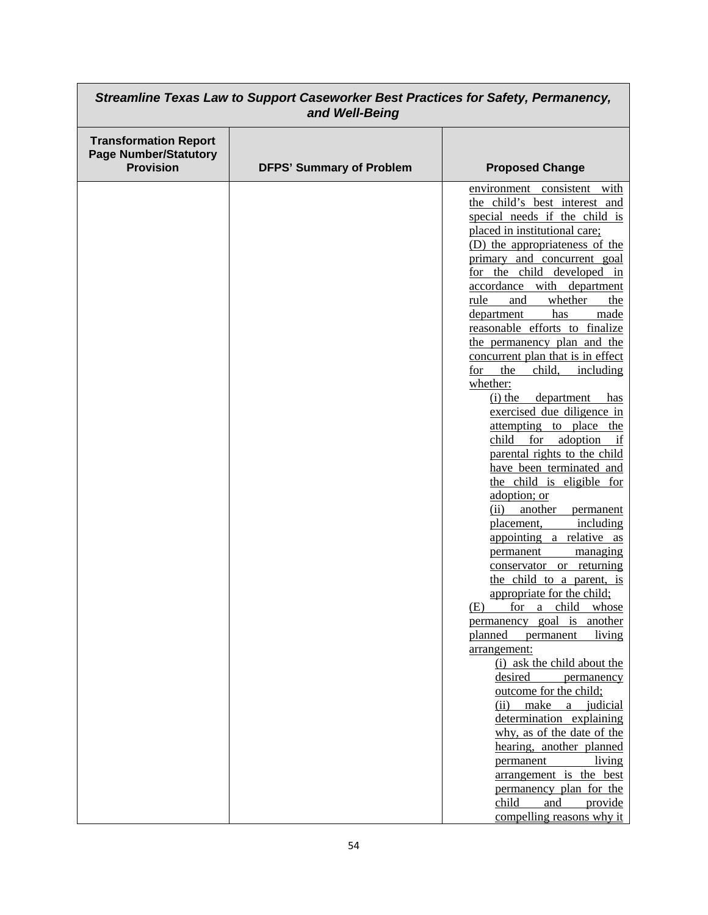| Streamline Texas Law to Support Caseworker Best Practices for Safety, Permanency,<br>and Well-Being |                                 |                                                                                                                                                                                                                                                                                                                                                                                                                                                                                                                                                                                                                                                                                                                                                                                                                                                                                                                                                                                                                                                                                                                                                                                                                                                                                                                                                                                            |
|-----------------------------------------------------------------------------------------------------|---------------------------------|--------------------------------------------------------------------------------------------------------------------------------------------------------------------------------------------------------------------------------------------------------------------------------------------------------------------------------------------------------------------------------------------------------------------------------------------------------------------------------------------------------------------------------------------------------------------------------------------------------------------------------------------------------------------------------------------------------------------------------------------------------------------------------------------------------------------------------------------------------------------------------------------------------------------------------------------------------------------------------------------------------------------------------------------------------------------------------------------------------------------------------------------------------------------------------------------------------------------------------------------------------------------------------------------------------------------------------------------------------------------------------------------|
| <b>Transformation Report</b><br><b>Page Number/Statutory</b><br><b>Provision</b>                    | <b>DFPS' Summary of Problem</b> | <b>Proposed Change</b>                                                                                                                                                                                                                                                                                                                                                                                                                                                                                                                                                                                                                                                                                                                                                                                                                                                                                                                                                                                                                                                                                                                                                                                                                                                                                                                                                                     |
|                                                                                                     |                                 | environment consistent with<br>the child's best interest and<br>special needs if the child is<br>placed in institutional care;<br>(D) the appropriateness of the<br>primary and concurrent goal<br>for the child developed in<br>accordance with department<br>rule<br>whether<br>and<br>the<br>department<br>has<br>made<br>reasonable efforts to finalize<br>the permanency plan and the<br>concurrent plan that is in effect<br>for<br>the<br>child,<br>including<br>whether:<br>department<br>$(i)$ the<br>has<br>exercised due diligence in<br>attempting to place<br>the<br>adoption<br>child<br>for<br>if<br>parental rights to the child<br>have been terminated and<br>the child is eligible for<br>adoption; or<br>another<br>(ii)<br>permanent<br>placement,<br>including<br>appointing a relative as<br>managing<br>permanent<br>conservator or returning<br>the child to a parent, is<br>appropriate for the child;<br>(E)<br>for a child whose<br>another<br>permanency goal is<br>living<br>planned<br>permanent<br>arrangement:<br>(i) ask the child about the<br>desired<br>permanency<br>outcome for the child;<br>make<br>(ii)<br>a judicial<br>determination explaining<br>why, as of the date of the<br>hearing, another planned<br>living<br>permanent<br>arrangement is the best<br>permanency plan for the<br>child<br>and<br>provide<br>compelling reasons why it |

┑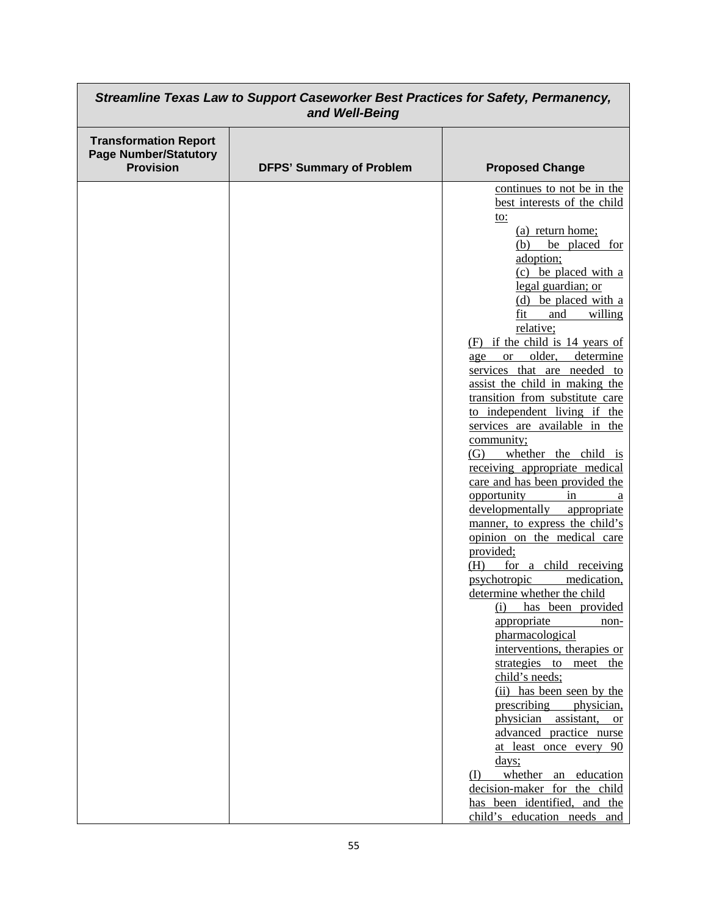| Streamline Texas Law to Support Caseworker Best Practices for Safety, Permanency,<br>and Well-Being |                                 |                                                                                                                                                                                                                                                                                                                                                                                                                                                                                                                                                                                                                                                                                                                                                                                                                                                                                                                                                                                                                                                                                                                                                                                                                                                                                                            |
|-----------------------------------------------------------------------------------------------------|---------------------------------|------------------------------------------------------------------------------------------------------------------------------------------------------------------------------------------------------------------------------------------------------------------------------------------------------------------------------------------------------------------------------------------------------------------------------------------------------------------------------------------------------------------------------------------------------------------------------------------------------------------------------------------------------------------------------------------------------------------------------------------------------------------------------------------------------------------------------------------------------------------------------------------------------------------------------------------------------------------------------------------------------------------------------------------------------------------------------------------------------------------------------------------------------------------------------------------------------------------------------------------------------------------------------------------------------------|
| <b>Transformation Report</b><br><b>Page Number/Statutory</b><br><b>Provision</b>                    | <b>DFPS' Summary of Problem</b> | <b>Proposed Change</b>                                                                                                                                                                                                                                                                                                                                                                                                                                                                                                                                                                                                                                                                                                                                                                                                                                                                                                                                                                                                                                                                                                                                                                                                                                                                                     |
|                                                                                                     |                                 | continues to not be in the<br>best interests of the child<br>to:<br>(a) return home;<br>be placed for<br>(b)<br>adoption;<br>(c) be placed with a<br>legal guardian; or<br>(d) be placed with a<br>willing<br>fit<br>and<br>relative;<br>$(F)$ if the child is 14 years of<br>older,<br>determine<br><sub>or</sub><br>age<br>services that are needed to<br>assist the child in making the<br>transition from substitute care<br>to independent living if the<br>services are available in the<br>community;<br>(G) whether the child is<br>receiving appropriate medical<br>care and has been provided the<br>opportunity<br>in<br>a<br>developmentally<br>appropriate<br>manner, to express the child's<br>opinion on the medical care<br>provided;<br>(H)<br>for a child receiving<br>psychotropic<br>medication,<br>determine whether the child<br>(i) has been provided<br>appropriate<br>non-<br>pharmacological<br>interventions, therapies or<br>strategies to meet the<br>child's needs;<br>(ii) has been seen by the<br>prescribing<br>physician,<br>physician assistant,<br><b>or</b><br>advanced practice nurse<br>at least once every 90<br>days;<br>whether an education<br>$\textcircled{1}$<br>decision-maker for the child<br>has been identified, and the<br>child's education needs and |

┑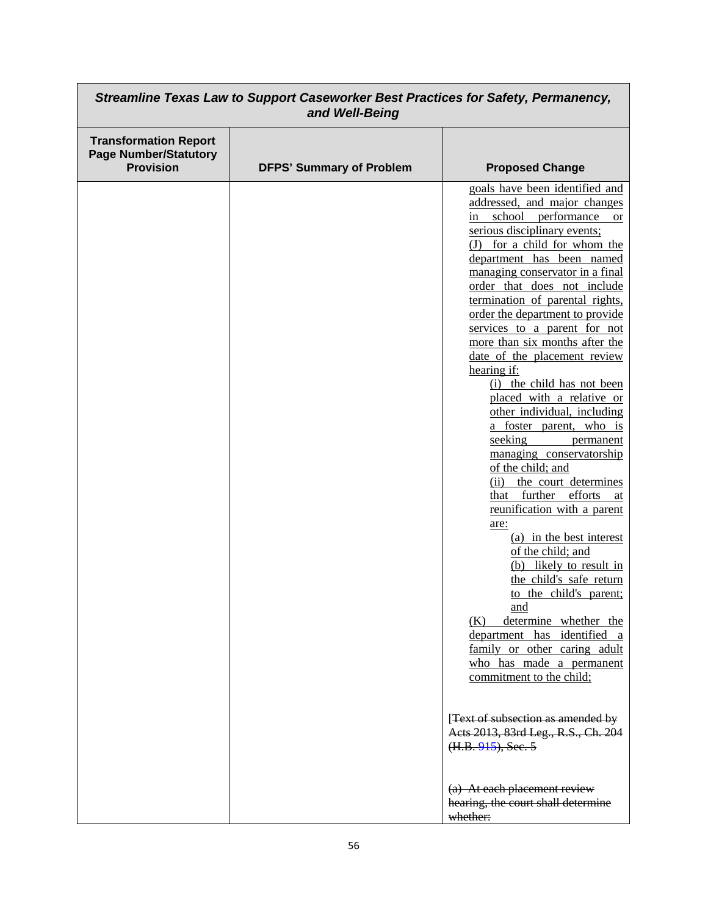| Streamline Texas Law to Support Caseworker Best Practices for Safety, Permanency,<br>and Well-Being |                                 |                                                                                                                                                                                                                                                                                                                                                                                                                                                                                                                                                                                                                                                                                                                                                                                                                                                                                                                                                                                                                                                                                                                                                                                                                                             |
|-----------------------------------------------------------------------------------------------------|---------------------------------|---------------------------------------------------------------------------------------------------------------------------------------------------------------------------------------------------------------------------------------------------------------------------------------------------------------------------------------------------------------------------------------------------------------------------------------------------------------------------------------------------------------------------------------------------------------------------------------------------------------------------------------------------------------------------------------------------------------------------------------------------------------------------------------------------------------------------------------------------------------------------------------------------------------------------------------------------------------------------------------------------------------------------------------------------------------------------------------------------------------------------------------------------------------------------------------------------------------------------------------------|
| <b>Transformation Report</b><br><b>Page Number/Statutory</b><br><b>Provision</b>                    | <b>DFPS' Summary of Problem</b> | <b>Proposed Change</b>                                                                                                                                                                                                                                                                                                                                                                                                                                                                                                                                                                                                                                                                                                                                                                                                                                                                                                                                                                                                                                                                                                                                                                                                                      |
|                                                                                                     |                                 | goals have been identified and<br>addressed, and major changes<br>school<br>performance<br>in<br><sub>or</sub><br>serious disciplinary events;<br>(J) for a child for whom the<br>department has been named<br>managing conservator in a final<br>order that does not include<br>termination of parental rights,<br>order the department to provide<br>services to a parent for not<br>more than six months after the<br>date of the placement review<br>hearing if:<br>(i) the child has not been<br>placed with a relative or<br>other individual, including<br>a foster parent, who is<br>seeking<br>permanent<br>managing conservatorship<br>of the child; and<br>(ii) the court determines<br>that further efforts at<br>reunification with a parent<br>are:<br>(a) in the best interest<br>of the child; and<br>(b) likely to result in<br>the child's safe return<br>to the child's parent;<br>and<br>determine whether the<br>(K)<br>department has identified a<br>family or other caring adult<br>who has made a permanent<br>commitment to the child;<br>[Text of subsection as amended by<br>Acts 2013, 83rd Leg., R.S., Ch. 204<br>$(H.B. 915)$ , Sec. 5<br>(a) At each placement review<br>hearing, the court shall determine |
|                                                                                                     |                                 | whether:                                                                                                                                                                                                                                                                                                                                                                                                                                                                                                                                                                                                                                                                                                                                                                                                                                                                                                                                                                                                                                                                                                                                                                                                                                    |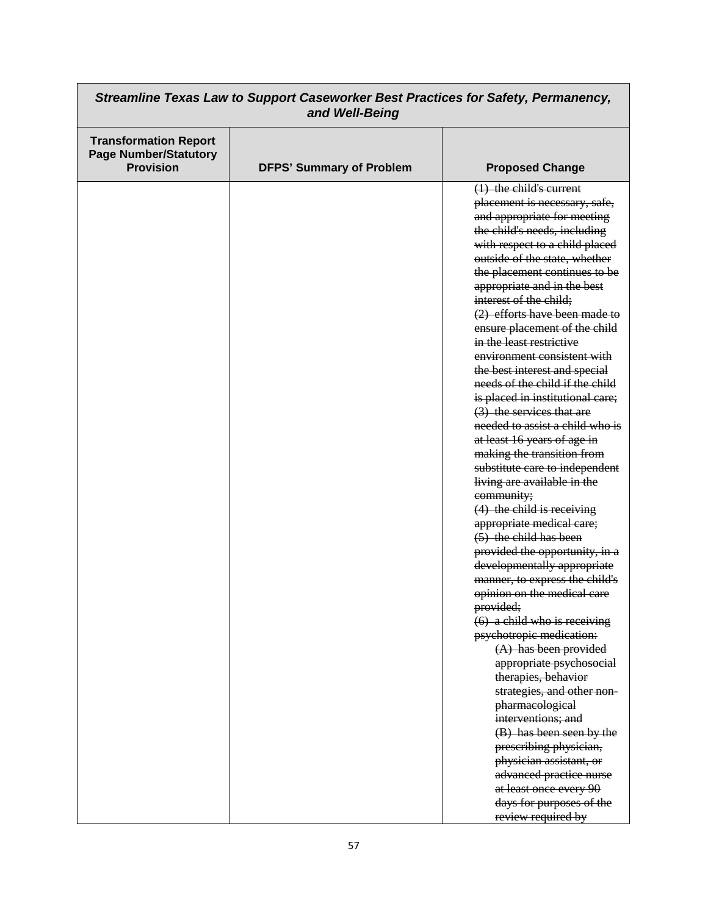| Streamline Texas Law to Support Caseworker Best Practices for Safety, Permanency,<br>and Well-Being |                                 |                                                                                                                                                                                                                                                                                                                                                                                                                                                                                                                                                                                                                                                                                                                                                                                                                                                                                                                                                                                                                                                                                                                                                                                                                                                                                                                                                                      |
|-----------------------------------------------------------------------------------------------------|---------------------------------|----------------------------------------------------------------------------------------------------------------------------------------------------------------------------------------------------------------------------------------------------------------------------------------------------------------------------------------------------------------------------------------------------------------------------------------------------------------------------------------------------------------------------------------------------------------------------------------------------------------------------------------------------------------------------------------------------------------------------------------------------------------------------------------------------------------------------------------------------------------------------------------------------------------------------------------------------------------------------------------------------------------------------------------------------------------------------------------------------------------------------------------------------------------------------------------------------------------------------------------------------------------------------------------------------------------------------------------------------------------------|
| <b>Transformation Report</b><br><b>Page Number/Statutory</b><br><b>Provision</b>                    | <b>DFPS' Summary of Problem</b> | <b>Proposed Change</b>                                                                                                                                                                                                                                                                                                                                                                                                                                                                                                                                                                                                                                                                                                                                                                                                                                                                                                                                                                                                                                                                                                                                                                                                                                                                                                                                               |
|                                                                                                     |                                 | $(1)$ the child's current<br>placement is necessary, safe,<br>and appropriate for meeting<br>the child's needs, including<br>with respect to a child placed<br>outside of the state, whether<br>the placement continues to be<br>appropriate and in the best<br>interest of the child;<br>(2) efforts have been made to<br>ensure placement of the child<br>in the least restrictive<br>environment consistent with<br>the best interest and special<br>needs of the child if the child<br>is placed in institutional care;<br>(3) the services that are<br>needed to assist a child who is<br>at least 16 years of age in<br>making the transition from<br>substitute care to independent<br>living are available in the<br>community;<br>$(4)$ the child is receiving<br>appropriate medical care;<br>$(5)$ the child has been<br>provided the opportunity, in a<br>developmentally appropriate<br>manner, to express the child's<br>opinion on the medical care<br>provided;<br>$(6)$ a child who is receiving<br>psychotropic medication:<br>$(A)$ has been provided<br>appropriate psychosocial<br>therapies, behavior<br>strategies, and other non-<br>pharmacological<br>interventions; and<br>(B) has been seen by the<br>prescribing physician,<br>physician assistant, or<br>advanced practice nurse<br>at least once every 90<br>days for purposes of the |
|                                                                                                     |                                 | review required by                                                                                                                                                                                                                                                                                                                                                                                                                                                                                                                                                                                                                                                                                                                                                                                                                                                                                                                                                                                                                                                                                                                                                                                                                                                                                                                                                   |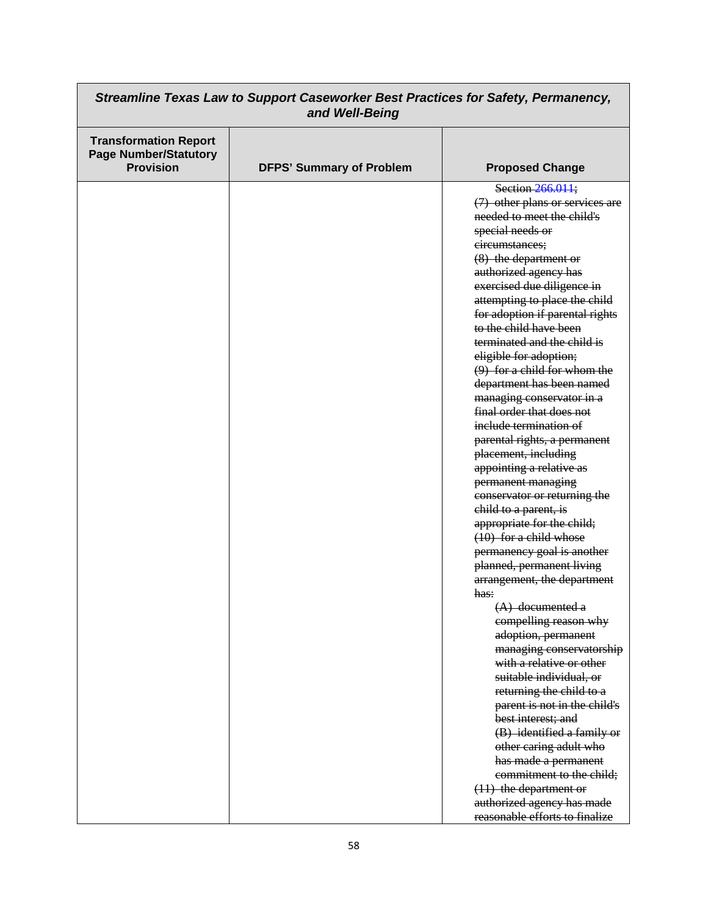| Streamline Texas Law to Support Caseworker Best Practices for Safety, Permanency,<br>and Well-Being |                                 |                                 |
|-----------------------------------------------------------------------------------------------------|---------------------------------|---------------------------------|
| <b>Transformation Report</b><br><b>Page Number/Statutory</b><br><b>Provision</b>                    | <b>DFPS' Summary of Problem</b> | <b>Proposed Change</b>          |
|                                                                                                     |                                 | Section 266.011;                |
|                                                                                                     |                                 | (7) other plans or services are |
|                                                                                                     |                                 | needed to meet the child's      |
|                                                                                                     |                                 | special needs or                |
|                                                                                                     |                                 | circumstances;                  |
|                                                                                                     |                                 | (8) the department or           |
|                                                                                                     |                                 | authorized agency has           |
|                                                                                                     |                                 | exercised due diligence in      |
|                                                                                                     |                                 | attempting to place the child   |
|                                                                                                     |                                 | for adoption if parental rights |
|                                                                                                     |                                 | to the child have been          |
|                                                                                                     |                                 | terminated and the child is     |
|                                                                                                     |                                 | eligible for adoption;          |
|                                                                                                     |                                 | $(9)$ for a child for whom the  |
|                                                                                                     |                                 | department has been named       |
|                                                                                                     |                                 | managing conservator in a       |
|                                                                                                     |                                 | final order that does not       |
|                                                                                                     |                                 | include termination of          |
|                                                                                                     |                                 | parental rights, a permanent    |
|                                                                                                     |                                 | placement, including            |
|                                                                                                     |                                 | appointing a relative as        |
|                                                                                                     |                                 | permanent managing              |
|                                                                                                     |                                 | conservator or returning the    |
|                                                                                                     |                                 | child to a parent, is           |
|                                                                                                     |                                 | appropriate for the child;      |
|                                                                                                     |                                 | $(10)$ for a child whose        |
|                                                                                                     |                                 | permanency goal is another      |
|                                                                                                     |                                 | planned, permanent living       |
|                                                                                                     |                                 | arrangement, the department     |
|                                                                                                     |                                 | has:                            |
|                                                                                                     |                                 | $(A)$ documented a              |
|                                                                                                     |                                 | compelling reason why           |
|                                                                                                     |                                 | adoption, permanent             |
|                                                                                                     |                                 | managing conservatorship        |
|                                                                                                     |                                 | with a relative or other        |
|                                                                                                     |                                 | suitable individual, or         |
|                                                                                                     |                                 | returning the child to a        |
|                                                                                                     |                                 | parent is not in the child's    |
|                                                                                                     |                                 | best interest; and              |
|                                                                                                     |                                 | (B) identified a family or      |
|                                                                                                     |                                 | other caring adult who          |
|                                                                                                     |                                 | has made a permanent            |
|                                                                                                     |                                 | commitment to the child;        |
|                                                                                                     |                                 | $(11)$ the department or        |
|                                                                                                     |                                 | authorized agency has made      |
|                                                                                                     |                                 | reasonable efforts to finalize  |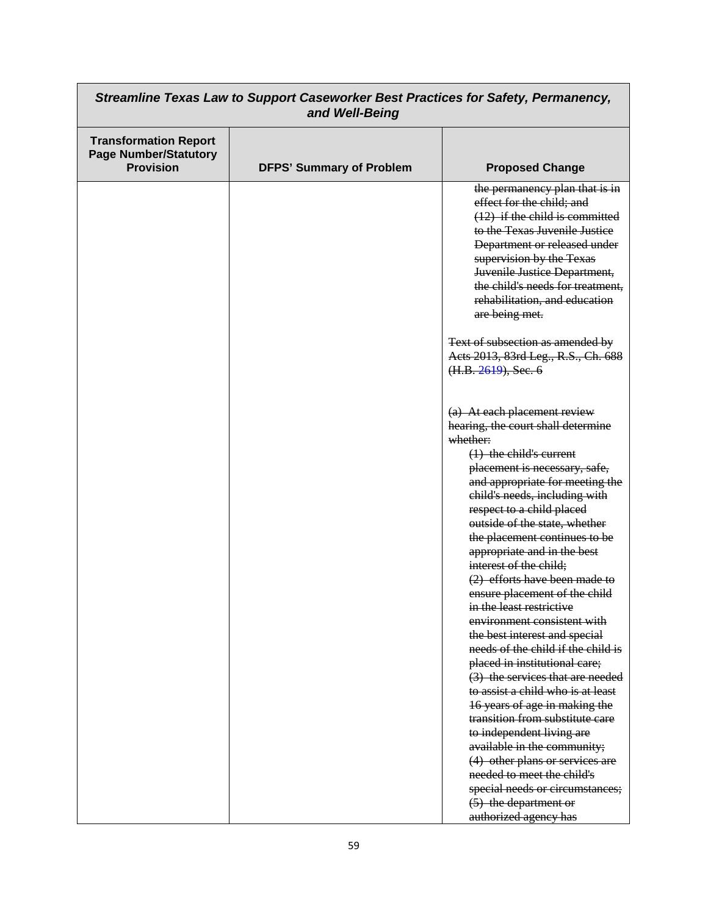| Streamline Texas Law to Support Caseworker Best Practices for Safety, Permanency,<br>and Well-Being |                                 |                                                                                                                                                                                                                                                                                                                     |
|-----------------------------------------------------------------------------------------------------|---------------------------------|---------------------------------------------------------------------------------------------------------------------------------------------------------------------------------------------------------------------------------------------------------------------------------------------------------------------|
| <b>Transformation Report</b><br><b>Page Number/Statutory</b><br><b>Provision</b>                    | <b>DFPS' Summary of Problem</b> | <b>Proposed Change</b>                                                                                                                                                                                                                                                                                              |
|                                                                                                     |                                 | the permanency plan that is in<br>effect for the child; and<br>$(12)$ if the child is committed<br>to the Texas Juvenile Justice<br>Department or released under<br>supervision by the Texas<br>Juvenile Justice Department,<br>the child's needs for treatment,<br>rehabilitation, and education<br>are being met. |
|                                                                                                     |                                 | Text of subsection as amended by<br>Acts 2013, 83rd Leg., R.S., Ch. 688<br>(H.B. 2619), Sec. 6                                                                                                                                                                                                                      |
|                                                                                                     |                                 | (a) At each placement review<br>hearing, the court shall determine<br>whether:                                                                                                                                                                                                                                      |
|                                                                                                     |                                 | $(1)$ the child's current<br>placement is necessary, safe,<br>and appropriate for meeting the<br>child's needs, including with<br>respect to a child placed<br>outside of the state, whether                                                                                                                        |
|                                                                                                     |                                 | the placement continues to be<br>appropriate and in the best<br>interest of the child;<br>$(2)$ efforts have been made to                                                                                                                                                                                           |
|                                                                                                     |                                 | ensure placement of the child<br>in the least restrictive<br>environment consistent with<br>the best interest and special                                                                                                                                                                                           |
|                                                                                                     |                                 | needs of the child if the child is<br>placed in institutional care;<br>(3) the services that are needed<br>to assist a child who is at least                                                                                                                                                                        |
|                                                                                                     |                                 | 16 years of age in making the<br>transition from substitute care<br>to independent living are                                                                                                                                                                                                                       |
|                                                                                                     |                                 | available in the community;<br>(4) other plans or services are<br>needed to meet the child's<br>special needs or circumstances;<br>(5) the department or                                                                                                                                                            |
|                                                                                                     |                                 | authorized agency has                                                                                                                                                                                                                                                                                               |

┑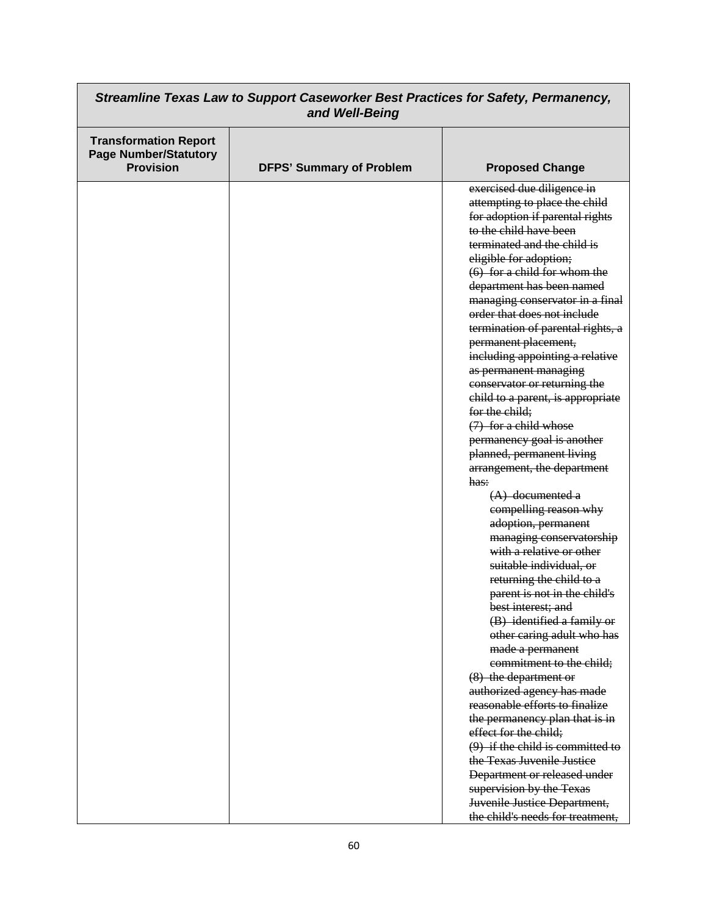| Streamline Texas Law to Support Caseworker Best Practices for Safety, Permanency,<br>and Well-Being |                                 |                                                                                                                                                                                                                                                                                                                                                                                                                                                                                                                                                                                                                                                                                                                                                                                                                                                                                                                                                                                                                                                                                                                                                                                                                                                                                                            |
|-----------------------------------------------------------------------------------------------------|---------------------------------|------------------------------------------------------------------------------------------------------------------------------------------------------------------------------------------------------------------------------------------------------------------------------------------------------------------------------------------------------------------------------------------------------------------------------------------------------------------------------------------------------------------------------------------------------------------------------------------------------------------------------------------------------------------------------------------------------------------------------------------------------------------------------------------------------------------------------------------------------------------------------------------------------------------------------------------------------------------------------------------------------------------------------------------------------------------------------------------------------------------------------------------------------------------------------------------------------------------------------------------------------------------------------------------------------------|
| <b>Transformation Report</b><br><b>Page Number/Statutory</b><br><b>Provision</b>                    | <b>DFPS' Summary of Problem</b> | <b>Proposed Change</b>                                                                                                                                                                                                                                                                                                                                                                                                                                                                                                                                                                                                                                                                                                                                                                                                                                                                                                                                                                                                                                                                                                                                                                                                                                                                                     |
|                                                                                                     |                                 | exercised due diligence in<br>attempting to place the child<br>for adoption if parental rights<br>to the child have been<br>terminated and the child is<br>eligible for adoption;<br>$(6)$ for a child for whom the<br>department has been named<br>managing conservator in a final<br>order that does not include<br>termination of parental rights, a<br>permanent placement,<br>including appointing a relative<br>as permanent managing<br>conservator or returning the<br>child to a parent, is appropriate<br>for the child;<br>$(7)$ for a child whose<br>permanency goal is another<br>planned, permanent living<br>arrangement, the department<br>has:<br>$(A)$ documented a<br>compelling reason why<br>adoption, permanent<br>managing conservatorship<br>with a relative or other<br>suitable individual, or<br>returning the child to a<br>parent is not in the child's<br>best interest; and<br>(B) identified a family or<br>other caring adult who has<br>made a permanent<br>commitment to the child;<br>(8) the department or<br>authorized agency has made<br>reasonable efforts to finalize<br>the permanency plan that is in<br>effect for the child;<br>$(9)$ if the child is committed to<br>the Texas Juvenile Justice<br>Department or released under<br>supervision by the Texas |
|                                                                                                     |                                 | Juvenile Justice Department,<br>the child's needs for treatment,                                                                                                                                                                                                                                                                                                                                                                                                                                                                                                                                                                                                                                                                                                                                                                                                                                                                                                                                                                                                                                                                                                                                                                                                                                           |

٦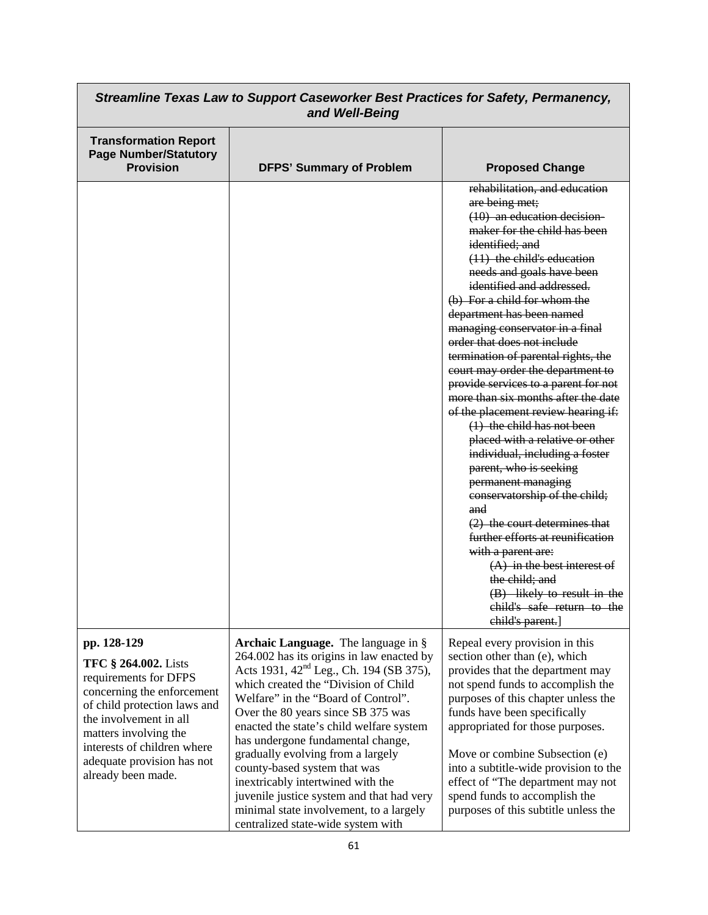| Streamline Texas Law to Support Caseworker Best Practices for Safety, Permanency,<br>and Well-Being                                                                                                                                                                     |                                                                                                                                                                                                                                                                                                                                                                                                                                                                                                                                                                                       |                                                                                                                                                                                                                                                                                                                                                                                                                                                                                                                                                                                                                                                                                                                                                                                                                                                                                                                                                                                             |
|-------------------------------------------------------------------------------------------------------------------------------------------------------------------------------------------------------------------------------------------------------------------------|---------------------------------------------------------------------------------------------------------------------------------------------------------------------------------------------------------------------------------------------------------------------------------------------------------------------------------------------------------------------------------------------------------------------------------------------------------------------------------------------------------------------------------------------------------------------------------------|---------------------------------------------------------------------------------------------------------------------------------------------------------------------------------------------------------------------------------------------------------------------------------------------------------------------------------------------------------------------------------------------------------------------------------------------------------------------------------------------------------------------------------------------------------------------------------------------------------------------------------------------------------------------------------------------------------------------------------------------------------------------------------------------------------------------------------------------------------------------------------------------------------------------------------------------------------------------------------------------|
| <b>Transformation Report</b><br><b>Page Number/Statutory</b><br><b>Provision</b>                                                                                                                                                                                        | <b>DFPS' Summary of Problem</b>                                                                                                                                                                                                                                                                                                                                                                                                                                                                                                                                                       | <b>Proposed Change</b>                                                                                                                                                                                                                                                                                                                                                                                                                                                                                                                                                                                                                                                                                                                                                                                                                                                                                                                                                                      |
|                                                                                                                                                                                                                                                                         |                                                                                                                                                                                                                                                                                                                                                                                                                                                                                                                                                                                       | rehabilitation, and education<br>are being met;<br>$(10)$ an education decision-<br>maker for the child has been<br>identified; and<br>$(11)$ the child's education<br>needs and goals have been<br>identified and addressed.<br>(b) For a child for whom the<br>department has been named<br>managing conservator in a final<br>order that does not include<br>termination of parental rights, the<br>court may order the department to<br>provide services to a parent for not<br>more than six months after the date<br>of the placement review hearing if:<br>$(1)$ the child has not been<br>placed with a relative or other<br>individual, including a foster<br>parent, who is seeking<br>permanent managing<br>conservatorship of the child;<br>and<br>$(2)$ the court determines that<br>further efforts at reunification<br>with a parent are:<br>$(A)$ in the best interest of<br>the child; and<br>(B) likely to result in the<br>child's safe return to the<br>child's parent. |
| pp. 128-129<br><b>TFC § 264.002.</b> Lists<br>requirements for DFPS<br>concerning the enforcement<br>of child protection laws and<br>the involvement in all<br>matters involving the<br>interests of children where<br>adequate provision has not<br>already been made. | Archaic Language. The language in §<br>264.002 has its origins in law enacted by<br>Acts 1931, 42 <sup>nd</sup> Leg., Ch. 194 (SB 375),<br>which created the "Division of Child<br>Welfare" in the "Board of Control".<br>Over the 80 years since SB 375 was<br>enacted the state's child welfare system<br>has undergone fundamental change,<br>gradually evolving from a largely<br>county-based system that was<br>inextricably intertwined with the<br>juvenile justice system and that had very<br>minimal state involvement, to a largely<br>centralized state-wide system with | Repeal every provision in this<br>section other than (e), which<br>provides that the department may<br>not spend funds to accomplish the<br>purposes of this chapter unless the<br>funds have been specifically<br>appropriated for those purposes.<br>Move or combine Subsection (e)<br>into a subtitle-wide provision to the<br>effect of "The department may not<br>spend funds to accomplish the<br>purposes of this subtitle unless the                                                                                                                                                                                                                                                                                                                                                                                                                                                                                                                                                |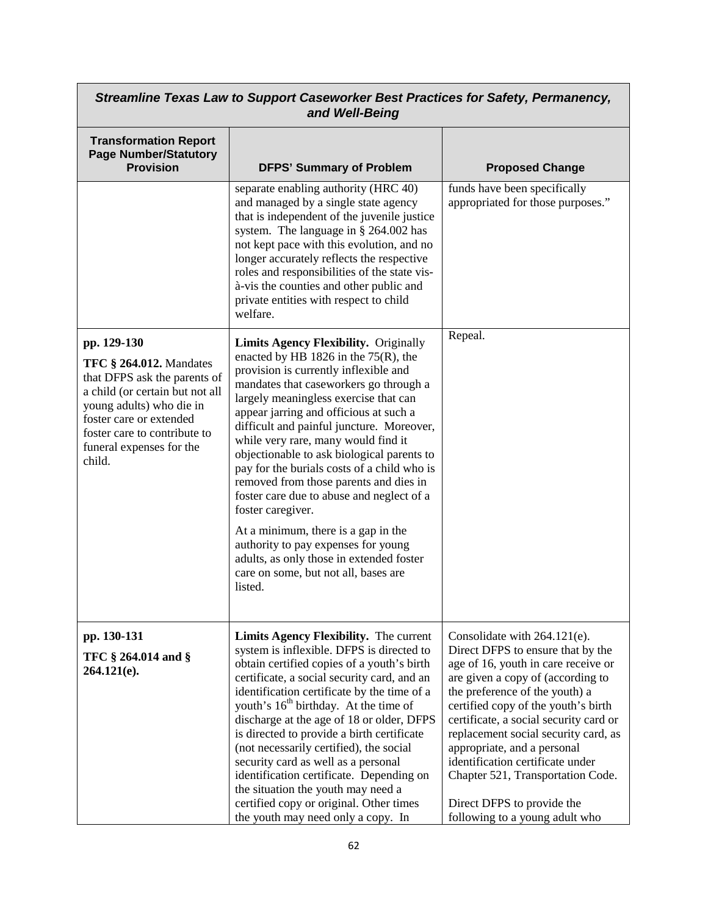| Streamline Texas Law to Support Caseworker Best Practices for Safety, Permanency,<br>and Well-Being                                                                                                                                           |                                                                                                                                                                                                                                                                                                                                                                                                                                                                                                                                                                                                                                                                                                                                         |                                                                                                                                                                                                                                                                                                                                                                                                                                                                                  |
|-----------------------------------------------------------------------------------------------------------------------------------------------------------------------------------------------------------------------------------------------|-----------------------------------------------------------------------------------------------------------------------------------------------------------------------------------------------------------------------------------------------------------------------------------------------------------------------------------------------------------------------------------------------------------------------------------------------------------------------------------------------------------------------------------------------------------------------------------------------------------------------------------------------------------------------------------------------------------------------------------------|----------------------------------------------------------------------------------------------------------------------------------------------------------------------------------------------------------------------------------------------------------------------------------------------------------------------------------------------------------------------------------------------------------------------------------------------------------------------------------|
| <b>Transformation Report</b><br><b>Page Number/Statutory</b><br><b>Provision</b>                                                                                                                                                              | <b>DFPS' Summary of Problem</b>                                                                                                                                                                                                                                                                                                                                                                                                                                                                                                                                                                                                                                                                                                         | <b>Proposed Change</b>                                                                                                                                                                                                                                                                                                                                                                                                                                                           |
|                                                                                                                                                                                                                                               | separate enabling authority (HRC 40)<br>and managed by a single state agency<br>that is independent of the juvenile justice<br>system. The language in § 264.002 has<br>not kept pace with this evolution, and no<br>longer accurately reflects the respective<br>roles and responsibilities of the state vis-<br>à-vis the counties and other public and<br>private entities with respect to child<br>welfare.                                                                                                                                                                                                                                                                                                                         | funds have been specifically<br>appropriated for those purposes."                                                                                                                                                                                                                                                                                                                                                                                                                |
| pp. 129-130<br><b>TFC § 264.012.</b> Mandates<br>that DFPS ask the parents of<br>a child (or certain but not all<br>young adults) who die in<br>foster care or extended<br>foster care to contribute to<br>funeral expenses for the<br>child. | <b>Limits Agency Flexibility.</b> Originally<br>enacted by HB 1826 in the $75(R)$ , the<br>provision is currently inflexible and<br>mandates that caseworkers go through a<br>largely meaningless exercise that can<br>appear jarring and officious at such a<br>difficult and painful juncture. Moreover,<br>while very rare, many would find it<br>objectionable to ask biological parents to<br>pay for the burials costs of a child who is<br>removed from those parents and dies in<br>foster care due to abuse and neglect of a<br>foster caregiver.<br>At a minimum, there is a gap in the<br>authority to pay expenses for young<br>adults, as only those in extended foster<br>care on some, but not all, bases are<br>listed. | Repeal.                                                                                                                                                                                                                                                                                                                                                                                                                                                                          |
| pp. 130-131<br>TFC § 264.014 and §<br>264.121(e).                                                                                                                                                                                             | Limits Agency Flexibility. The current<br>system is inflexible. DFPS is directed to<br>obtain certified copies of a youth's birth<br>certificate, a social security card, and an<br>identification certificate by the time of a<br>youth's 16 <sup>th</sup> birthday. At the time of<br>discharge at the age of 18 or older, DFPS<br>is directed to provide a birth certificate<br>(not necessarily certified), the social<br>security card as well as a personal<br>identification certificate. Depending on<br>the situation the youth may need a<br>certified copy or original. Other times<br>the youth may need only a copy. In                                                                                                    | Consolidate with 264.121(e).<br>Direct DFPS to ensure that by the<br>age of 16, youth in care receive or<br>are given a copy of (according to<br>the preference of the youth) a<br>certified copy of the youth's birth<br>certificate, a social security card or<br>replacement social security card, as<br>appropriate, and a personal<br>identification certificate under<br>Chapter 521, Transportation Code.<br>Direct DFPS to provide the<br>following to a young adult who |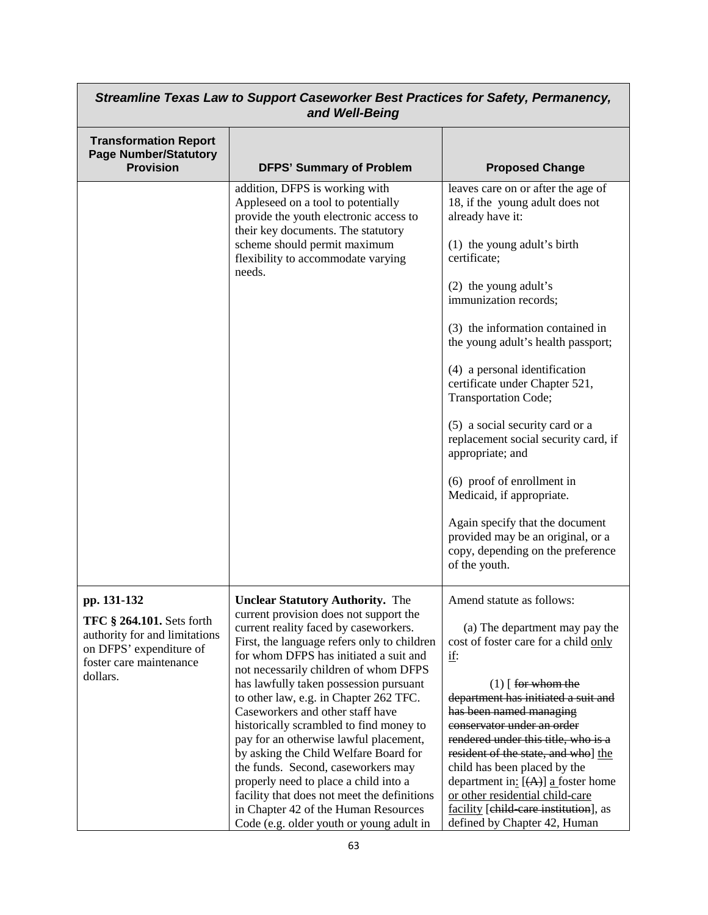| Streamline Texas Law to Support Caseworker Best Practices for Safety, Permanency,<br>and Well-Being                                                |                                                                                                                                                                                                                                                                                                                                                                                                                                                                                                                                                                                                                                                                                                                                      |                                                                                                                                                                                                                                                                                                                                                                                                                                                                                                                                                                                                                                                         |
|----------------------------------------------------------------------------------------------------------------------------------------------------|--------------------------------------------------------------------------------------------------------------------------------------------------------------------------------------------------------------------------------------------------------------------------------------------------------------------------------------------------------------------------------------------------------------------------------------------------------------------------------------------------------------------------------------------------------------------------------------------------------------------------------------------------------------------------------------------------------------------------------------|---------------------------------------------------------------------------------------------------------------------------------------------------------------------------------------------------------------------------------------------------------------------------------------------------------------------------------------------------------------------------------------------------------------------------------------------------------------------------------------------------------------------------------------------------------------------------------------------------------------------------------------------------------|
| <b>Transformation Report</b><br><b>Page Number/Statutory</b><br><b>Provision</b>                                                                   | <b>DFPS' Summary of Problem</b>                                                                                                                                                                                                                                                                                                                                                                                                                                                                                                                                                                                                                                                                                                      | <b>Proposed Change</b>                                                                                                                                                                                                                                                                                                                                                                                                                                                                                                                                                                                                                                  |
|                                                                                                                                                    | addition, DFPS is working with<br>Appleseed on a tool to potentially<br>provide the youth electronic access to<br>their key documents. The statutory<br>scheme should permit maximum<br>flexibility to accommodate varying<br>needs.                                                                                                                                                                                                                                                                                                                                                                                                                                                                                                 | leaves care on or after the age of<br>18, if the young adult does not<br>already have it:<br>(1) the young adult's birth<br>certificate;<br>(2) the young adult's<br>immunization records;<br>(3) the information contained in<br>the young adult's health passport;<br>(4) a personal identification<br>certificate under Chapter 521,<br>Transportation Code;<br>(5) a social security card or a<br>replacement social security card, if<br>appropriate; and<br>(6) proof of enrollment in<br>Medicaid, if appropriate.<br>Again specify that the document<br>provided may be an original, or a<br>copy, depending on the preference<br>of the youth. |
| pp. 131-132<br><b>TFC § 264.101.</b> Sets forth<br>authority for and limitations<br>on DFPS' expenditure of<br>foster care maintenance<br>dollars. | <b>Unclear Statutory Authority.</b> The<br>current provision does not support the<br>current reality faced by caseworkers.<br>First, the language refers only to children<br>for whom DFPS has initiated a suit and<br>not necessarily children of whom DFPS<br>has lawfully taken possession pursuant<br>to other law, e.g. in Chapter 262 TFC.<br>Caseworkers and other staff have<br>historically scrambled to find money to<br>pay for an otherwise lawful placement,<br>by asking the Child Welfare Board for<br>the funds. Second, caseworkers may<br>properly need to place a child into a<br>facility that does not meet the definitions<br>in Chapter 42 of the Human Resources<br>Code (e.g. older youth or young adult in | Amend statute as follows:<br>(a) The department may pay the<br>cost of foster care for a child only<br><u>if:</u><br>$(1)$ [ for whom the<br>department has initiated a suit and<br>has been named managing<br>conservator under an order<br>rendered under this title, who is a<br>resident of the state, and who] the<br>child has been placed by the<br>department in: $[ (A) ]$ a foster home<br>or other residential child-care<br>facility [child-care institution], as<br>defined by Chapter 42, Human                                                                                                                                           |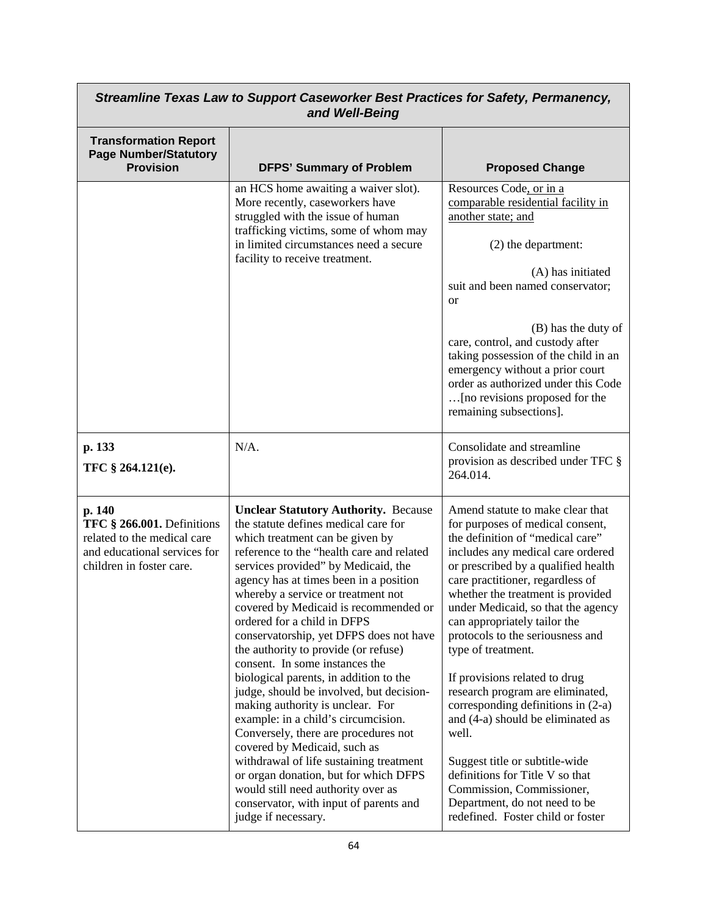| Streamline Texas Law to Support Caseworker Best Practices for Safety, Permanency,<br>and Well-Being                             |                                                                                                                                                                                                                                                                                                                                                                                                                                                                                                                                                                                                                                                                                                                                                                                                                                                                                                                             |                                                                                                                                                                                                                                                                                                                                                                                                                                                                                                                                                                                                                                                                                                                                |
|---------------------------------------------------------------------------------------------------------------------------------|-----------------------------------------------------------------------------------------------------------------------------------------------------------------------------------------------------------------------------------------------------------------------------------------------------------------------------------------------------------------------------------------------------------------------------------------------------------------------------------------------------------------------------------------------------------------------------------------------------------------------------------------------------------------------------------------------------------------------------------------------------------------------------------------------------------------------------------------------------------------------------------------------------------------------------|--------------------------------------------------------------------------------------------------------------------------------------------------------------------------------------------------------------------------------------------------------------------------------------------------------------------------------------------------------------------------------------------------------------------------------------------------------------------------------------------------------------------------------------------------------------------------------------------------------------------------------------------------------------------------------------------------------------------------------|
| <b>Transformation Report</b><br><b>Page Number/Statutory</b><br><b>Provision</b>                                                | <b>DFPS' Summary of Problem</b>                                                                                                                                                                                                                                                                                                                                                                                                                                                                                                                                                                                                                                                                                                                                                                                                                                                                                             | <b>Proposed Change</b>                                                                                                                                                                                                                                                                                                                                                                                                                                                                                                                                                                                                                                                                                                         |
|                                                                                                                                 | an HCS home awaiting a waiver slot).<br>More recently, caseworkers have<br>struggled with the issue of human<br>trafficking victims, some of whom may<br>in limited circumstances need a secure<br>facility to receive treatment.                                                                                                                                                                                                                                                                                                                                                                                                                                                                                                                                                                                                                                                                                           | Resources Code, or in a<br>comparable residential facility in<br>another state; and<br>(2) the department:<br>(A) has initiated<br>suit and been named conservator;<br><b>or</b><br>(B) has the duty of<br>care, control, and custody after<br>taking possession of the child in an<br>emergency without a prior court<br>order as authorized under this Code<br>[no revisions proposed for the<br>remaining subsections].                                                                                                                                                                                                                                                                                                     |
| p. 133<br>TFC § 264.121(e).                                                                                                     | $N/A$ .                                                                                                                                                                                                                                                                                                                                                                                                                                                                                                                                                                                                                                                                                                                                                                                                                                                                                                                     | Consolidate and streamline<br>provision as described under TFC §<br>264.014.                                                                                                                                                                                                                                                                                                                                                                                                                                                                                                                                                                                                                                                   |
| p. 140<br>TFC § 266.001. Definitions<br>related to the medical care<br>and educational services for<br>children in foster care. | <b>Unclear Statutory Authority. Because</b><br>the statute defines medical care for<br>which treatment can be given by<br>reference to the "health care and related<br>services provided" by Medicaid, the<br>agency has at times been in a position<br>whereby a service or treatment not<br>covered by Medicaid is recommended or<br>ordered for a child in DFPS<br>conservatorship, yet DFPS does not have<br>the authority to provide (or refuse)<br>consent. In some instances the<br>biological parents, in addition to the<br>judge, should be involved, but decision-<br>making authority is unclear. For<br>example: in a child's circumcision.<br>Conversely, there are procedures not<br>covered by Medicaid, such as<br>withdrawal of life sustaining treatment<br>or organ donation, but for which DFPS<br>would still need authority over as<br>conservator, with input of parents and<br>judge if necessary. | Amend statute to make clear that<br>for purposes of medical consent,<br>the definition of "medical care"<br>includes any medical care ordered<br>or prescribed by a qualified health<br>care practitioner, regardless of<br>whether the treatment is provided<br>under Medicaid, so that the agency<br>can appropriately tailor the<br>protocols to the seriousness and<br>type of treatment.<br>If provisions related to drug<br>research program are eliminated,<br>corresponding definitions in (2-a)<br>and (4-a) should be eliminated as<br>well.<br>Suggest title or subtitle-wide<br>definitions for Title V so that<br>Commission, Commissioner,<br>Department, do not need to be<br>redefined. Foster child or foster |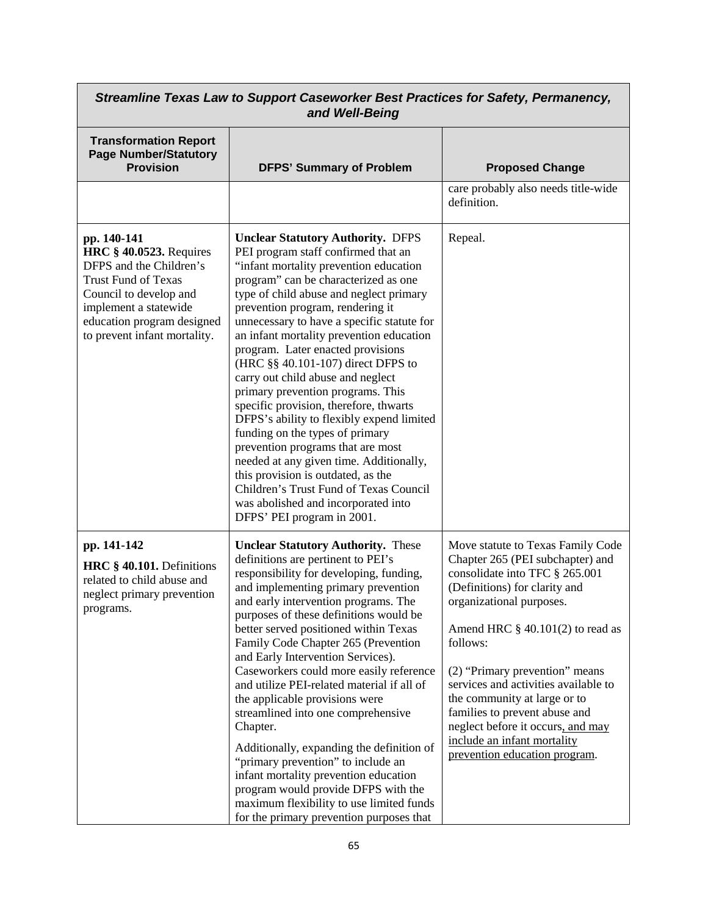| Streamline Texas Law to Support Caseworker Best Practices for Safety, Permanency,<br>and Well-Being                                                                                                                     |                                                                                                                                                                                                                                                                                                                                                                                                                                                                                                                                                                                                                                                                                                                                                                                                                                                                |                                                                                                                                                                                                                                                                                                                                                                                                                                                                         |
|-------------------------------------------------------------------------------------------------------------------------------------------------------------------------------------------------------------------------|----------------------------------------------------------------------------------------------------------------------------------------------------------------------------------------------------------------------------------------------------------------------------------------------------------------------------------------------------------------------------------------------------------------------------------------------------------------------------------------------------------------------------------------------------------------------------------------------------------------------------------------------------------------------------------------------------------------------------------------------------------------------------------------------------------------------------------------------------------------|-------------------------------------------------------------------------------------------------------------------------------------------------------------------------------------------------------------------------------------------------------------------------------------------------------------------------------------------------------------------------------------------------------------------------------------------------------------------------|
| <b>Transformation Report</b><br><b>Page Number/Statutory</b><br><b>Provision</b>                                                                                                                                        | <b>DFPS' Summary of Problem</b>                                                                                                                                                                                                                                                                                                                                                                                                                                                                                                                                                                                                                                                                                                                                                                                                                                | <b>Proposed Change</b>                                                                                                                                                                                                                                                                                                                                                                                                                                                  |
|                                                                                                                                                                                                                         |                                                                                                                                                                                                                                                                                                                                                                                                                                                                                                                                                                                                                                                                                                                                                                                                                                                                | care probably also needs title-wide<br>definition.                                                                                                                                                                                                                                                                                                                                                                                                                      |
| pp. 140-141<br><b>HRC</b> § 40.0523. Requires<br>DFPS and the Children's<br><b>Trust Fund of Texas</b><br>Council to develop and<br>implement a statewide<br>education program designed<br>to prevent infant mortality. | <b>Unclear Statutory Authority. DFPS</b><br>PEI program staff confirmed that an<br>"infant mortality prevention education<br>program" can be characterized as one<br>type of child abuse and neglect primary<br>prevention program, rendering it<br>unnecessary to have a specific statute for<br>an infant mortality prevention education<br>program. Later enacted provisions<br>(HRC §§ 40.101-107) direct DFPS to<br>carry out child abuse and neglect<br>primary prevention programs. This<br>specific provision, therefore, thwarts<br>DFPS's ability to flexibly expend limited<br>funding on the types of primary<br>prevention programs that are most<br>needed at any given time. Additionally,<br>this provision is outdated, as the<br>Children's Trust Fund of Texas Council<br>was abolished and incorporated into<br>DFPS' PEI program in 2001. | Repeal.                                                                                                                                                                                                                                                                                                                                                                                                                                                                 |
| pp. 141-142<br>HRC § 40.101. Definitions<br>related to child abuse and<br>neglect primary prevention<br>programs.                                                                                                       | <b>Unclear Statutory Authority.</b> These<br>definitions are pertinent to PEI's<br>responsibility for developing, funding,<br>and implementing primary prevention<br>and early intervention programs. The<br>purposes of these definitions would be<br>better served positioned within Texas<br>Family Code Chapter 265 (Prevention<br>and Early Intervention Services).<br>Caseworkers could more easily reference<br>and utilize PEI-related material if all of<br>the applicable provisions were<br>streamlined into one comprehensive<br>Chapter.<br>Additionally, expanding the definition of<br>"primary prevention" to include an<br>infant mortality prevention education<br>program would provide DFPS with the<br>maximum flexibility to use limited funds<br>for the primary prevention purposes that                                               | Move statute to Texas Family Code<br>Chapter 265 (PEI subchapter) and<br>consolidate into TFC § 265.001<br>(Definitions) for clarity and<br>organizational purposes.<br>Amend HRC $\S$ 40.101(2) to read as<br>follows:<br>(2) "Primary prevention" means<br>services and activities available to<br>the community at large or to<br>families to prevent abuse and<br>neglect before it occurs, and may<br>include an infant mortality<br>prevention education program. |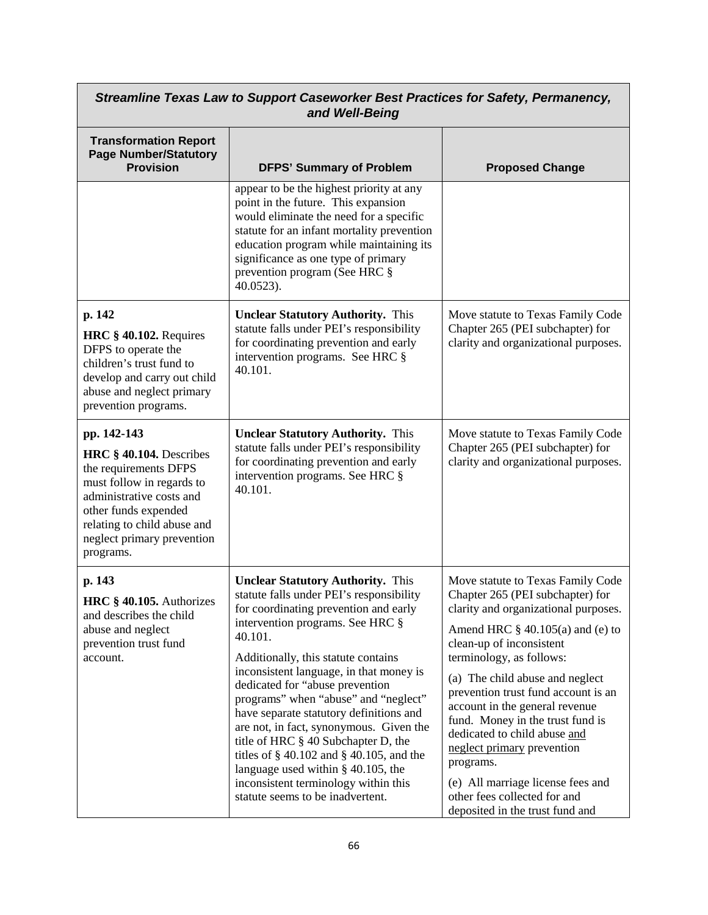| Streamline Texas Law to Support Caseworker Best Practices for Safety, Permanency,<br>and Well-Being                                                                                                                        |                                                                                                                                                                                                                                                                                                                                                                                                                                                                                                                                                                                                                                              |                                                                                                                                                                                                                                                                                                                                                                                                                                                                                                                                                 |
|----------------------------------------------------------------------------------------------------------------------------------------------------------------------------------------------------------------------------|----------------------------------------------------------------------------------------------------------------------------------------------------------------------------------------------------------------------------------------------------------------------------------------------------------------------------------------------------------------------------------------------------------------------------------------------------------------------------------------------------------------------------------------------------------------------------------------------------------------------------------------------|-------------------------------------------------------------------------------------------------------------------------------------------------------------------------------------------------------------------------------------------------------------------------------------------------------------------------------------------------------------------------------------------------------------------------------------------------------------------------------------------------------------------------------------------------|
| <b>Transformation Report</b><br><b>Page Number/Statutory</b><br><b>Provision</b>                                                                                                                                           | <b>DFPS' Summary of Problem</b>                                                                                                                                                                                                                                                                                                                                                                                                                                                                                                                                                                                                              | <b>Proposed Change</b>                                                                                                                                                                                                                                                                                                                                                                                                                                                                                                                          |
|                                                                                                                                                                                                                            | appear to be the highest priority at any<br>point in the future. This expansion<br>would eliminate the need for a specific<br>statute for an infant mortality prevention<br>education program while maintaining its<br>significance as one type of primary<br>prevention program (See HRC §<br>40.0523).                                                                                                                                                                                                                                                                                                                                     |                                                                                                                                                                                                                                                                                                                                                                                                                                                                                                                                                 |
| p. 142<br>HRC $§$ 40.102. Requires<br>DFPS to operate the<br>children's trust fund to<br>develop and carry out child<br>abuse and neglect primary<br>prevention programs.                                                  | <b>Unclear Statutory Authority.</b> This<br>statute falls under PEI's responsibility<br>for coordinating prevention and early<br>intervention programs. See HRC §<br>40.101.                                                                                                                                                                                                                                                                                                                                                                                                                                                                 | Move statute to Texas Family Code<br>Chapter 265 (PEI subchapter) for<br>clarity and organizational purposes.                                                                                                                                                                                                                                                                                                                                                                                                                                   |
| pp. 142-143<br>HRC § 40.104. Describes<br>the requirements DFPS<br>must follow in regards to<br>administrative costs and<br>other funds expended<br>relating to child abuse and<br>neglect primary prevention<br>programs. | <b>Unclear Statutory Authority.</b> This<br>statute falls under PEI's responsibility<br>for coordinating prevention and early<br>intervention programs. See HRC §<br>40.101.                                                                                                                                                                                                                                                                                                                                                                                                                                                                 | Move statute to Texas Family Code<br>Chapter 265 (PEI subchapter) for<br>clarity and organizational purposes.                                                                                                                                                                                                                                                                                                                                                                                                                                   |
| p. 143<br>HRC § 40.105. Authorizes<br>and describes the child<br>abuse and neglect<br>prevention trust fund<br>account.                                                                                                    | <b>Unclear Statutory Authority.</b> This<br>statute falls under PEI's responsibility<br>for coordinating prevention and early<br>intervention programs. See HRC §<br>40.101.<br>Additionally, this statute contains<br>inconsistent language, in that money is<br>dedicated for "abuse prevention<br>programs" when "abuse" and "neglect"<br>have separate statutory definitions and<br>are not, in fact, synonymous. Given the<br>title of HRC § 40 Subchapter D, the<br>titles of $\S$ 40.102 and $\S$ 40.105, and the<br>language used within $§$ 40.105, the<br>inconsistent terminology within this<br>statute seems to be inadvertent. | Move statute to Texas Family Code<br>Chapter 265 (PEI subchapter) for<br>clarity and organizational purposes.<br>Amend HRC $\S$ 40.105(a) and (e) to<br>clean-up of inconsistent<br>terminology, as follows:<br>(a) The child abuse and neglect<br>prevention trust fund account is an<br>account in the general revenue<br>fund. Money in the trust fund is<br>dedicated to child abuse and<br>neglect primary prevention<br>programs.<br>(e) All marriage license fees and<br>other fees collected for and<br>deposited in the trust fund and |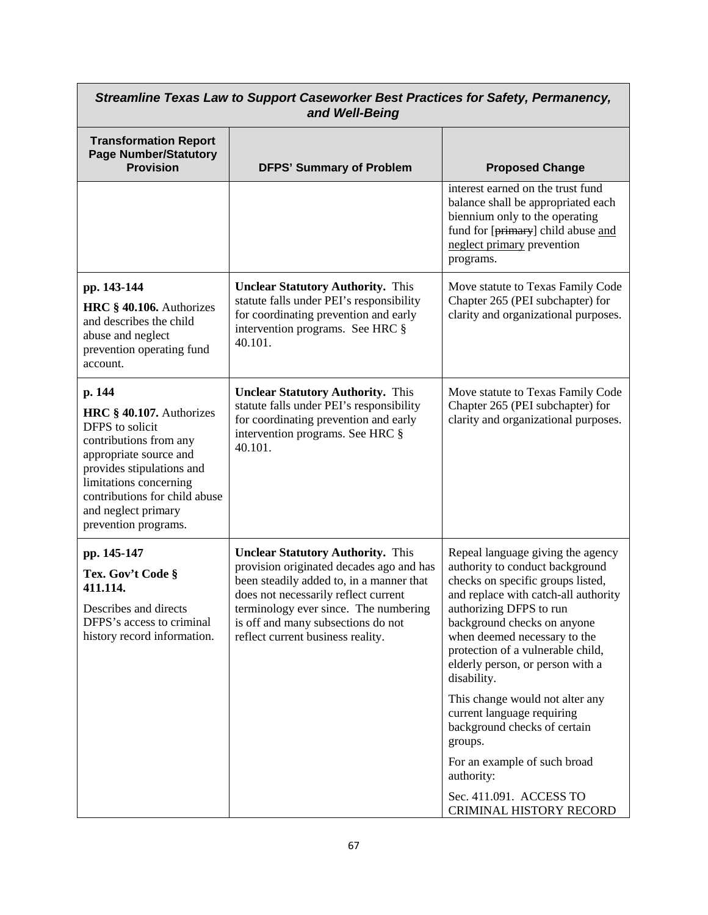| Streamline Texas Law to Support Caseworker Best Practices for Safety, Permanency,<br>and Well-Being                                                                                                                                              |                                                                                                                                                                                                                                                                                              |                                                                                                                                                                                                                                                                                                                                                                                                                                                                                                                                                     |
|--------------------------------------------------------------------------------------------------------------------------------------------------------------------------------------------------------------------------------------------------|----------------------------------------------------------------------------------------------------------------------------------------------------------------------------------------------------------------------------------------------------------------------------------------------|-----------------------------------------------------------------------------------------------------------------------------------------------------------------------------------------------------------------------------------------------------------------------------------------------------------------------------------------------------------------------------------------------------------------------------------------------------------------------------------------------------------------------------------------------------|
| <b>Transformation Report</b><br><b>Page Number/Statutory</b><br><b>Provision</b>                                                                                                                                                                 | <b>DFPS' Summary of Problem</b>                                                                                                                                                                                                                                                              | <b>Proposed Change</b>                                                                                                                                                                                                                                                                                                                                                                                                                                                                                                                              |
|                                                                                                                                                                                                                                                  |                                                                                                                                                                                                                                                                                              | interest earned on the trust fund<br>balance shall be appropriated each<br>biennium only to the operating<br>fund for [primary] child abuse and<br>neglect primary prevention<br>programs.                                                                                                                                                                                                                                                                                                                                                          |
| pp. 143-144<br>HRC § 40.106. Authorizes<br>and describes the child<br>abuse and neglect<br>prevention operating fund<br>account.                                                                                                                 | <b>Unclear Statutory Authority.</b> This<br>statute falls under PEI's responsibility<br>for coordinating prevention and early<br>intervention programs. See HRC §<br>40.101.                                                                                                                 | Move statute to Texas Family Code<br>Chapter 265 (PEI subchapter) for<br>clarity and organizational purposes.                                                                                                                                                                                                                                                                                                                                                                                                                                       |
| p. 144<br>HRC § 40.107. Authorizes<br>DFPS to solicit<br>contributions from any<br>appropriate source and<br>provides stipulations and<br>limitations concerning<br>contributions for child abuse<br>and neglect primary<br>prevention programs. | <b>Unclear Statutory Authority.</b> This<br>statute falls under PEI's responsibility<br>for coordinating prevention and early<br>intervention programs. See HRC §<br>40.101.                                                                                                                 | Move statute to Texas Family Code<br>Chapter 265 (PEI subchapter) for<br>clarity and organizational purposes.                                                                                                                                                                                                                                                                                                                                                                                                                                       |
| pp. 145-147<br>Tex. Gov't Code §<br>411.114.<br>Describes and directs<br>DFPS's access to criminal<br>history record information.                                                                                                                | <b>Unclear Statutory Authority.</b> This<br>provision originated decades ago and has<br>been steadily added to, in a manner that<br>does not necessarily reflect current<br>terminology ever since. The numbering<br>is off and many subsections do not<br>reflect current business reality. | Repeal language giving the agency<br>authority to conduct background<br>checks on specific groups listed,<br>and replace with catch-all authority<br>authorizing DFPS to run<br>background checks on anyone<br>when deemed necessary to the<br>protection of a vulnerable child,<br>elderly person, or person with a<br>disability.<br>This change would not alter any<br>current language requiring<br>background checks of certain<br>groups.<br>For an example of such broad<br>authority:<br>Sec. 411.091. ACCESS TO<br>CRIMINAL HISTORY RECORD |